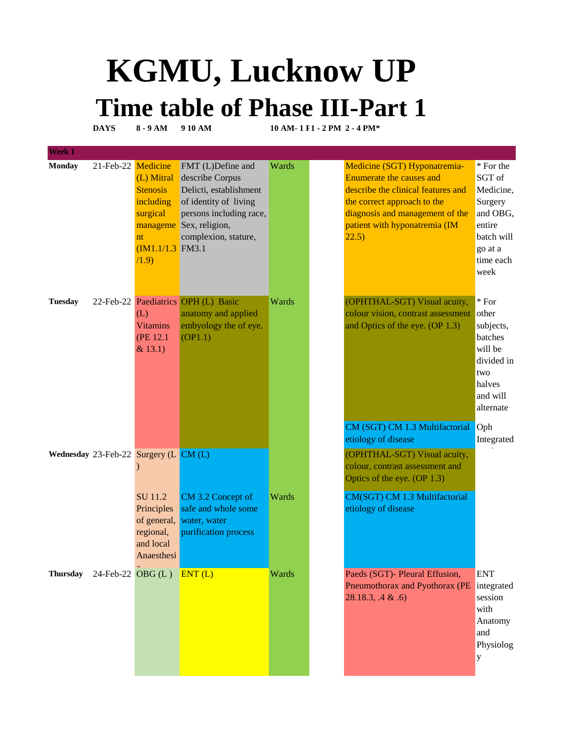## **KGMU, Lucknow UP Time table of Phase III-Part 1**

**DAYS 8 - 9 AM 9 10 AM 10 AM- 1 F1 - 2 PM 2 - 4 PM\*** 

| Week 1          |                        |                                                                                            |                                                                                                                                                                       |              |                                                                                                                                                                                                                   |                                                                                                                 |
|-----------------|------------------------|--------------------------------------------------------------------------------------------|-----------------------------------------------------------------------------------------------------------------------------------------------------------------------|--------------|-------------------------------------------------------------------------------------------------------------------------------------------------------------------------------------------------------------------|-----------------------------------------------------------------------------------------------------------------|
| <b>Monday</b>   | 21-Feb-22 Medicine     | (L) Mitral<br><b>Stenosis</b><br>including<br>surgical<br>nt<br>$(M1.1/1.3$ FM3.1<br>(1.9) | FMT (L)Define and<br>describe Corpus<br>Delicti, establishment<br>of identity of living<br>persons including race,<br>manageme Sex, religion,<br>complexion, stature, | Wards        | Medicine (SGT) Hyponatremia-<br><b>Enumerate the causes and</b><br>describe the clinical features and<br>the correct approach to the<br>diagnosis and management of the<br>patient with hyponatremia (IM<br>22.5) | * For the<br>SGT of<br>Medicine,<br>Surgery<br>and OBG,<br>entire<br>batch will<br>go at a<br>time each<br>week |
| <b>Tuesday</b>  |                        | (L)<br><b>Vitamins</b><br>(PE 12.1)<br>& 13.1)                                             | 22-Feb-22 Paediatrics OPH (L) Basic<br>anatomy and applied<br>embyology the of eye.<br>(OP1.1)                                                                        | Wards        | (OPHTHAL-SGT) Visual acuity,<br>colour vision, contrast assessment<br>and Optics of the eye. (OP 1.3)                                                                                                             | $*$ For<br>other<br>subjects,<br>batches<br>will be<br>divided in<br>two<br>halves<br>and will<br>alternate     |
|                 |                        |                                                                                            |                                                                                                                                                                       |              | CM (SGT) CM 1.3 Multifactorial<br>etiology of disease                                                                                                                                                             | Oph<br>Integrated                                                                                               |
|                 |                        | Wednesday 23-Feb-22 Surgery $(L CM(L))$                                                    |                                                                                                                                                                       |              | (OPHTHAL-SGT) Visual acuity,<br>colour, contrast assessment and<br>Optics of the eye. (OP 1.3)                                                                                                                    |                                                                                                                 |
|                 |                        | SU 11.2<br>Principles<br>of general,<br>regional,<br>and local<br>Anaesthesi               | CM 3.2 Concept of<br>safe and whole some<br>water, water<br>purification process                                                                                      | <b>Wards</b> | CM(SGT) CM 1.3 Multifactorial<br>etiology of disease                                                                                                                                                              |                                                                                                                 |
| <b>Thursday</b> | $24$ -Feb-22 OBG $(L)$ |                                                                                            | ENT(L)                                                                                                                                                                | Wards        | Paeds (SGT)- Pleural Effusion,<br>Pneumothorax and Pyothorax (PE integrated<br>28.18.3, .4 & .6                                                                                                                   | <b>ENT</b><br>session<br>with<br>Anatomy<br>and<br>Physiolog<br>$\mathbf{y}$                                    |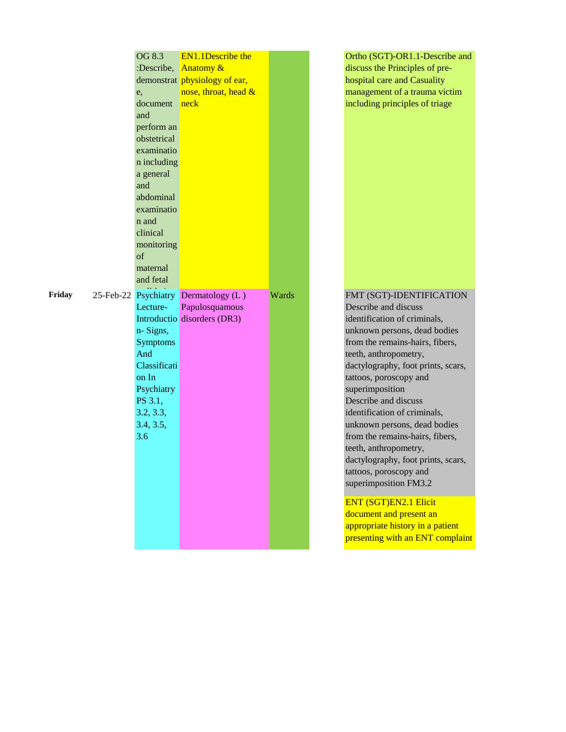|        | OG 8.3<br>:Describe,<br>e,<br>document<br>and<br>perform an<br>obstetrical<br>examinatio<br>n including<br>a general<br>and<br>abdominal<br>examinatio<br>n and<br>clinical<br>monitoring<br>of<br>maternal<br>and fetal | <b>EN1.1Describe the</b><br><b>Anatomy &amp;</b><br>demonstrat physiology of ear,<br>nose, throat, head &<br>neck |       | Ortho (SGT)-OR1.1-Describe and<br>discuss the Principles of pre-<br>hospital care and Casuality<br>management of a trauma victim<br>including principles of triage                                                                                                                                                                                                                                                                                                                                                                                                                                                                       |
|--------|--------------------------------------------------------------------------------------------------------------------------------------------------------------------------------------------------------------------------|-------------------------------------------------------------------------------------------------------------------|-------|------------------------------------------------------------------------------------------------------------------------------------------------------------------------------------------------------------------------------------------------------------------------------------------------------------------------------------------------------------------------------------------------------------------------------------------------------------------------------------------------------------------------------------------------------------------------------------------------------------------------------------------|
| Friday | Lecture-<br>n-Signs,<br><b>Symptoms</b><br>And<br>Classificati<br>on In<br>Psychiatry<br>PS 3.1,<br>3.2, 3.3,<br>3.4, 3.5,<br>3.6                                                                                        | 25-Feb-22 Psychiatry Dermatology (L)<br>Papulosquamous<br>Introductio disorders (DR3)                             | Wards | FMT (SGT)-IDENTIFICATION<br>Describe and discuss<br>identification of criminals,<br>unknown persons, dead bodies<br>from the remains-hairs, fibers,<br>teeth, anthropometry,<br>dactylography, foot prints, scars,<br>tattoos, poroscopy and<br>superimposition<br>Describe and discuss<br>identification of criminals,<br>unknown persons, dead bodies<br>from the remains-hairs, fibers,<br>teeth, anthropometry,<br>dactylography, foot prints, scars,<br>tattoos, poroscopy and<br>superimposition FM3.2<br>ENT (SGT)EN2.1 Elicit<br>document and present an<br>appropriate history in a patient<br>presenting with an ENT complaint |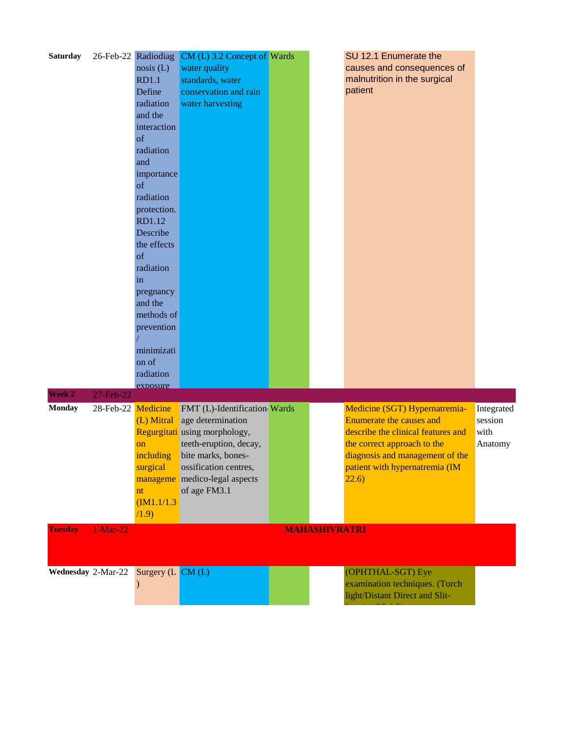| 26-Feb-22 Radiodiag<br>CM (L) 3.2 Concept of Wards<br>water quality<br>causes and consequences of<br>nosis (L) |            |
|----------------------------------------------------------------------------------------------------------------|------------|
|                                                                                                                |            |
| malnutrition in the surgical<br><b>RD1.1</b><br>standards, water                                               |            |
| patient<br>Define<br>conservation and rain                                                                     |            |
| radiation<br>water harvesting                                                                                  |            |
| and the                                                                                                        |            |
| interaction                                                                                                    |            |
| of                                                                                                             |            |
| radiation                                                                                                      |            |
| and                                                                                                            |            |
| importance                                                                                                     |            |
| of                                                                                                             |            |
| radiation                                                                                                      |            |
| protection.                                                                                                    |            |
| RD1.12                                                                                                         |            |
| Describe                                                                                                       |            |
| the effects                                                                                                    |            |
| of                                                                                                             |            |
| radiation                                                                                                      |            |
| in                                                                                                             |            |
| pregnancy                                                                                                      |            |
| and the                                                                                                        |            |
| methods of                                                                                                     |            |
| prevention                                                                                                     |            |
|                                                                                                                |            |
| minimizati                                                                                                     |            |
| on of                                                                                                          |            |
| radiation                                                                                                      |            |
| exposure                                                                                                       |            |
| Week 2<br>27-Feb-22                                                                                            |            |
| 28-Feb-22 Medicine<br><b>Monday</b><br>FMT (L)-Identification Wards<br>Medicine (SGT) Hypernatremia-           | Integrated |
| Enumerate the causes and<br>(L) Mitral<br>age determination                                                    | session    |
| Regurgitati using morphology,<br>describe the clinical features and                                            | with       |
| teeth-eruption, decay,<br>the correct approach to the<br>on                                                    | Anatomy    |
| bite marks, bones-<br>diagnosis and management of the<br>including                                             |            |
| patient with hypernatremia (IM<br>ossification centres,<br>surgical                                            |            |
| manageme medico-legal aspects<br>(22.6)                                                                        |            |
| of age FM3.1<br>nt                                                                                             |            |
| IM1.1/1.3                                                                                                      |            |
| (1.9)                                                                                                          |            |
| <b>Tuesday</b><br>$1-Mar-22$<br><b>MAHASHIVRATRI</b>                                                           |            |
|                                                                                                                |            |
|                                                                                                                |            |
|                                                                                                                |            |
|                                                                                                                |            |
| Wednesday 2-Mar-22 Surgery (L CM (L)<br>(OPHTHAL-SGT) Eye                                                      |            |
| examination techniques. (Torch<br>light/Distant Direct and Slit-                                               |            |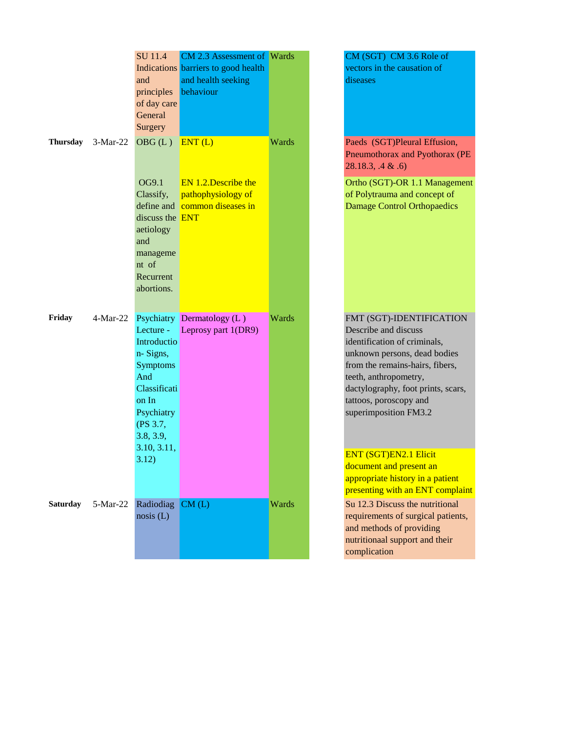|                 |            | <b>SU</b> 11.4<br>and<br>principles<br>of day care<br>General<br>Surgery                                                       | CM 2.3 Assessment of Wards<br>Indications barriers to good health<br>and health seeking<br>behaviour |       | CM (SGT) CM 3.6 Role of<br>vectors in the causation of<br>diseases                                                                                                                                                                                                    |
|-----------------|------------|--------------------------------------------------------------------------------------------------------------------------------|------------------------------------------------------------------------------------------------------|-------|-----------------------------------------------------------------------------------------------------------------------------------------------------------------------------------------------------------------------------------------------------------------------|
| <b>Thursday</b> | $3-Mar-22$ | OBG(L)                                                                                                                         | ENT(L)                                                                                               | Wards | Paeds (SGT)Pleural Effusion,<br>Pneumothorax and Pyothorax (PE<br>28.18.3, .4 & .6                                                                                                                                                                                    |
|                 |            | OG9.1<br>Classify,<br>discuss the <b>ENT</b><br>aetiology<br>and<br>manageme<br>nt of<br>Recurrent<br>abortions.               | EN 1.2. Describe the<br>pathophysiology of<br>define and common diseases in                          |       | Ortho (SGT)-OR 1.1 Management<br>of Polytrauma and concept of<br><b>Damage Control Orthopaedics</b>                                                                                                                                                                   |
| Friday          | 4-Mar-22   | Lecture -<br>Introductio<br>n-Signs,<br><b>Symptoms</b><br>And<br>Classificati<br>on In<br>Psychiatry<br>(PS 3.7,<br>3.8, 3.9, | Psychiatry Dermatology (L)<br>Leprosy part 1(DR9)                                                    | Wards | FMT (SGT)-IDENTIFICATION<br>Describe and discuss<br>identification of criminals,<br>unknown persons, dead bodies<br>from the remains-hairs, fibers,<br>teeth, anthropometry,<br>dactylography, foot prints, scars,<br>tattoos, poroscopy and<br>superimposition FM3.2 |
|                 |            | 3.10, 3.11,<br>3.12)                                                                                                           |                                                                                                      |       | <b>ENT (SGT)EN2.1 Elicit</b><br>document and present an<br>appropriate history in a patient<br>presenting with an ENT complaint                                                                                                                                       |
| <b>Saturday</b> | 5-Mar-22   | Radiodiag<br>nosis (L)                                                                                                         | CM(L)                                                                                                | Wards | Su 12.3 Discuss the nutritional<br>requirements of surgical patients,<br>and methods of providing<br>nutritionaal support and their<br>complication                                                                                                                   |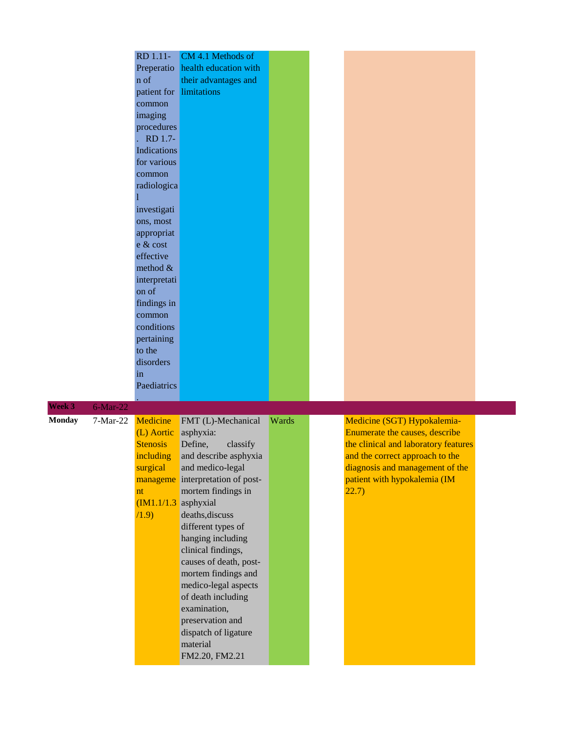|               |             | RD 1.11-               | CM 4.1 Methods of                |       |                                      |  |
|---------------|-------------|------------------------|----------------------------------|-------|--------------------------------------|--|
|               |             | Preperatio             | health education with            |       |                                      |  |
|               |             | n of                   | their advantages and             |       |                                      |  |
|               |             | patient for            | limitations                      |       |                                      |  |
|               |             | common                 |                                  |       |                                      |  |
|               |             | imaging                |                                  |       |                                      |  |
|               |             | procedures             |                                  |       |                                      |  |
|               |             | RD 1.7-                |                                  |       |                                      |  |
|               |             | <b>Indications</b>     |                                  |       |                                      |  |
|               |             | for various            |                                  |       |                                      |  |
|               |             | common                 |                                  |       |                                      |  |
|               |             | radiologica            |                                  |       |                                      |  |
|               |             |                        |                                  |       |                                      |  |
|               |             | investigati            |                                  |       |                                      |  |
|               |             | ons, most              |                                  |       |                                      |  |
|               |             | appropriat             |                                  |       |                                      |  |
|               |             | e & cost               |                                  |       |                                      |  |
|               |             | effective              |                                  |       |                                      |  |
|               |             | method $&$             |                                  |       |                                      |  |
|               |             | interpretati           |                                  |       |                                      |  |
|               |             | on of                  |                                  |       |                                      |  |
|               |             | findings in            |                                  |       |                                      |  |
|               |             | common                 |                                  |       |                                      |  |
|               |             | conditions             |                                  |       |                                      |  |
|               |             | pertaining             |                                  |       |                                      |  |
|               |             | to the                 |                                  |       |                                      |  |
|               |             | disorders              |                                  |       |                                      |  |
|               |             | in                     |                                  |       |                                      |  |
|               |             | Paediatrics            |                                  |       |                                      |  |
|               |             |                        |                                  |       |                                      |  |
| Week 3        | $6$ -Mar-22 |                        |                                  |       |                                      |  |
| <b>Monday</b> | 7-Mar-22    | <b>Medicine</b>        | FMT (L)-Mechanical               | Wards | Medicine (SGT) Hypokalemia-          |  |
|               |             | (L) Aortic             | asphyxia:                        |       | Enumerate the causes, describe       |  |
|               |             | <b>Stenosis</b>        | Define,<br>classify              |       | the clinical and laboratory features |  |
|               |             | including              | and describe asphyxia            |       | and the correct approach to the      |  |
|               |             | surgical               | and medico-legal                 |       | diagnosis and management of the      |  |
|               |             |                        | manageme interpretation of post- |       | patient with hypokalemia (IM         |  |
|               |             | nt                     | mortem findings in               |       | 22.7)                                |  |
|               |             | $(M1.1/1.3)$ asphyxial |                                  |       |                                      |  |
|               |             | (1.9)                  | deaths, discuss                  |       |                                      |  |
|               |             |                        | different types of               |       |                                      |  |
|               |             |                        | hanging including                |       |                                      |  |
|               |             |                        | clinical findings,               |       |                                      |  |
|               |             |                        | causes of death, post-           |       |                                      |  |
|               |             |                        | mortem findings and              |       |                                      |  |
|               |             |                        | medico-legal aspects             |       |                                      |  |
|               |             |                        | of death including               |       |                                      |  |
|               |             |                        | examination,                     |       |                                      |  |
|               |             |                        | preservation and                 |       |                                      |  |
|               |             |                        | dispatch of ligature             |       |                                      |  |
|               |             |                        | material                         |       |                                      |  |
|               |             |                        | FM2.20, FM2.21                   |       |                                      |  |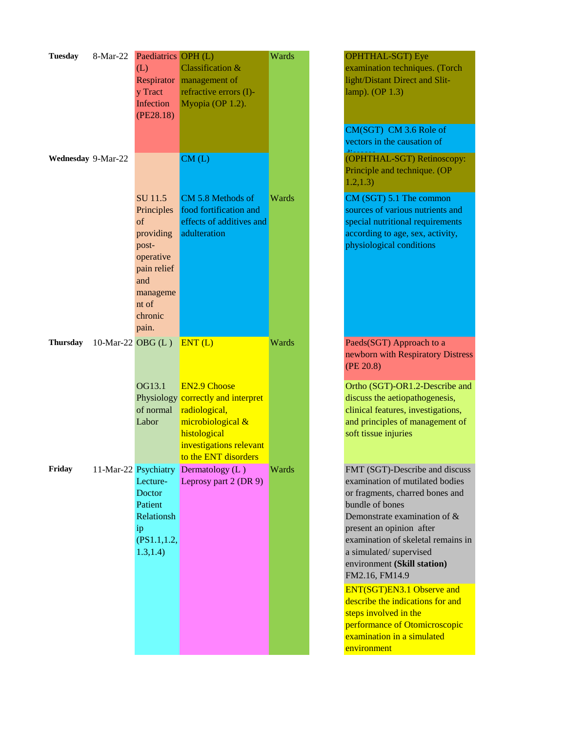| <b>Tuesday</b>     | 8-Mar-22          | Paediatrics OPH (L)<br>(L)<br>y Tract<br>Infection<br>(PE28.18)                                                               | Classification &<br>Respirator management of<br>refractive errors (I)-<br>Myopia (OP 1.2).                                                                         | Wards | OPHTHAL-SGT) Eye<br>examination techniques. (Torch<br>light/Distant Direct and Slit-<br>lamp). $OP$ 1.3)                                                                                                                                                                                                                                                                                                                                                                            |
|--------------------|-------------------|-------------------------------------------------------------------------------------------------------------------------------|--------------------------------------------------------------------------------------------------------------------------------------------------------------------|-------|-------------------------------------------------------------------------------------------------------------------------------------------------------------------------------------------------------------------------------------------------------------------------------------------------------------------------------------------------------------------------------------------------------------------------------------------------------------------------------------|
|                    |                   |                                                                                                                               |                                                                                                                                                                    |       | CM(SGT) CM 3.6 Role of<br>vectors in the causation of                                                                                                                                                                                                                                                                                                                                                                                                                               |
| Wednesday 9-Mar-22 |                   |                                                                                                                               | CM(L)                                                                                                                                                              |       | (OPHTHAL-SGT) Retinoscopy:<br>Principle and technique. (OP<br>1.2, 1.3)                                                                                                                                                                                                                                                                                                                                                                                                             |
|                    |                   | SU 11.5<br>Principles<br>of<br>providing<br>post-<br>operative<br>pain relief<br>and<br>manageme<br>nt of<br>chronic<br>pain. | CM 5.8 Methods of<br>food fortification and<br>effects of additives and<br>adulteration                                                                            | Wards | CM (SGT) 5.1 The common<br>sources of various nutrients and<br>special nutritional requirements<br>according to age, sex, activity,<br>physiological conditions                                                                                                                                                                                                                                                                                                                     |
| <b>Thursday</b>    | 10-Mar-22 OBG (L) |                                                                                                                               | ENT(L)                                                                                                                                                             | Wards | Paeds(SGT) Approach to a<br>newborn with Respiratory Distress<br>(PE 20.8)                                                                                                                                                                                                                                                                                                                                                                                                          |
|                    |                   | OG13.1<br>of normal<br>Labor                                                                                                  | <b>EN2.9 Choose</b><br>Physiology correctly and interpret<br>radiological,<br>microbiological &<br>histological<br>investigations relevant<br>to the ENT disorders |       | Ortho (SGT)-OR1.2-Describe and<br>discuss the aetiopathogenesis,<br>clinical features, investigations,<br>and principles of management of<br>soft tissue injuries                                                                                                                                                                                                                                                                                                                   |
| Friday             |                   | Lecture-<br>Doctor<br>Patient<br>Relationsh<br>ip<br>(PS1.1, 1.2,<br>1.3, 1.4)                                                | 11-Mar-22 Psychiatry Dermatology (L)<br>Leprosy part 2 (DR 9)                                                                                                      | Wards | FMT (SGT)-Describe and discuss<br>examination of mutilated bodies<br>or fragments, charred bones and<br>bundle of bones<br>Demonstrate examination of &<br>present an opinion after<br>examination of skeletal remains in<br>a simulated/supervised<br>environment (Skill station)<br>FM2.16, FM14.9<br><b>ENT(SGT)EN3.1 Observe and</b><br>describe the indications for and<br>steps involved in the<br>performance of Otomicroscopic<br>examination in a simulated<br>environment |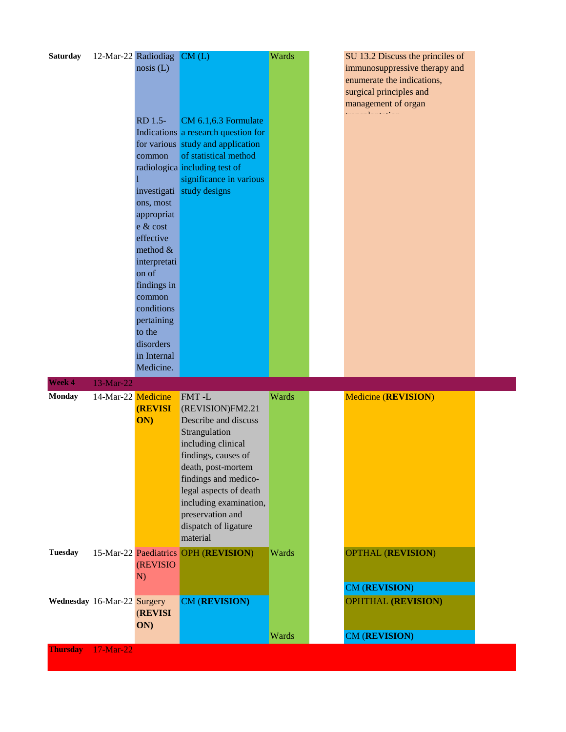| <b>Saturday</b>             |                    | 12-Mar-22 Radiodiag CM (L)<br>nosis(L)<br>RD 1.5-                                                                 | CM 6.1,6.3 Formulate                                                                                                                                                                                                                                                      | Wards | SU 13.2 Discuss the princiles of<br>immunosuppressive therapy and<br>enumerate the indications,<br>surgical principles and<br>management of organ<br>. <b>.</b> <del>.</del> |  |
|-----------------------------|--------------------|-------------------------------------------------------------------------------------------------------------------|---------------------------------------------------------------------------------------------------------------------------------------------------------------------------------------------------------------------------------------------------------------------------|-------|------------------------------------------------------------------------------------------------------------------------------------------------------------------------------|--|
|                             |                    | common<br>investigati<br>ons, most<br>appropriat                                                                  | Indications a research question for<br>for various study and application<br>of statistical method<br>radiologica including test of<br>significance in various<br>study designs                                                                                            |       |                                                                                                                                                                              |  |
|                             |                    | e & cost<br>effective<br>method $&$<br>interpretati<br>on of<br>findings in<br>common<br>conditions<br>pertaining |                                                                                                                                                                                                                                                                           |       |                                                                                                                                                                              |  |
| Week 4                      | 13-Mar-22          | to the<br>disorders<br>in Internal<br>Medicine.                                                                   |                                                                                                                                                                                                                                                                           |       |                                                                                                                                                                              |  |
| <b>Monday</b>               | 14-Mar-22 Medicine | <b>(REVISI)</b><br>ON)                                                                                            | FMT-L<br>(REVISION)FM2.21<br>Describe and discuss<br>Strangulation<br>including clinical<br>findings, causes of<br>death, post-mortem<br>findings and medico-<br>legal aspects of death<br>including examination,<br>preservation and<br>dispatch of ligature<br>material | Wards | <b>Medicine (REVISION)</b>                                                                                                                                                   |  |
| <b>Tuesday</b>              |                    | <b>(REVISIO)</b><br>N)                                                                                            | 15-Mar-22 Paediatrics OPH (REVISION)                                                                                                                                                                                                                                      | Wards | <b>OPTHAL (REVISION)</b><br>CM (REVISION)                                                                                                                                    |  |
| Wednesday 16-Mar-22 Surgery |                    | (REVISI<br>ON)                                                                                                    | CM (REVISION)                                                                                                                                                                                                                                                             | Wards | <b>OPHTHAL (REVISION)</b><br>CM (REVISION)                                                                                                                                   |  |
| <b>Thursday</b>             | 17-Mar-22          |                                                                                                                   |                                                                                                                                                                                                                                                                           |       |                                                                                                                                                                              |  |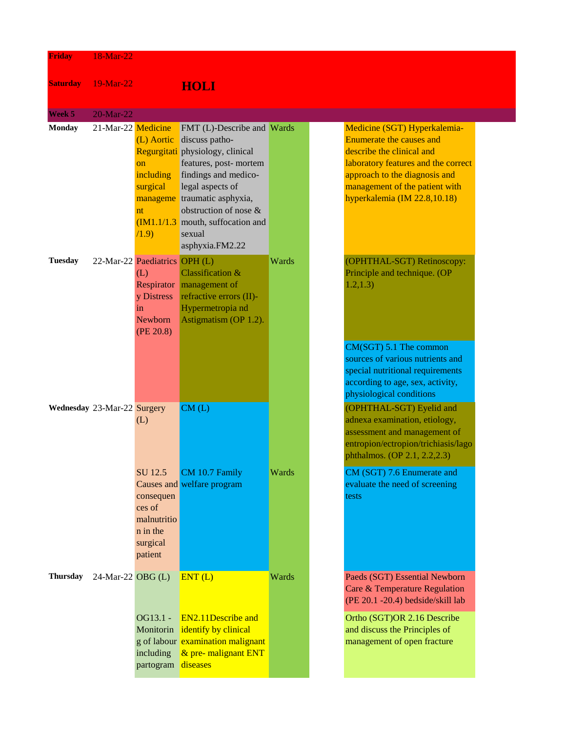| <b>Friday</b>   | 18-Mar-22                   |                                                                                  |                                                                                                                                                                                                                                                                                     |       |                                                                                                                                                                                                                                 |
|-----------------|-----------------------------|----------------------------------------------------------------------------------|-------------------------------------------------------------------------------------------------------------------------------------------------------------------------------------------------------------------------------------------------------------------------------------|-------|---------------------------------------------------------------------------------------------------------------------------------------------------------------------------------------------------------------------------------|
| <b>Saturday</b> | 19-Mar-22                   |                                                                                  | <b>HOLI</b>                                                                                                                                                                                                                                                                         |       |                                                                                                                                                                                                                                 |
| Week 5          | 20-Mar-22                   |                                                                                  |                                                                                                                                                                                                                                                                                     |       |                                                                                                                                                                                                                                 |
| <b>Monday</b>   | 21-Mar-22 Medicine          | (L) Aortic<br>on<br>including<br>surgical<br>nt<br>(1.9)                         | FMT (L)-Describe and Wards<br>discuss patho-<br>Regurgitati physiology, clinical<br>features, post- mortem<br>findings and medico-<br>legal aspects of<br>manageme traumatic asphyxia,<br>obstruction of nose &<br>$(M1.1/1.3)$ mouth, suffocation and<br>sexual<br>asphyxia.FM2.22 |       | Medicine (SGT) Hyperkalemia-<br>Enumerate the causes and<br>describe the clinical and<br>laboratory features and the correct<br>approach to the diagnosis and<br>management of the patient with<br>hyperkalemia (IM 22.8,10.18) |
| <b>Tuesday</b>  |                             | 22-Mar-22 Paediatrics OPH (L)<br>(L)<br>y Distress<br>in<br>Newborn<br>(PE 20.8) | Classification &<br>Respirator management of<br>refractive errors (II)-<br>Hypermetropia nd<br>Astigmatism (OP 1.2).                                                                                                                                                                | Wards | (OPHTHAL-SGT) Retinoscopy:<br>Principle and technique. (OP<br>1.2, 1.3)<br>$CM(SGT)$ 5.1 The common<br>sources of various nutrients and<br>special nutritional requirements<br>according to age, sex, activity,                 |
|                 | Wednesday 23-Mar-22 Surgery | (L)                                                                              | CM(L)                                                                                                                                                                                                                                                                               |       | physiological conditions<br>(OPHTHAL-SGT) Eyelid and<br>adnexa examination, etiology,<br>assessment and management of<br>entropion/ectropion/trichiasis/lago<br>phthalmos. (OP 2.1, 2.2, 2.3)                                   |
|                 |                             | SU 12.5<br>consequen<br>ces of<br>malnutritio<br>n in the<br>surgical<br>patient | CM 10.7 Family<br>Causes and welfare program                                                                                                                                                                                                                                        | Wards | CM (SGT) 7.6 Enumerate and<br>evaluate the need of screening<br>tests                                                                                                                                                           |
| <b>Thursday</b> | 24-Mar-22 OBG (L)           | OG13.1 -<br>Monitorin<br>including                                               | ENT(L)<br><b>EN2.11Describe and</b><br>identify by clinical<br>g of labour examination malignant<br>& pre- malignant ENT                                                                                                                                                            | Wards | Paeds (SGT) Essential Newborn<br>Care & Temperature Regulation<br>(PE 20.1 -20.4) bedside/skill lab<br>Ortho (SGT)OR 2.16 Describe<br>and discuss the Principles of<br>management of open fracture                              |
|                 |                             | partogram                                                                        | diseases                                                                                                                                                                                                                                                                            |       |                                                                                                                                                                                                                                 |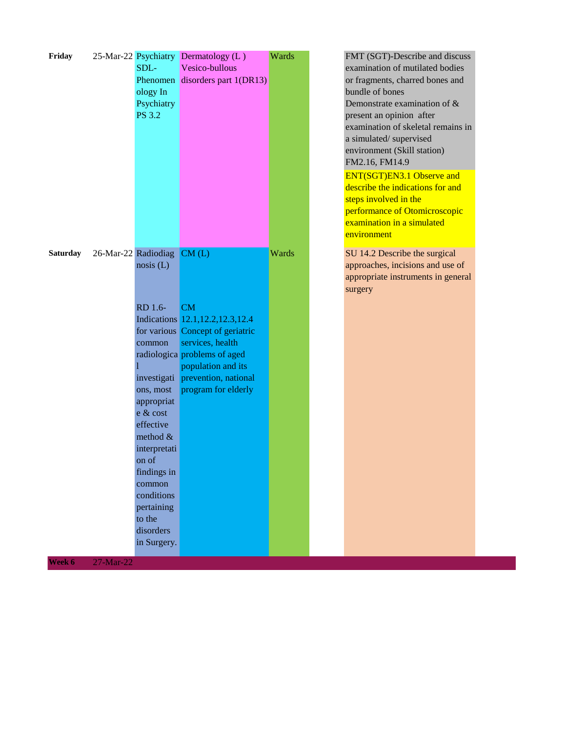| Friday          |                     | SDL-<br>ology In<br>Psychiatry<br><b>PS 3.2</b>                                                                                                                                                                     | 25-Mar-22 Psychiatry Dermatology (L)<br>Vesico-bullous<br>Phenomen disorders part 1(DR13)                                                                                                                                  | Wards | FMT (SGT)-Describe and discuss<br>examination of mutilated bodies<br>or fragments, charred bones and<br>bundle of bones<br>Demonstrate examination of &<br>present an opinion after<br>examination of skeletal remains in<br>a simulated/supervised<br>environment (Skill station)<br>FM2.16, FM14.9<br><b>ENT(SGT)EN3.1 Observe and</b><br>describe the indications for and<br>steps involved in the<br>performance of Otomicroscopic<br>examination in a simulated<br>environment |
|-----------------|---------------------|---------------------------------------------------------------------------------------------------------------------------------------------------------------------------------------------------------------------|----------------------------------------------------------------------------------------------------------------------------------------------------------------------------------------------------------------------------|-------|-------------------------------------------------------------------------------------------------------------------------------------------------------------------------------------------------------------------------------------------------------------------------------------------------------------------------------------------------------------------------------------------------------------------------------------------------------------------------------------|
| <b>Saturday</b> | 26-Mar-22 Radiodiag | nosis(L)<br>RD 1.6-<br>common<br>ons, most<br>appropriat<br>e & cost<br>effective<br>method $&$<br>interpretati<br>on of<br>findings in<br>common<br>conditions<br>pertaining<br>to the<br>disorders<br>in Surgery. | CM(L)<br>CM<br>Indications 12.1, 12.2, 12.3, 12.4<br>for various Concept of geriatric<br>services, health<br>radiologica problems of aged<br>population and its<br>investigati prevention, national<br>program for elderly | Wards | SU 14.2 Describe the surgical<br>approaches, incisions and use of<br>appropriate instruments in general<br>surgery                                                                                                                                                                                                                                                                                                                                                                  |

**Week 6** 27-Mar-22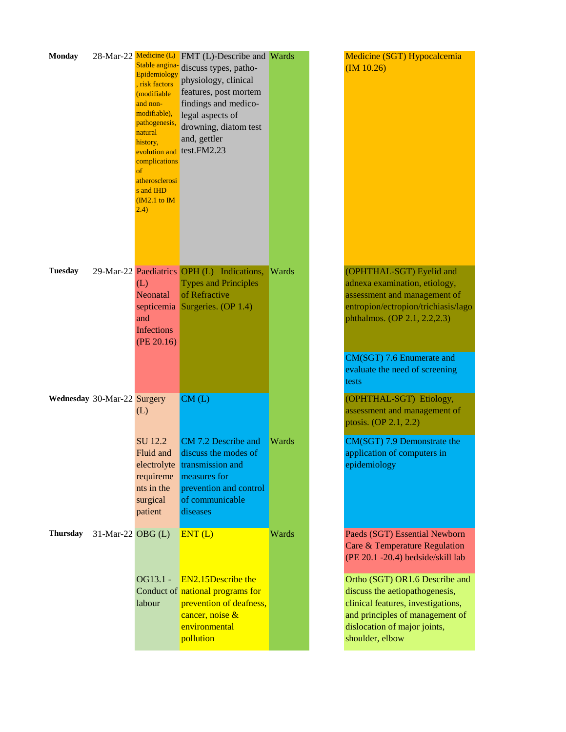| <b>Monday</b>   | 28-Mar-22 Medicine (L)      | Stable angina-<br>Epidemiology<br>, risk factors<br>(modifiable<br>and non-<br>modifiable),<br>pathogenesis,<br>natural<br>history,<br>evolution and<br>complications<br>of<br>atherosclerosi<br>s and IHD<br>$(M2.1)$ to IM<br>(2.4) | FMT (L)-Describe and Wards<br>discuss types, patho-<br>physiology, clinical<br>features, post mortem<br>findings and medico-<br>legal aspects of<br>drowning, diatom test<br>and, gettler<br>test.FM2.23 |       | Medicine (SGT) Hypocalcemia<br>(M 10.26)                                                                                                                                                                                         |
|-----------------|-----------------------------|---------------------------------------------------------------------------------------------------------------------------------------------------------------------------------------------------------------------------------------|----------------------------------------------------------------------------------------------------------------------------------------------------------------------------------------------------------|-------|----------------------------------------------------------------------------------------------------------------------------------------------------------------------------------------------------------------------------------|
| <b>Tuesday</b>  |                             | (L)<br><b>Neonatal</b><br>and<br><b>Infections</b><br>(PE 20.16)                                                                                                                                                                      | 29-Mar-22 Paediatrics OPH (L) Indications,<br><b>Types and Principles</b><br>of Refractive<br>septicemia Surgeries. (OP 1.4)                                                                             | Wards | (OPHTHAL-SGT) Eyelid and<br>adnexa examination, etiology,<br>assessment and management of<br>entropion/ectropion/trichiasis/lago<br>phthalmos. (OP 2.1, 2.2, 2.3)<br>CM(SGT) 7.6 Enumerate and<br>evaluate the need of screening |
|                 | Wednesday 30-Mar-22 Surgery | (L)                                                                                                                                                                                                                                   | CM(L)                                                                                                                                                                                                    |       | tests<br>(OPHTHAL-SGT) Etiology,<br>assessment and management of<br>ptosis. (OP 2.1, 2.2)                                                                                                                                        |
|                 |                             | SU 12.2<br>Fluid and<br>requireme<br>nts in the<br>surgical<br>patient                                                                                                                                                                | CM 7.2 Describe and<br>discuss the modes of<br>electrolyte transmission and<br>measures for<br>prevention and control<br>of communicable<br>diseases                                                     | Wards | CM(SGT) 7.9 Demonstrate the<br>application of computers in<br>epidemiology                                                                                                                                                       |
| <b>Thursday</b> | 31-Mar-22 OBG (L)           |                                                                                                                                                                                                                                       | ENT(L)                                                                                                                                                                                                   | Wards | Paeds (SGT) Essential Newborn<br>Care & Temperature Regulation<br>(PE 20.1 -20.4) bedside/skill lab                                                                                                                              |
|                 |                             | OG13.1 -<br>labour                                                                                                                                                                                                                    | EN2.15Describe the<br>Conduct of national programs for<br>prevention of deafness,<br>cancer, noise &<br>environmental<br>pollution                                                                       |       | Ortho (SGT) OR1.6 Describe and<br>discuss the aetiopathogenesis,<br>clinical features, investigations,<br>and principles of management of<br>dislocation of major joints,<br>shoulder, elbow                                     |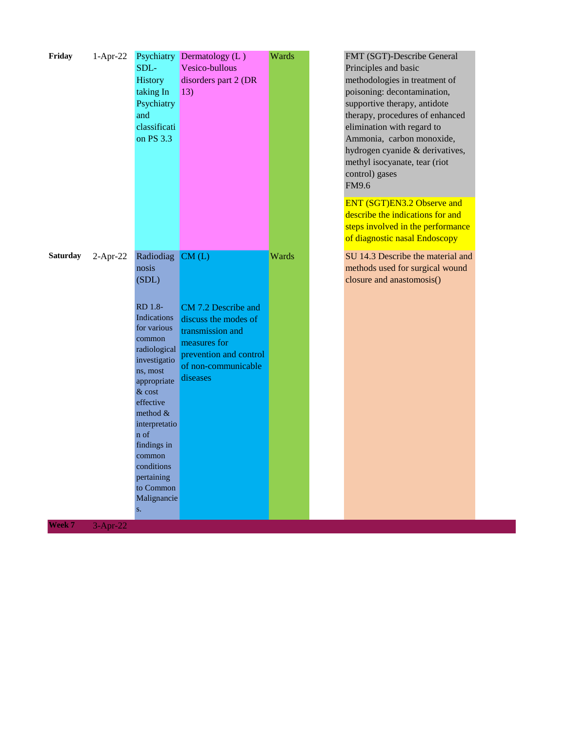| Friday<br>$1-Apr-22$          | SDL-<br>History<br>taking In<br>Psychiatry<br>and<br>classificati<br>on PS 3.3                                                                                                                                                                                                                        | Psychiatry Dermatology (L)<br>Vesico-bullous<br>disorders part 2 (DR<br>13)                                                                           | Wards | FMT (SGT)-Describe General<br>Principles and basic<br>methodologies in treatment of<br>poisoning: decontamination,<br>supportive therapy, antidote<br>therapy, procedures of enhanced<br>elimination with regard to<br>Ammonia, carbon monoxide,<br>hydrogen cyanide & derivatives,<br>methyl isocyanate, tear (riot<br>control) gases<br>FM9.6 |
|-------------------------------|-------------------------------------------------------------------------------------------------------------------------------------------------------------------------------------------------------------------------------------------------------------------------------------------------------|-------------------------------------------------------------------------------------------------------------------------------------------------------|-------|-------------------------------------------------------------------------------------------------------------------------------------------------------------------------------------------------------------------------------------------------------------------------------------------------------------------------------------------------|
|                               |                                                                                                                                                                                                                                                                                                       |                                                                                                                                                       |       | ENT (SGT)EN3.2 Observe and<br>describe the indications for and<br>steps involved in the performance<br>of diagnostic nasal Endoscopy                                                                                                                                                                                                            |
| <b>Saturday</b><br>$2-Apr-22$ | Radiodiag<br>nosis<br>(SDL)<br>RD 1.8-<br><b>Indications</b><br>for various<br>common<br>radiological<br>investigatio<br>ns, most<br>appropriate<br>& cost<br>effective<br>method $&$<br>interpretatio<br>n of<br>findings in<br>common<br>conditions<br>pertaining<br>to Common<br>Malignancie<br>S. | CM(L)<br>CM 7.2 Describe and<br>discuss the modes of<br>transmission and<br>measures for<br>prevention and control<br>of non-communicable<br>diseases | Wards | SU 14.3 Describe the material and<br>methods used for surgical wound<br>closure and anastomosis()                                                                                                                                                                                                                                               |

**Week 7** 3-Apr-22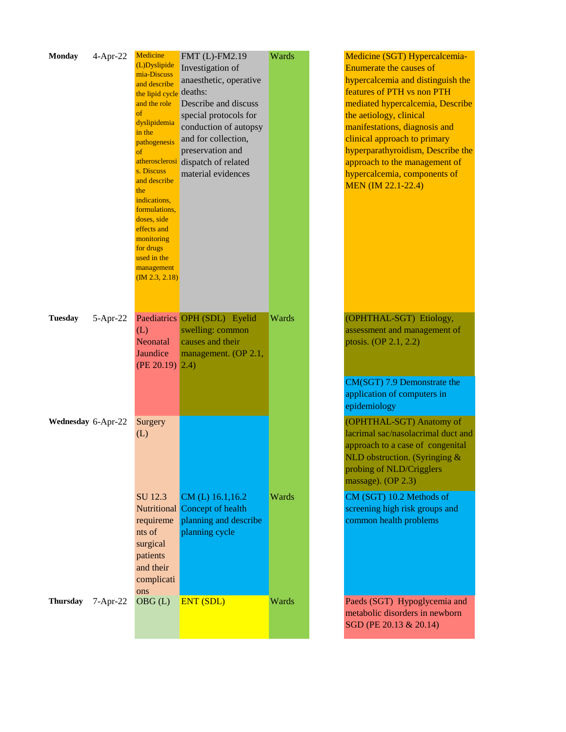| <b>Monday</b>      | $4-Apr-22$   | Medicine<br>(L)Dyslipide<br>mia-Discuss<br>and describe<br>the lipid cycle<br>and the role<br>of<br>dyslipidemia<br>in the<br>pathogenesis<br>of<br>atherosclerosi<br>s. Discuss<br>and describe<br>the<br>indications,<br>formulations,<br>doses, side<br>effects and<br>monitoring<br>for drugs<br>used in the<br>management<br>(M 2.3, 2.18) | FMT (L)-FM2.19<br>Investigation of<br>anaesthetic, operative<br>deaths:<br>Describe and discuss<br>special protocols for<br>conduction of autopsy<br>and for collection,<br>preservation and<br>dispatch of related<br>material evidences | Wards | Medicine (SGT) Hypercalcemia-<br>Enumerate the causes of<br>hypercalcemia and distinguish the<br>features of PTH vs non PTH<br>mediated hypercalcemia, Describe<br>the aetiology, clinical<br>manifestations, diagnosis and<br>clinical approach to primary<br>hyperparathyroidism, Describe the<br>approach to the management of<br>hypercalcemia, components of<br><b>MEN</b> (IM 22.1-22.4) |
|--------------------|--------------|-------------------------------------------------------------------------------------------------------------------------------------------------------------------------------------------------------------------------------------------------------------------------------------------------------------------------------------------------|-------------------------------------------------------------------------------------------------------------------------------------------------------------------------------------------------------------------------------------------|-------|------------------------------------------------------------------------------------------------------------------------------------------------------------------------------------------------------------------------------------------------------------------------------------------------------------------------------------------------------------------------------------------------|
| <b>Tuesday</b>     | $5-Apr-22$   | (L)<br>Neonatal<br>Jaundice<br>$(PE 20.19)$ 2.4)                                                                                                                                                                                                                                                                                                | Paediatrics OPH (SDL) Eyelid<br>swelling: common<br>causes and their<br>management. (OP 2.1,                                                                                                                                              | Wards | (OPHTHAL-SGT) Etiology,<br>assessment and management of<br>ptosis. (OP 2.1, 2.2)<br>CM(SGT) 7.9 Demonstrate the                                                                                                                                                                                                                                                                                |
|                    |              |                                                                                                                                                                                                                                                                                                                                                 |                                                                                                                                                                                                                                           |       | application of computers in<br>epidemiology                                                                                                                                                                                                                                                                                                                                                    |
| Wednesday 6-Apr-22 |              | Surgery<br>(L)                                                                                                                                                                                                                                                                                                                                  |                                                                                                                                                                                                                                           |       | (OPHTHAL-SGT) Anatomy of<br>lacrimal sac/nasolacrimal duct and<br>approach to a case of congenital<br>NLD obstruction. (Syringing $&$<br>probing of NLD/Crigglers<br>massage). $OP$ 2.3)                                                                                                                                                                                                       |
|                    |              | SU 12.3<br>requireme<br>nts of<br>surgical<br>patients<br>and their<br>complicati<br>ons                                                                                                                                                                                                                                                        | CM (L) 16.1,16.2<br>Nutritional Concept of health<br>planning and describe<br>planning cycle                                                                                                                                              | Wards | CM (SGT) 10.2 Methods of<br>screening high risk groups and<br>common health problems                                                                                                                                                                                                                                                                                                           |
| <b>Thursday</b>    | $7 - Apr-22$ | OBG(L)                                                                                                                                                                                                                                                                                                                                          | <b>ENT (SDL)</b>                                                                                                                                                                                                                          | Wards | Paeds (SGT) Hypoglycemia and<br>metabolic disorders in newborn<br>SGD (PE 20.13 & 20.14)                                                                                                                                                                                                                                                                                                       |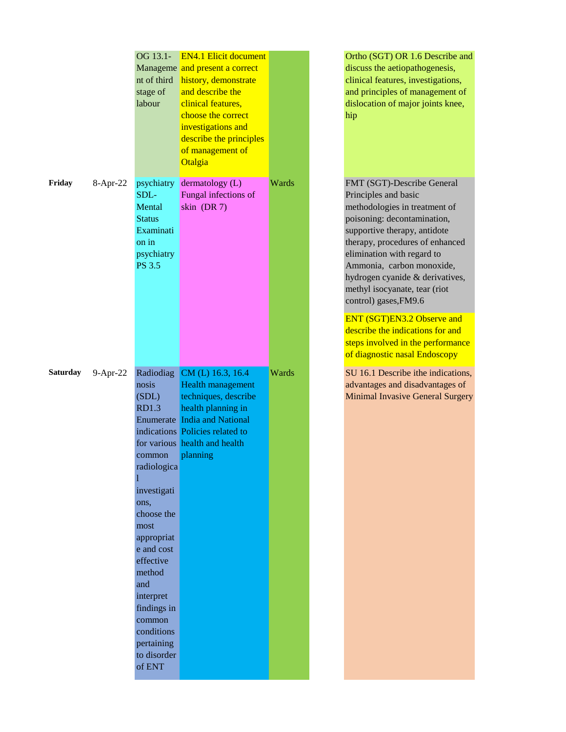|                 |            | OG 13.1-<br>nt of third<br>stage of<br>labour                                                                                                                                                                                                             | <b>EN4.1 Elicit document</b><br>Manageme and present a correct<br>history, demonstrate<br>and describe the<br>clinical features,<br>choose the correct<br>investigations and<br>describe the principles<br>of management of<br>Otalgia |       |  |
|-----------------|------------|-----------------------------------------------------------------------------------------------------------------------------------------------------------------------------------------------------------------------------------------------------------|----------------------------------------------------------------------------------------------------------------------------------------------------------------------------------------------------------------------------------------|-------|--|
| Friday          | 8-Apr-22   | psychiatry<br>SDL-<br>Mental<br><b>Status</b><br>Examinati<br>on in<br>psychiatry<br>PS 3.5                                                                                                                                                               | dermatology (L)<br>Fungal infections of<br>skin (DR 7)                                                                                                                                                                                 | Wards |  |
| <b>Saturday</b> | $9-Apr-22$ | nosis<br>(SDL)<br><b>RD1.3</b><br>common<br>radiologica<br>investigati<br>ons,<br>choose the<br>most<br>appropriat<br>e and cost<br>effective<br>method<br>and<br>interpret<br>findings in<br>common<br>conditions<br>pertaining<br>to disorder<br>of ENT | Radiodiag CM (L) 16.3, 16.4<br>Health management<br>techniques, describe<br>health planning in<br><b>Enumerate</b> India and National<br>indications Policies related to<br>for various health and health<br>planning                  | Wards |  |

Ortho (SGT) OR 1.6 Describe and discuss the aetiopathogenesis, clinical features, investigations, and principles of management of dislocation of major joints knee, hip

FMT (SGT)-Describe General Principles and basic methodologies in treatment of poisoning: decontamination, supportive therapy, antidote therapy, procedures of enhanced elimination with regard to Ammonia, carbon monoxide, hydrogen cyanide & derivatives, methyl isocyanate, tear (riot control) gases,FM9.6

ENT (SGT)EN3.2 Observe and describe the indications for and steps involved in the performance of diagnostic nasal Endoscopy

SU 16.1 Describe ithe indications, advantages and disadvantages of Minimal Invasive General Surgery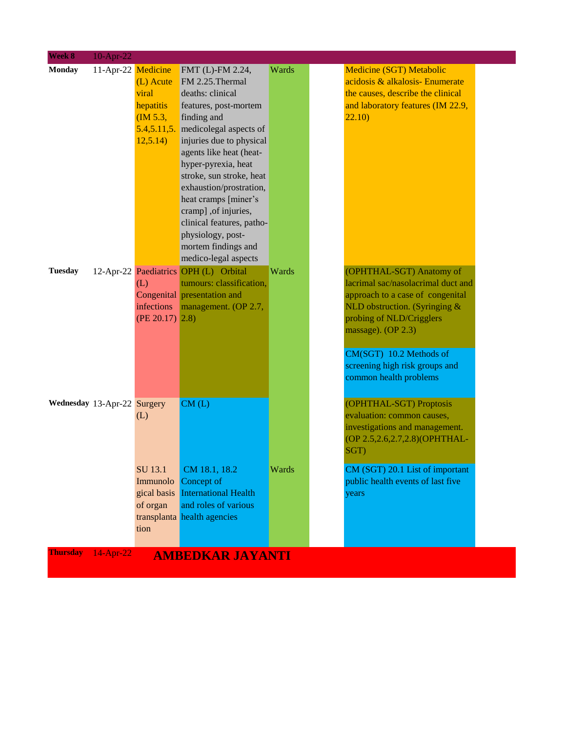| Week 8          | $10$ -Apr-22                |                    |                                       |       |                                                              |
|-----------------|-----------------------------|--------------------|---------------------------------------|-------|--------------------------------------------------------------|
| <b>Monday</b>   |                             | 11-Apr-22 Medicine | FMT (L)-FM 2.24,                      | Wards | <b>Medicine (SGT) Metabolic</b>                              |
|                 |                             | (L) Acute          | FM 2.25. Thermal                      |       | acidosis & alkalosis- Enumerate                              |
|                 |                             | viral              | deaths: clinical                      |       | the causes, describe the clinical                            |
|                 |                             | hepatitis          | features, post-mortem                 |       | and laboratory features (IM 22.9,                            |
|                 |                             | (M 5.3,            | finding and                           |       | 22.10)                                                       |
|                 |                             |                    | 5.4,5.11,5. medicolegal aspects of    |       |                                                              |
|                 |                             | 12,5.14)           | injuries due to physical              |       |                                                              |
|                 |                             |                    | agents like heat (heat-               |       |                                                              |
|                 |                             |                    | hyper-pyrexia, heat                   |       |                                                              |
|                 |                             |                    | stroke, sun stroke, heat              |       |                                                              |
|                 |                             |                    | exhaustion/prostration,               |       |                                                              |
|                 |                             |                    | heat cramps [miner's                  |       |                                                              |
|                 |                             |                    | cramp] ,of injuries,                  |       |                                                              |
|                 |                             |                    | clinical features, patho-             |       |                                                              |
|                 |                             |                    | physiology, post-                     |       |                                                              |
|                 |                             |                    | mortem findings and                   |       |                                                              |
|                 |                             |                    | medico-legal aspects                  |       |                                                              |
| <b>Tuesday</b>  |                             |                    | 12-Apr-22 Paediatrics OPH (L) Orbital | Wards | (OPHTHAL-SGT) Anatomy of                                     |
|                 |                             | (L)                | tumours: classification,              |       | lacrimal sac/nasolacrimal duct and                           |
|                 |                             |                    | Congenital presentation and           |       | approach to a case of congenital                             |
|                 |                             | infections         | management. (OP 2.7,                  |       | NLD obstruction. (Syringing $\&$<br>probing of NLD/Crigglers |
|                 |                             | $(PE 20.17)$ 2.8)  |                                       |       | massage). (OP 2.3)                                           |
|                 |                             |                    |                                       |       |                                                              |
|                 |                             |                    |                                       |       | CM(SGT) 10.2 Methods of                                      |
|                 |                             |                    |                                       |       | screening high risk groups and                               |
|                 |                             |                    |                                       |       | common health problems                                       |
|                 |                             |                    |                                       |       |                                                              |
|                 | Wednesday 13-Apr-22 Surgery |                    | CM(L)                                 |       | (OPHTHAL-SGT) Proptosis                                      |
|                 |                             | (L)                |                                       |       | evaluation: common causes,                                   |
|                 |                             |                    |                                       |       | investigations and management.                               |
|                 |                             |                    |                                       |       | (OP 2.5, 2.6, 2.7, 2.8) (OPHTHAL-                            |
|                 |                             |                    |                                       |       | SGT)                                                         |
|                 |                             |                    |                                       |       |                                                              |
|                 |                             | SU 13.1            | CM 18.1, 18.2                         | Wards | CM (SGT) 20.1 List of important                              |
|                 |                             |                    | Immunolo Concept of                   |       | public health events of last five                            |
|                 |                             |                    | gical basis International Health      |       | years                                                        |
|                 |                             | of organ           | and roles of various                  |       |                                                              |
|                 |                             |                    | transplanta health agencies           |       |                                                              |
|                 |                             | tion               |                                       |       |                                                              |
|                 |                             |                    |                                       |       |                                                              |
| <b>Thursday</b> | 14-Apr-22                   |                    | <b>AMBEDKAR JAYANTI</b>               |       |                                                              |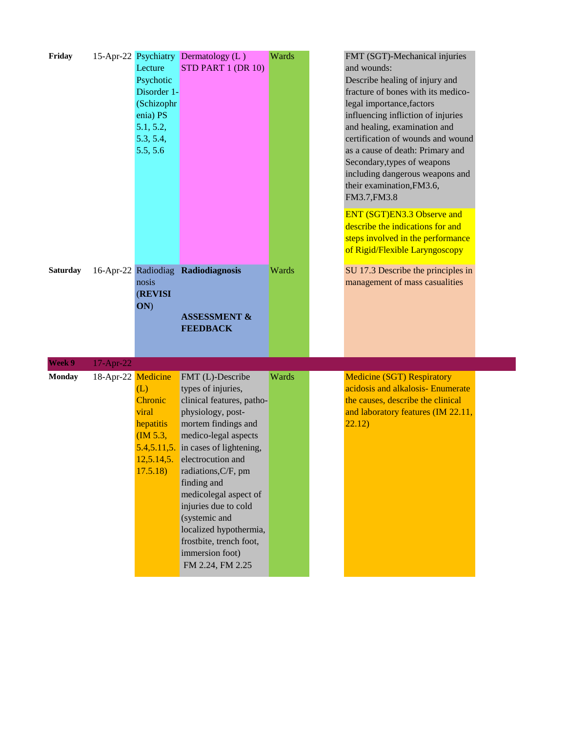| Friday          |                    | Lecture<br>Psychotic<br>Disorder 1-<br>(Schizophr<br>enia) PS<br>5.1, 5.2,<br>5.3, 5.4,<br>5.5, 5.6 | 15-Apr-22 Psychiatry Dermatology (L)<br>STD PART 1 (DR 10)                                                                                                                                                                                                                                                                                                                                                                 | Wards | FMT (SGT)-Mechanical injuries<br>and wounds:<br>Describe healing of injury and<br>fracture of bones with its medico-<br>legal importance, factors<br>influencing infliction of injuries<br>and healing, examination and<br>certification of wounds and wound<br>as a cause of death: Primary and<br>Secondary, types of weapons<br>including dangerous weapons and<br>their examination, FM3.6,<br>FM3.7, FM3.8<br>ENT (SGT)EN3.3 Observe and<br>describe the indications for and<br>steps involved in the performance<br>of Rigid/Flexible Laryngoscopy |
|-----------------|--------------------|-----------------------------------------------------------------------------------------------------|----------------------------------------------------------------------------------------------------------------------------------------------------------------------------------------------------------------------------------------------------------------------------------------------------------------------------------------------------------------------------------------------------------------------------|-------|----------------------------------------------------------------------------------------------------------------------------------------------------------------------------------------------------------------------------------------------------------------------------------------------------------------------------------------------------------------------------------------------------------------------------------------------------------------------------------------------------------------------------------------------------------|
| <b>Saturday</b> |                    | nosis<br><b>(REVISI)</b><br>ON)                                                                     | 16-Apr-22 Radiodiag Radiodiagnosis<br><b>ASSESSMENT &amp;</b><br><b>FEEDBACK</b>                                                                                                                                                                                                                                                                                                                                           | Wards | SU 17.3 Describe the principles in<br>management of mass casualities                                                                                                                                                                                                                                                                                                                                                                                                                                                                                     |
| Week 9          | 17-Apr-22          |                                                                                                     |                                                                                                                                                                                                                                                                                                                                                                                                                            |       |                                                                                                                                                                                                                                                                                                                                                                                                                                                                                                                                                          |
| <b>Monday</b>   | 18-Apr-22 Medicine | (L)<br>Chronic<br>viral<br>hepatitis<br>(M 5.3,<br>17.5.18                                          | FMT (L)-Describe<br>types of injuries,<br>clinical features, patho-<br>physiology, post-<br>mortem findings and<br>medico-legal aspects<br>$5.4, 5.11, 5$ . in cases of lightening,<br>$12,5.14,5$ . electrocution and<br>radiations, C/F, pm<br>finding and<br>medicolegal aspect of<br>injuries due to cold<br>(systemic and<br>localized hypothermia,<br>frostbite, trench foot,<br>immersion foot)<br>FM 2.24, FM 2.25 | Wards | <b>Medicine (SGT) Respiratory</b><br>acidosis and alkalosis- Enumerate<br>the causes, describe the clinical<br>and laboratory features (IM 22.11,<br>22.12)                                                                                                                                                                                                                                                                                                                                                                                              |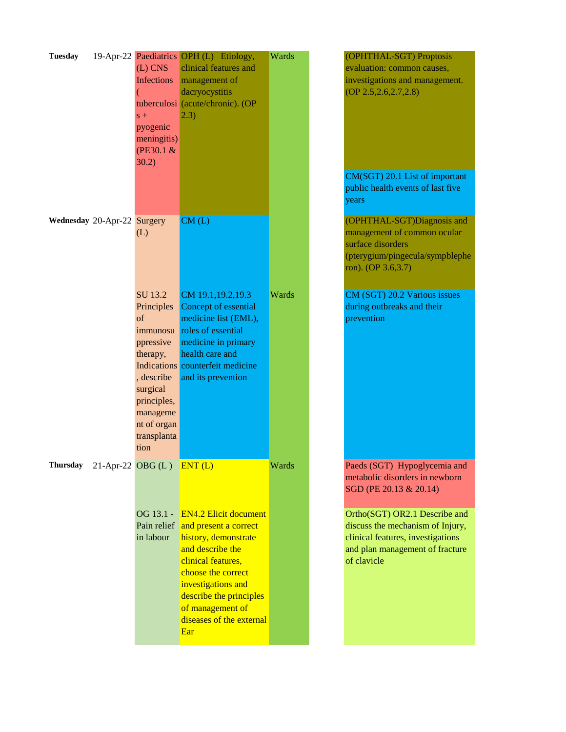| <b>Tuesday</b>              | $(L)$ CNS<br>Infections<br>$s +$<br>pyogenic<br>meningitis)<br>(PE30.1 &<br>30.2)                                                                           | 19-Apr-22 Paediatrics OPH (L) Etiology,<br>clinical features and<br>management of<br>dacryocystitis<br>tuberculosi (acute/chronic). (OP<br> 2.3)                                                                                                      | Wards | (OPHTHAL-SGT) Proptosis<br>evaluation: common causes,<br>investigations and management.<br>$OP$ 2.5, 2.6, 2.7, 2.8)<br>CM(SGT) 20.1 List of important<br>public health events of last five<br>years |
|-----------------------------|-------------------------------------------------------------------------------------------------------------------------------------------------------------|-------------------------------------------------------------------------------------------------------------------------------------------------------------------------------------------------------------------------------------------------------|-------|-----------------------------------------------------------------------------------------------------------------------------------------------------------------------------------------------------|
| Wednesday 20-Apr-22 Surgery | (L)                                                                                                                                                         | CM(L)                                                                                                                                                                                                                                                 |       | (OPHTHAL-SGT)Diagnosis and<br>management of common ocular<br>surface disorders<br>(pterygium/pingecula/sympblephe<br>ron). (OP 3.6,3.7)                                                             |
|                             | SU 13.2<br>Principles<br>of<br>immunosu<br>ppressive<br>therapy,<br>, describe<br>surgical<br>principles,<br>manageme<br>nt of organ<br>transplanta<br>tion | CM 19.1, 19.2, 19.3<br>Concept of essential<br>medicine list (EML),<br>roles of essential<br>medicine in primary<br>health care and<br>Indications counterfeit medicine<br>and its prevention                                                         | Wards | CM (SGT) 20.2 Various issues<br>during outbreaks and their<br>prevention                                                                                                                            |
|                             | Thursday 21-Apr-22 OBG $(L)$ ENT $(L)$                                                                                                                      |                                                                                                                                                                                                                                                       | Wards | Paeds (SGT) Hypoglycemia and<br>metabolic disorders in newborn<br>SGD (PE 20.13 & 20.14)                                                                                                            |
|                             | OG 13.1 -<br>Pain relief<br>in labour                                                                                                                       | <b>EN4.2 Elicit document</b><br>and present a correct<br>history, demonstrate<br>and describe the<br>clinical features,<br>choose the correct<br>investigations and<br>describe the principles<br>of management of<br>diseases of the external<br>Ear |       | Ortho(SGT) OR2.1 Describe and<br>discuss the mechanism of Injury,<br>clinical features, investigations<br>and plan management of fracture<br>of clavicle                                            |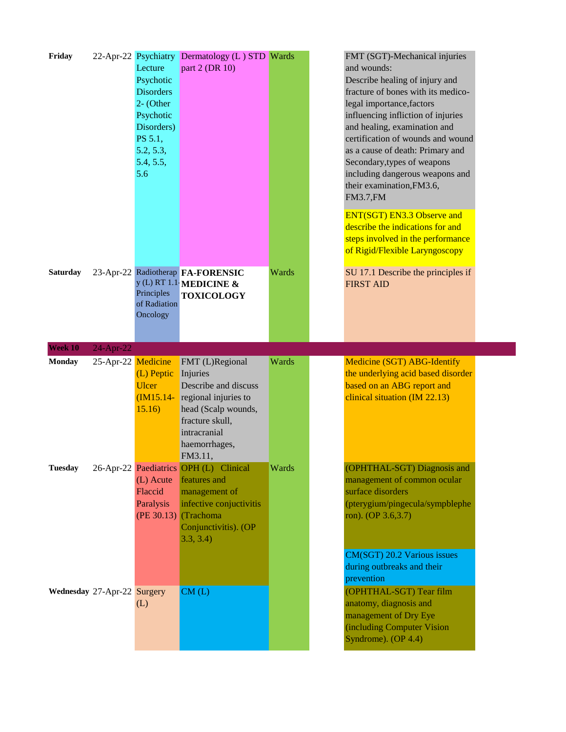| Friday         |                             | Lecture<br>Psychotic<br><b>Disorders</b><br>2- (Other<br>Psychotic<br>Disorders)<br>PS 5.1,<br>5.2, 5.3,<br>5.4, 5.5,<br>5.6 | 22-Apr-22 Psychiatry Dermatology (L) STD Wards<br>part 2 (DR 10)                                                                                                  |       | FMT (SGT)-Mechanical injuries<br>and wounds:<br>Describe healing of injury and<br>fracture of bones with its medico-<br>legal importance, factors<br>influencing infliction of injuries<br>and healing, examination and<br>certification of wounds and wound<br>as a cause of death: Primary and<br>Secondary, types of weapons<br>including dangerous weapons and<br>their examination, FM3.6,<br><b>FM3.7, FM</b><br><b>ENT(SGT) EN3.3 Observe and</b><br>describe the indications for and<br>steps involved in the performance<br>of Rigid/Flexible Laryngoscopy |
|----------------|-----------------------------|------------------------------------------------------------------------------------------------------------------------------|-------------------------------------------------------------------------------------------------------------------------------------------------------------------|-------|---------------------------------------------------------------------------------------------------------------------------------------------------------------------------------------------------------------------------------------------------------------------------------------------------------------------------------------------------------------------------------------------------------------------------------------------------------------------------------------------------------------------------------------------------------------------|
| Saturday       |                             | Principles<br>of Radiation<br>Oncology                                                                                       | 23-Apr-22 Radiotherap FA-FORENSIC<br>y (L) RT 1.1 MEDICINE $\&$<br><b>TOXICOLOGY</b>                                                                              | Wards | SU 17.1 Describe the principles if<br><b>FIRST AID</b>                                                                                                                                                                                                                                                                                                                                                                                                                                                                                                              |
| Week 10        | 24-Apr-22                   |                                                                                                                              |                                                                                                                                                                   |       |                                                                                                                                                                                                                                                                                                                                                                                                                                                                                                                                                                     |
| <b>Monday</b>  | 25-Apr-22 Medicine          | (L) Peptic<br><b>Ulcer</b><br>$(M15.14-$<br>15.16)                                                                           | FMT (L)Regional<br>Injuries<br>Describe and discuss<br>regional injuries to<br>head (Scalp wounds,<br>fracture skull,<br>intracranial<br>haemorrhages,<br>FM3.11, | Wards | Medicine (SGT) ABG-Identify<br>the underlying acid based disorder<br>based on an ABG report and<br>clinical situation (IM 22.13)                                                                                                                                                                                                                                                                                                                                                                                                                                    |
| <b>Tuesday</b> |                             | (L) Acute<br>Flaccid<br>Paralysis                                                                                            | 26-Apr-22 Paediatrics OPH (L) Clinical<br>features and<br>management of<br>infective conjuctivitis<br>(PE 30.13) (Trachoma<br>Conjunctivitis). (OP<br>3.3, 3.4    | Wards | (OPHTHAL-SGT) Diagnosis and<br>management of common ocular<br>surface disorders<br>(pterygium/pingecula/sympblephe<br>ron). (OP 3.6,3.7)<br>CM(SGT) 20.2 Various issues<br>during outbreaks and their                                                                                                                                                                                                                                                                                                                                                               |
|                | Wednesday 27-Apr-22 Surgery | (L)                                                                                                                          | CM(L)                                                                                                                                                             |       | prevention<br>(OPHTHAL-SGT) Tear film<br>anatomy, diagnosis and<br>management of Dry Eye<br>(including Computer Vision)<br>Syndrome). (OP 4.4)                                                                                                                                                                                                                                                                                                                                                                                                                      |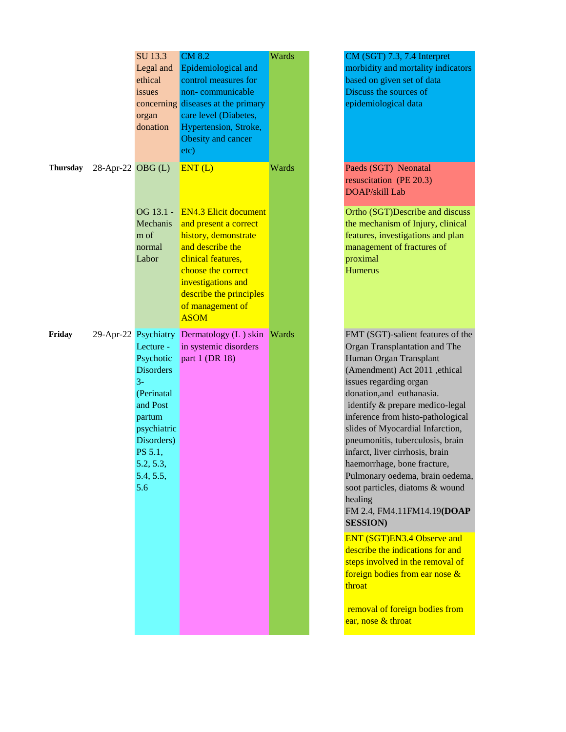|                 |                        | SU 13.3<br>Legal and<br>ethical<br>issues<br>organ<br>donation                                                                                                                          | <b>CM 8.2</b><br>Epidemiological and<br>control measures for<br>non-communicable<br>concerning diseases at the primary<br>care level (Diabetes,<br>Hypertension, Stroke,<br>Obesity and cancer<br>etc)                                      | Wards        | CM (SGT) 7.3, 7.4 Inte<br>morbidity and mortality<br>based on given set of da<br>Discuss the sources of<br>epidemiological data                                                                                                                                                                                                                                                                                                                                                                                                                                                                                      |
|-----------------|------------------------|-----------------------------------------------------------------------------------------------------------------------------------------------------------------------------------------|---------------------------------------------------------------------------------------------------------------------------------------------------------------------------------------------------------------------------------------------|--------------|----------------------------------------------------------------------------------------------------------------------------------------------------------------------------------------------------------------------------------------------------------------------------------------------------------------------------------------------------------------------------------------------------------------------------------------------------------------------------------------------------------------------------------------------------------------------------------------------------------------------|
| <b>Thursday</b> | $28$ -Apr-22 OBG $(L)$ | OG 13.1 -<br>Mechanis<br>m of<br>normal<br>Labor                                                                                                                                        | ENT(L)<br><b>EN4.3 Elicit document</b><br>and present a correct<br>history, demonstrate<br>and describe the<br>clinical features,<br>choose the correct<br>investigations and<br>describe the principles<br>of management of<br><b>ASOM</b> | Wards        | Paeds (SGT) Neonatal<br>resuscitation (PE 20.3)<br>DOAP/skill Lab<br>Ortho (SGT)Describe a<br>the mechanism of Injury<br>features, investigations<br>management of fracture<br>proximal<br><b>Humerus</b>                                                                                                                                                                                                                                                                                                                                                                                                            |
| Friday          |                        | 29-Apr-22 Psychiatry<br>Lecture -<br>Psychotic<br><b>Disorders</b><br>$3-$<br>(Perinatal<br>and Post<br>partum<br>psychiatric<br>Disorders)<br>PS 5.1,<br>5.2, 5.3,<br>5.4, 5.5,<br>5.6 | Dermatology (L) skin<br>in systemic disorders<br>part 1 (DR 18)                                                                                                                                                                             | <b>Wards</b> | FMT (SGT)-salient feat<br>Organ Transplantation a<br>Human Organ Transpla<br>(Amendment) Act 2011<br>issues regarding organ<br>donation, and euthanasi<br>identify & prepare med<br>inference from histo-pat<br>slides of Myocardial Inf<br>pneumonitis, tuberculos<br>infarct, liver cirrhosis, b<br>haemorrhage, bone frac<br>Pulmonary oedema, bra<br>soot particles, diatoms &<br>healing<br>FM 2.4, FM4.11FM14.<br><b>SESSION</b> )<br><b>ENT (SGT)EN3.4 Obse</b><br>describe the indications<br>steps involved in the ren<br>foreign bodies from ear<br>throat<br>removal of foreign bod<br>ear, nose & throat |

| Wards | CM (SGT) 7.3, 7.4 Interpret<br>morbidity and mortality indicators<br>based on given set of data<br>Discuss the sources of<br>epidemiological data                                                                                                                                                                                                                                                                                                                                                                                         |
|-------|-------------------------------------------------------------------------------------------------------------------------------------------------------------------------------------------------------------------------------------------------------------------------------------------------------------------------------------------------------------------------------------------------------------------------------------------------------------------------------------------------------------------------------------------|
| Wards | Paeds (SGT) Neonatal<br>resuscitation (PE 20.3)<br><b>DOAP</b> /skill Lab                                                                                                                                                                                                                                                                                                                                                                                                                                                                 |
|       | Ortho (SGT)Describe and discuss<br>the mechanism of Injury, clinical<br>features, investigations and plan<br>management of fractures of<br>proximal<br><b>Humerus</b>                                                                                                                                                                                                                                                                                                                                                                     |
| Wards | FMT (SGT)-salient features of the<br>Organ Transplantation and The<br>Human Organ Transplant<br>(Amendment) Act 2011, ethical<br>issues regarding organ<br>donation, and euthanasia.<br>identify & prepare medico-legal<br>inference from histo-pathological<br>slides of Myocardial Infarction,<br>pneumonitis, tuberculosis, brain<br>infarct, liver cirrhosis, brain<br>haemorrhage, bone fracture,<br>Pulmonary oedema, brain oedema,<br>soot particles, diatoms & wound<br>healing<br>FM 2.4, FM4.11FM14.19(DOAP<br><b>SESSION</b> ) |
|       | ENT (SGT)EN3.4 Observe and<br>describe the indications for and                                                                                                                                                                                                                                                                                                                                                                                                                                                                            |

steps involved in the removal of foreign bodies from ear nose & throat

 removal of foreign bodies from ear, nose & throat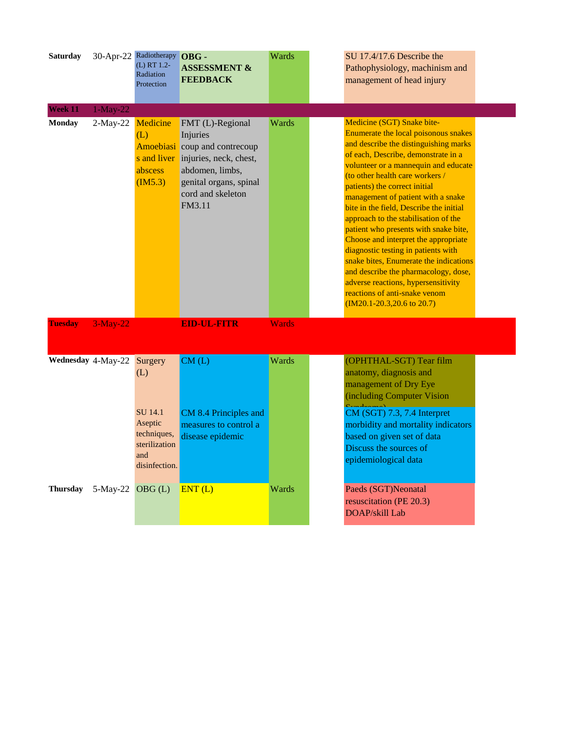| <b>Saturday</b>    |                  | 30-Apr-22 Radiotherapy OBG -<br>(L) RT 1.2-<br>Radiation<br>Protection | <b>ASSESSMENT &amp;</b><br><b>FEEDBACK</b>                                                                                                                                      | Wards        | SU 17.4/17.6 Describe the<br>Pathophysiology, machinism and<br>management of head injury                                                                                                                                                                                                                                                                                                                                                                                                                                                                                                                                                                                                                           |  |
|--------------------|------------------|------------------------------------------------------------------------|---------------------------------------------------------------------------------------------------------------------------------------------------------------------------------|--------------|--------------------------------------------------------------------------------------------------------------------------------------------------------------------------------------------------------------------------------------------------------------------------------------------------------------------------------------------------------------------------------------------------------------------------------------------------------------------------------------------------------------------------------------------------------------------------------------------------------------------------------------------------------------------------------------------------------------------|--|
| Week 11            | $1-May-22$       |                                                                        |                                                                                                                                                                                 |              |                                                                                                                                                                                                                                                                                                                                                                                                                                                                                                                                                                                                                                                                                                                    |  |
| <b>Monday</b>      | $2-May-22$       | Medicine<br>(L)<br>abscess<br>(M5.3)                                   | FMT (L)-Regional<br>Injuries<br>Amoebiasi coup and contrecoup<br>s and liver injuries, neck, chest,<br>abdomen, limbs,<br>genital organs, spinal<br>cord and skeleton<br>FM3.11 | Wards        | Medicine (SGT) Snake bite-<br>Enumerate the local poisonous snakes<br>and describe the distinguishing marks<br>of each, Describe, demonstrate in a<br>volunteer or a mannequin and educate<br>(to other health care workers /<br>patients) the correct initial<br>management of patient with a snake<br>bite in the field, Describe the initial<br>approach to the stabilisation of the<br>patient who presents with snake bite,<br>Choose and interpret the appropriate<br>diagnostic testing in patients with<br>snake bites, Enumerate the indications<br>and describe the pharmacology, dose,<br>adverse reactions, hypersensitivity<br>reactions of anti-snake venom<br>$(IM20.1-20.3,20.6 \text{ to } 20.7)$ |  |
| <b>Tuesday</b>     | $3-May-22$       |                                                                        | <b>EID-UL-FITR</b>                                                                                                                                                              | <b>Wards</b> |                                                                                                                                                                                                                                                                                                                                                                                                                                                                                                                                                                                                                                                                                                                    |  |
| Wednesday 4-May-22 |                  | Surgery<br>(L)<br>SU 14.1<br>Aseptic<br>techniques,                    | CM(L)<br>CM 8.4 Principles and<br>measures to control a<br>disease epidemic                                                                                                     | Wards        | (OPHTHAL-SGT) Tear film<br>anatomy, diagnosis and<br>management of Dry Eye<br>(including Computer Vision)<br>CM (SGT) 7.3, 7.4 Interpret<br>morbidity and mortality indicators<br>based on given set of data                                                                                                                                                                                                                                                                                                                                                                                                                                                                                                       |  |
|                    |                  | sterilization<br>and<br>disinfection.                                  |                                                                                                                                                                                 |              | Discuss the sources of<br>epidemiological data                                                                                                                                                                                                                                                                                                                                                                                                                                                                                                                                                                                                                                                                     |  |
| Thursday           | 5-May-22 OBG (L) |                                                                        | ENT(L)                                                                                                                                                                          | Wards        | Paeds (SGT)Neonatal<br>resuscitation (PE 20.3)<br>DOAP/skill Lab                                                                                                                                                                                                                                                                                                                                                                                                                                                                                                                                                                                                                                                   |  |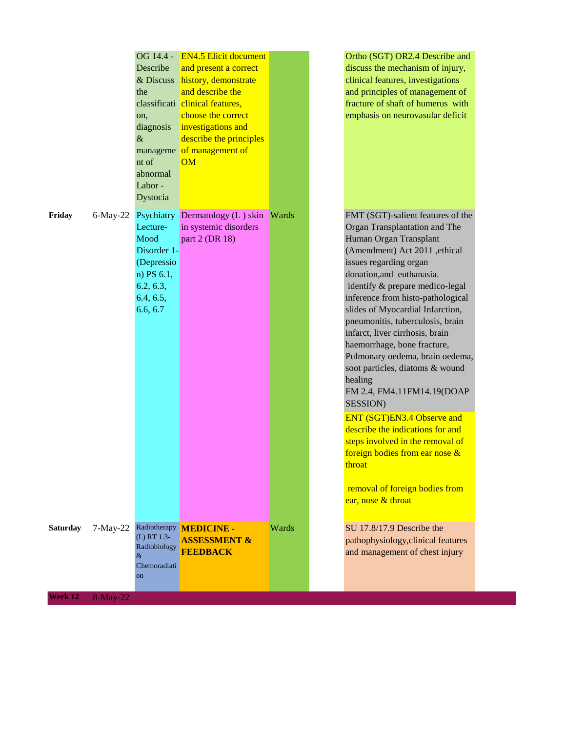|          |             | OG 14.4 -<br>Describe<br>& Discuss<br>the<br>on,<br>diagnosis<br>$\&$<br>manageme<br>nt of<br>abnormal<br>Labor-<br>Dystocia | <b>EN4.5 Elicit document</b><br>and present a correct<br>history, demonstrate<br>and describe the<br>classificati clinical features,<br>choose the correct<br>investigations and<br>describe the principles<br>of management of<br>OM |       | Ortho (SGT) OR2.4 Describe and<br>discuss the mechanism of injury,<br>clinical features, investigations<br>and principles of management of<br>fracture of shaft of humerus with<br>emphasis on neurovasular deficit                                                                                                                                                                                                                                                                                                               |
|----------|-------------|------------------------------------------------------------------------------------------------------------------------------|---------------------------------------------------------------------------------------------------------------------------------------------------------------------------------------------------------------------------------------|-------|-----------------------------------------------------------------------------------------------------------------------------------------------------------------------------------------------------------------------------------------------------------------------------------------------------------------------------------------------------------------------------------------------------------------------------------------------------------------------------------------------------------------------------------|
| Friday   | $6$ -May-22 | Psychiatry<br>Lecture-<br>Mood<br>Disorder 1-<br>(Depressio<br>$n)$ PS 6.1,<br>6.2, 6.3,<br>6.4, 6.5,<br>6.6, 6.7            | Dermatology (L) skin<br>in systemic disorders<br>part 2 (DR 18)                                                                                                                                                                       | Wards | FMT (SGT)-salient features of the<br>Organ Transplantation and The<br>Human Organ Transplant<br>(Amendment) Act 2011, ethical<br>issues regarding organ<br>donation, and euthanasia.<br>identify & prepare medico-legal<br>inference from histo-pathological<br>slides of Myocardial Infarction,<br>pneumonitis, tuberculosis, brain<br>infarct, liver cirrhosis, brain<br>haemorrhage, bone fracture,<br>Pulmonary oedema, brain oedema,<br>soot particles, diatoms & wound<br>healing<br>FM 2.4, FM4.11FM14.19(DOAP<br>SESSION) |
|          |             |                                                                                                                              |                                                                                                                                                                                                                                       |       | ENT (SGT)EN3.4 Observe and<br>describe the indications for and<br>steps involved in the removal of<br>foreign bodies from ear nose &<br>throat<br>removal of foreign bodies from<br>ear, nose & throat                                                                                                                                                                                                                                                                                                                            |
| Saturday | $7-May-22$  | Radiotherapy<br>(L) RT 1.3-<br>Radiobiology<br>&<br>Chemoradiati<br><sub>on</sub>                                            | <b>MEDICINE -</b><br><b>ASSESSMENT &amp;</b><br><b>FEEDBACK</b>                                                                                                                                                                       | Wards | SU 17.8/17.9 Describe the<br>pathophysiology, clinical features<br>and management of chest injury                                                                                                                                                                                                                                                                                                                                                                                                                                 |
| Week 12  | 8-May-22    |                                                                                                                              |                                                                                                                                                                                                                                       |       |                                                                                                                                                                                                                                                                                                                                                                                                                                                                                                                                   |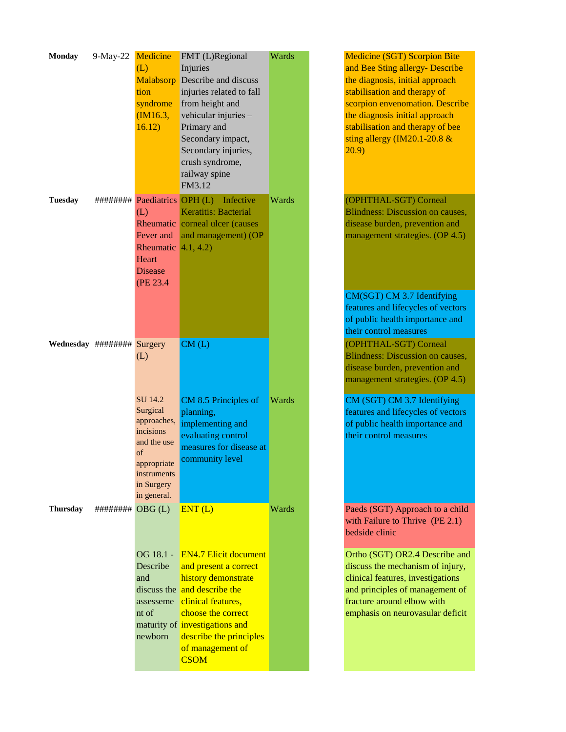| <b>Monday</b>  | 9-May-22            | Medicine                          | FMT (L)Regional                       | Wards |
|----------------|---------------------|-----------------------------------|---------------------------------------|-------|
|                |                     | (L)                               | Injuries                              |       |
|                |                     | Malabsorp                         | Describe and discuss                  |       |
|                |                     | tion                              | injuries related to fall              |       |
|                |                     | syndrome                          | from height and                       |       |
|                |                     | (M16.3,                           | vehicular injuries -                  |       |
|                |                     |                                   |                                       |       |
|                |                     | 16.12)                            | Primary and                           |       |
|                |                     |                                   | Secondary impact,                     |       |
|                |                     |                                   | Secondary injuries,                   |       |
|                |                     |                                   | crush syndrome,                       |       |
|                |                     |                                   | railway spine                         |       |
|                |                     |                                   | FM3.12                                |       |
| <b>Tuesday</b> |                     | ######### Paediatrics OPH (L)     | Infective                             | Wards |
|                |                     | (L)                               | Keratitis: Bacterial                  |       |
|                |                     | Rheumatic                         | corneal ulcer (causes                 |       |
|                |                     | Fever and                         |                                       |       |
|                |                     |                                   | and management) (OP                   |       |
|                |                     | Rheumatic $\left(4.1, 4.2\right)$ |                                       |       |
|                |                     | Heart                             |                                       |       |
|                |                     | <b>Disease</b>                    |                                       |       |
|                |                     | (PE 23.4)                         |                                       |       |
|                |                     |                                   |                                       |       |
|                |                     |                                   |                                       |       |
|                |                     |                                   |                                       |       |
|                |                     |                                   |                                       |       |
|                | Wednesday ######### | Surgery                           | CM(L)                                 |       |
|                |                     | (L)                               |                                       |       |
|                |                     |                                   |                                       |       |
|                |                     |                                   |                                       |       |
|                |                     |                                   |                                       |       |
|                |                     | SU 14.2                           | CM 8.5 Principles of                  | Wards |
|                |                     | Surgical                          | planning,                             |       |
|                |                     | approaches,                       | implementing and                      |       |
|                |                     | incisions                         | evaluating control                    |       |
|                |                     | and the use                       |                                       |       |
|                |                     | of                                | measures for disease at               |       |
|                |                     | appropriate                       | community level                       |       |
|                |                     | instruments                       |                                       |       |
|                |                     | in Surgery                        |                                       |       |
|                |                     | in general.                       |                                       |       |
| Thursday       | ########            | OBG(L)                            | ENT(L)                                | Wards |
|                |                     |                                   |                                       |       |
|                |                     |                                   |                                       |       |
|                |                     |                                   |                                       |       |
|                |                     | OG 18.1 -                         | <b>EN4.7 Elicit document</b>          |       |
|                |                     | Describe                          | and present a correct                 |       |
|                |                     | and                               | history demonstrate                   |       |
|                |                     |                                   | discuss the and describe the          |       |
|                |                     | assesseme                         | clinical features,                    |       |
|                |                     | nt of                             | choose the correct                    |       |
|                |                     |                                   |                                       |       |
|                |                     |                                   | maturity of <i>investigations</i> and |       |
|                |                     | newborn                           | describe the principles               |       |
|                |                     |                                   | of management of                      |       |
|                |                     |                                   | <b>CSOM</b>                           |       |

Medicine (SGT) Scorpion Bite and Bee Sting allergy- Describe the diagnosis, initial approach stabilisation and therapy of scorpion envenomation. Describe the diagnosis initial approach stabilisation and therapy of bee sting allergy (IM20.1-20.8 & 20.9) (OPHTHAL-SGT) Corneal Blindness: Discussion on causes, disease burden, prevention and management strategies. (OP 4.5) CM(SGT) CM 3.7 Identifying features and lifecycles of vectors of public health importance and their control measures (OPHTHAL-SGT) Corneal Blindness: Discussion on causes, disease burden, prevention and management strategies. (OP 4.5) CM (SGT) CM 3.7 Identifying features and lifecycles of vectors of public health importance and their control measures Paeds (SGT) Approach to a child Ortho (SGT) OR2.4 Describe and

with Failure to Thrive (PE 2.1) bedside clinic

discuss the mechanism of injury, clinical features, investigations and principles of management of fracture around elbow with emphasis on neurovasular deficit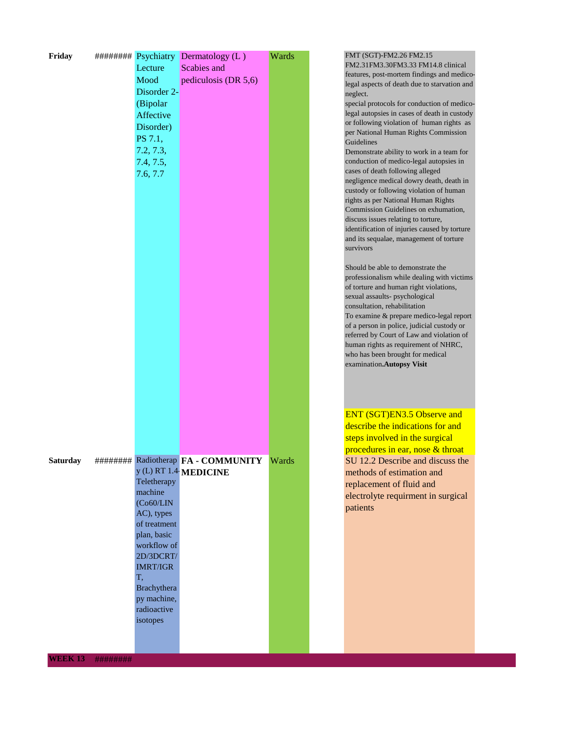| Friday          | Lecture                           | ######### Psychiatry Dermatology (L)<br>Scabies and | Wards |  |
|-----------------|-----------------------------------|-----------------------------------------------------|-------|--|
|                 | Mood<br>Disorder 2-               | pediculosis (DR 5,6)                                |       |  |
|                 | (Bipolar                          |                                                     |       |  |
|                 | Affective                         |                                                     |       |  |
|                 | Disorder)                         |                                                     |       |  |
|                 | PS 7.1,                           |                                                     |       |  |
|                 | 7.2, 7.3,                         |                                                     |       |  |
|                 | 7.4, 7.5,                         |                                                     |       |  |
|                 | 7.6, 7.7                          |                                                     |       |  |
|                 |                                   |                                                     |       |  |
|                 |                                   |                                                     |       |  |
|                 |                                   |                                                     |       |  |
|                 |                                   |                                                     |       |  |
|                 |                                   |                                                     |       |  |
|                 |                                   |                                                     |       |  |
|                 |                                   |                                                     |       |  |
|                 |                                   |                                                     |       |  |
|                 |                                   |                                                     |       |  |
|                 |                                   |                                                     |       |  |
|                 |                                   |                                                     |       |  |
|                 |                                   |                                                     |       |  |
|                 |                                   |                                                     |       |  |
|                 |                                   |                                                     |       |  |
|                 |                                   |                                                     |       |  |
|                 |                                   |                                                     |       |  |
|                 |                                   |                                                     |       |  |
|                 |                                   |                                                     |       |  |
|                 |                                   |                                                     |       |  |
| <b>Saturday</b> |                                   | ######## Radiotherap FA - COMMUNITY                 | Wards |  |
|                 |                                   | y (L) RT 1.4 MEDICINE                               |       |  |
|                 | Teletherapy                       |                                                     |       |  |
|                 | machine<br>(Co60/LIN)             |                                                     |       |  |
|                 | AC), types                        |                                                     |       |  |
|                 | of treatment                      |                                                     |       |  |
|                 | plan, basic<br>workflow of        |                                                     |       |  |
|                 | 2D/3DCRT/                         |                                                     |       |  |
|                 | <b>IMRT/IGR</b>                   |                                                     |       |  |
|                 | T,                                |                                                     |       |  |
|                 | <b>Brachythera</b><br>py machine, |                                                     |       |  |
|                 | radioactive                       |                                                     |       |  |
|                 | isotopes                          |                                                     |       |  |
|                 |                                   |                                                     |       |  |
|                 |                                   |                                                     |       |  |

FMT (SGT)-FM2.26 FM2.15

FM2.31FM3.30FM3.33 FM14.8 clinical features, post-mortem findings and medicolegal aspects of death due to starvation and neglect.

special protocols for conduction of medicolegal autopsies in cases of death in custody or following violation of human rights as per National Human Rights Commission Guidelines

Demonstrate ability to work in a team for conduction of medico-legal autopsies in cases of death following alleged negligence medical dowry death, death in custody or following violation of human rights as per National Human Rights Commission Guidelines on exhumation, discuss issues relating to torture, identification of injuries caused by torture and its sequalae, management of torture survivors

Should be able to demonstrate the professionalism while dealing with victims of torture and human right violations, sexual assaults- psychological consultation, rehabilitation To examine & prepare medico-legal report of a person in police, judicial custody or referred by Court of Law and violation of human rights as requirement of NHRC, who has been brought for medical examination**.Autopsy Visit**

ENT (SGT)EN3.5 Observe and describe the indications for and steps involved in the surgical procedures in ear, nose & throat SU 12.2 Describe and discuss the methods of estimation and replacement of fluid and electrolyte requirment in surgical patients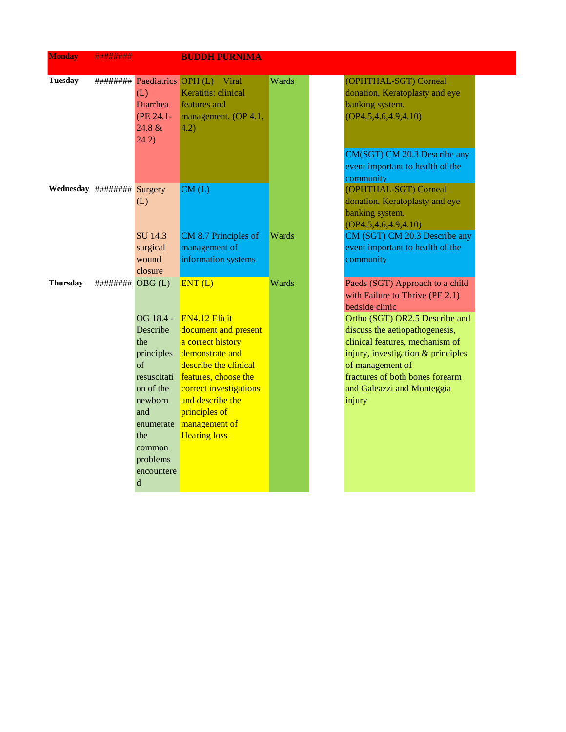| <b>Monday</b>              | ########          |                                                                                                                                                        | <b>BUDDH PURNIMA</b>                                                                                                                                                                                                                                      |       |                                                                                                                                                                                                                                                                                                                                  |
|----------------------------|-------------------|--------------------------------------------------------------------------------------------------------------------------------------------------------|-----------------------------------------------------------------------------------------------------------------------------------------------------------------------------------------------------------------------------------------------------------|-------|----------------------------------------------------------------------------------------------------------------------------------------------------------------------------------------------------------------------------------------------------------------------------------------------------------------------------------|
| <b>Tuesday</b>             |                   | (L)<br><b>Diarrhea</b><br>(PE 24.1-<br>24.8 &<br>(24.2)                                                                                                | ######### Paediatrics OPH (L) Viral<br>Keratitis: clinical<br>features and<br>management. (OP 4.1,<br>(4.2)                                                                                                                                               | Wards | (OPHTHAL-SGT) Corneal<br>donation, Keratoplasty and eye<br>banking system.<br>(OP4.5, 4.6, 4.9, 4.10)                                                                                                                                                                                                                            |
|                            |                   |                                                                                                                                                        |                                                                                                                                                                                                                                                           |       | CM(SGT) CM 20.3 Describe any<br>event important to health of the<br>community                                                                                                                                                                                                                                                    |
| Wednesday ######## Surgery |                   | (L)                                                                                                                                                    | CM(L)                                                                                                                                                                                                                                                     |       | (OPHTHAL-SGT) Corneal<br>donation, Keratoplasty and eye<br>banking system.<br>(OP4.5, 4.6, 4.9, 4.10)                                                                                                                                                                                                                            |
|                            |                   | SU 14.3<br>surgical<br>wound<br>closure                                                                                                                | CM 8.7 Principles of<br>management of<br>information systems                                                                                                                                                                                              | Wards | CM (SGT) CM 20.3 Describe any<br>event important to health of the<br>community                                                                                                                                                                                                                                                   |
| <b>Thursday</b>            | ######### OBG (L) | Describe<br>the<br>principles<br>$\alpha$ f<br>resuscitati<br>on of the<br>newborn<br>and<br>enumerate<br>the<br>common<br>problems<br>encountere<br>d | ENT(L)<br>OG 18.4 - EN4.12 Elicit<br>document and present<br>a correct history<br>demonstrate and<br>describe the clinical<br>features, choose the<br>correct investigations<br>and describe the<br>principles of<br>management of<br><b>Hearing loss</b> | Wards | Paeds (SGT) Approach to a child<br>with Failure to Thrive (PE 2.1)<br>bedside clinic<br>Ortho (SGT) OR2.5 Describe and<br>discuss the aetiopathogenesis,<br>clinical features, mechanism of<br>injury, investigation & principles<br>of management of<br>fractures of both bones forearm<br>and Galeazzi and Monteggia<br>injury |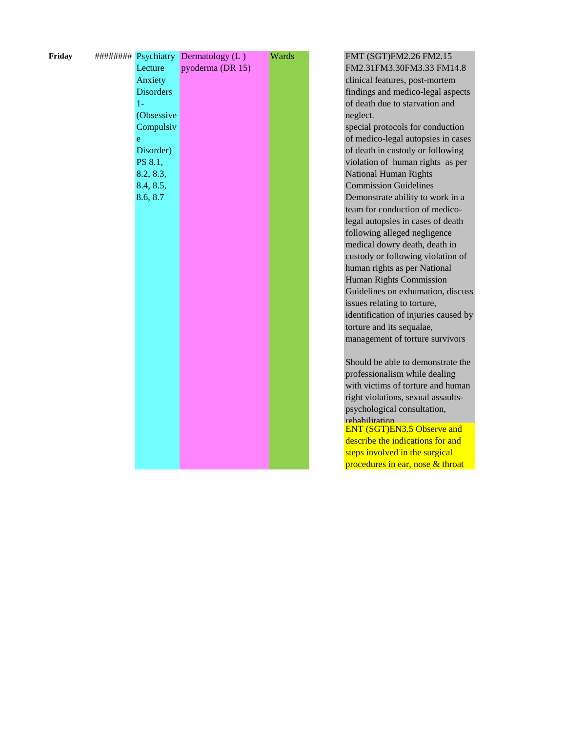| Friday |                  | ######### Psychiatry Dermatology (L) | Wards |
|--------|------------------|--------------------------------------|-------|
|        | Lecture          | pyoderma (DR 15)                     |       |
|        | Anxiety          |                                      |       |
|        | <b>Disorders</b> |                                      |       |
|        | $1-$             |                                      |       |
|        | (Obsessive       |                                      |       |
|        | Compulsiv        |                                      |       |
|        | $\mathbf{e}$     |                                      |       |
|        | Disorder)        |                                      |       |
|        | PS 8.1,          |                                      |       |
|        | 8.2, 8.3,        |                                      |       |
|        | 8.4, 8.5,        |                                      |       |
|        | 8.6, 8.7         |                                      |       |
|        |                  |                                      |       |
|        |                  |                                      |       |
|        |                  |                                      |       |
|        |                  |                                      |       |
|        |                  |                                      |       |
|        |                  |                                      |       |
|        |                  |                                      |       |
|        |                  |                                      |       |
|        |                  |                                      |       |
|        |                  |                                      |       |
|        |                  |                                      |       |
|        |                  |                                      |       |
|        |                  |                                      |       |
|        |                  |                                      |       |
|        |                  |                                      |       |
|        |                  |                                      |       |
|        |                  |                                      |       |
|        |                  |                                      |       |
|        |                  |                                      |       |
|        |                  |                                      |       |
|        |                  |                                      |       |
|        |                  |                                      |       |

FMT (SGT)FM2.26 FM2.15 FM2.31FM3.30FM3.33 FM14.8 clinical features, post-mortem findings and medico-legal aspects of death due to starvation and neglect.

special protocols for conduction of medico-legal autopsies in cases of death in custody or following violation of human rights as per National Human Rights Commission Guidelines Demonstrate ability to work in a team for conduction of medicolegal autopsies in cases of death following alleged negligence medical dowry death, death in custody or following violation of human rights as per National Human Rights Commission Guidelines on exhumation, discuss issues relating to torture, identification of injuries caused by torture and its sequalae, management of torture survivors

Should be able to demonstrate the professionalism while dealing with victims of torture and human right violations, sexual assaultspsychological consultation, rehabilitation ENT (SGT)EN3.5 Observe and describe the indications for and steps involved in the surgical procedures in ear, nose & throat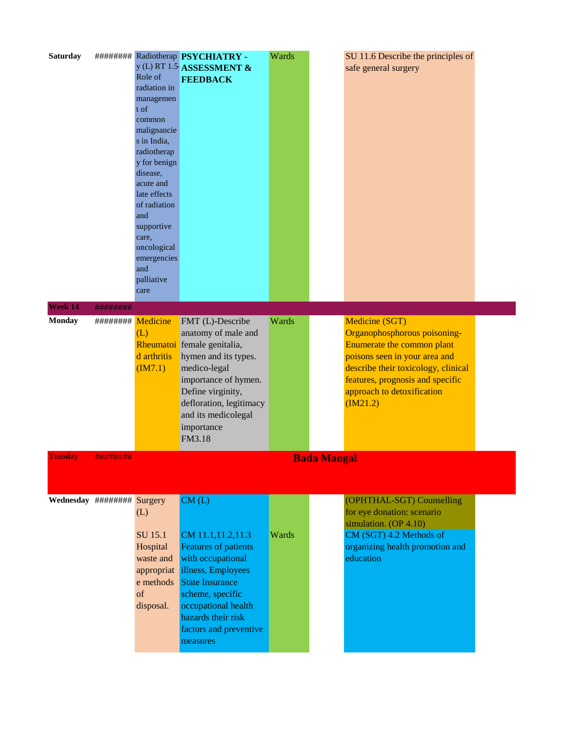| <b>Saturday</b>            |                    | Role of<br>radiation in<br>managemen<br>t of<br>common<br>malignancie<br>s in India,<br>radiotherap<br>y for benign<br>disease,<br>acute and<br>late effects<br>of radiation<br>and<br>supportive<br>care,<br>oncological<br>emergencies<br>and<br>palliative<br>care | ######## Radiotherap PSYCHIATRY -<br>y (L) RT 1.5 ASSESSMENT &<br><b>FEEDBACK</b>                                                                                                                                                     | Wards | SU 11.6 Describe the principles of<br>safe general surgery                                                                                                                                                                        |  |
|----------------------------|--------------------|-----------------------------------------------------------------------------------------------------------------------------------------------------------------------------------------------------------------------------------------------------------------------|---------------------------------------------------------------------------------------------------------------------------------------------------------------------------------------------------------------------------------------|-------|-----------------------------------------------------------------------------------------------------------------------------------------------------------------------------------------------------------------------------------|--|
| Week 14                    | ########           |                                                                                                                                                                                                                                                                       |                                                                                                                                                                                                                                       |       |                                                                                                                                                                                                                                   |  |
| <b>Monday</b>              | ######### Medicine | (L)<br>d arthritis<br>(M7.1)                                                                                                                                                                                                                                          | FMT (L)-Describe<br>anatomy of male and<br>Rheumatoi female genitalia,<br>hymen and its types.<br>medico-legal<br>importance of hymen.<br>Define virginity,<br>defloration, legitimacy<br>and its medicolegal<br>importance<br>FM3.18 | Wards | Medicine (SGT)<br>Organophosphorous poisoning-<br>Enumerate the common plant<br>poisons seen in your area and<br>describe their toxicology, clinical<br>features, prognosis and specific<br>approach to detoxification<br>(M21.2) |  |
| <b>Tuesday</b>             | ########           |                                                                                                                                                                                                                                                                       |                                                                                                                                                                                                                                       |       | <b>Bada Mangal</b>                                                                                                                                                                                                                |  |
| Wednesday ######## Surgery |                    | (L)<br>SU 15.1<br>Hospital<br>waste and<br>appropriat<br>e methods<br>of<br>disposal.                                                                                                                                                                                 | CM(L)<br>CM 11.1,11.2,11.3<br><b>Features of patients</b><br>with occupational<br>illness, Employees<br><b>State Insurance</b><br>scheme, specific<br>occupational health<br>hazards their risk<br>factors and preventive<br>measures | Wards | (OPHTHAL-SGT) Counselling<br>for eye donation: scenario<br>simulation. (OP 4.10)<br>CM (SGT) 4.2 Methods of<br>organizing health promotion and<br>education                                                                       |  |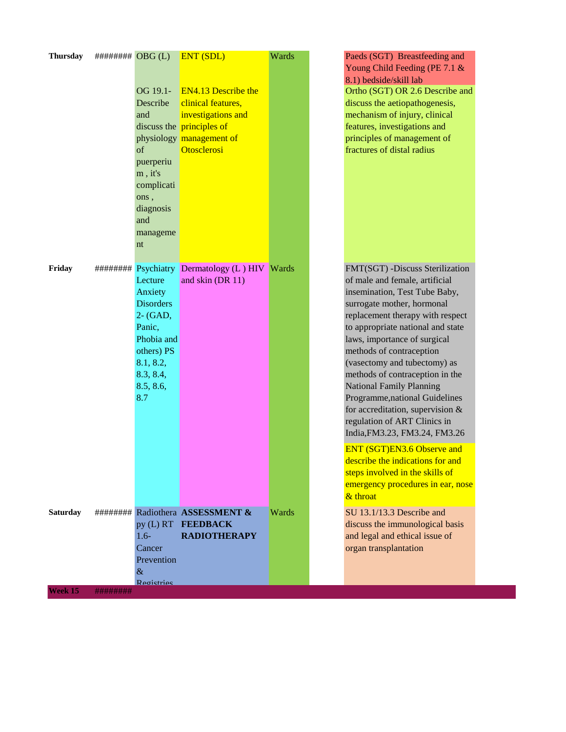| Psychiatry Dermatology (L) HIV<br>FMT(SGT) -Discuss Sterilization<br>Friday<br>########<br>Wards<br>and skin (DR 11)<br>of male and female, artificial<br>Lecture<br>insemination, Test Tube Baby,<br>Anxiety<br><b>Disorders</b><br>surrogate mother, hormonal<br>$2 - (GAD,$<br>replacement therapy with respect<br>to appropriate national and state<br>Panic,<br>Phobia and<br>laws, importance of surgical<br>others) PS<br>methods of contraception<br>8.1, 8.2,<br>(vasectomy and tubectomy) as<br>8.3, 8.4,<br>methods of contraception in the<br>8.5, 8.6,<br><b>National Family Planning</b><br>Programme, national Guidelines<br>8.7<br>for accreditation, supervision &<br>regulation of ART Clinics in<br>India, FM3.23, FM3.24, FM3.26<br>ENT (SGT)EN3.6 Observe and<br>describe the indications for and<br>steps involved in the skills of<br>& throat<br>######### Radiothera ASSESSMENT &<br>SU 13.1/13.3 Describe and<br><b>Saturday</b><br>Wards<br>py (L) RT FEEDBACK<br>discuss the immunological basis<br><b>RADIOTHERAPY</b><br>$1.6 -$<br>and legal and ethical issue of<br>organ transplantation<br>Cancer<br>Prevention<br>$\&$<br>Registries | <b>Thursday</b> | ######### OBG(L) | OG 19.1-<br>Describe<br>and<br>of<br>puerperiu<br>$m$ , it's<br>complicati<br>ons,<br>diagnosis<br>and<br>manageme<br>nt | <b>ENT (SDL)</b><br><b>EN4.13 Describe the</b><br>clinical features,<br>investigations and<br>discuss the principles of<br>physiology management of<br>Otosclerosi | Wards | Paeds (SGT) Breastfeeding and<br>Young Child Feeding (PE 7.1 &<br>8.1) bedside/skill lab<br>Ortho (SGT) OR 2.6 Describe and<br>discuss the aetiopathogenesis,<br>mechanism of injury, clinical<br>features, investigations and<br>principles of management of<br>fractures of distal radius |
|-------------------------------------------------------------------------------------------------------------------------------------------------------------------------------------------------------------------------------------------------------------------------------------------------------------------------------------------------------------------------------------------------------------------------------------------------------------------------------------------------------------------------------------------------------------------------------------------------------------------------------------------------------------------------------------------------------------------------------------------------------------------------------------------------------------------------------------------------------------------------------------------------------------------------------------------------------------------------------------------------------------------------------------------------------------------------------------------------------------------------------------------------------------------------|-----------------|------------------|--------------------------------------------------------------------------------------------------------------------------|--------------------------------------------------------------------------------------------------------------------------------------------------------------------|-------|---------------------------------------------------------------------------------------------------------------------------------------------------------------------------------------------------------------------------------------------------------------------------------------------|
|                                                                                                                                                                                                                                                                                                                                                                                                                                                                                                                                                                                                                                                                                                                                                                                                                                                                                                                                                                                                                                                                                                                                                                         |                 |                  |                                                                                                                          |                                                                                                                                                                    |       |                                                                                                                                                                                                                                                                                             |
|                                                                                                                                                                                                                                                                                                                                                                                                                                                                                                                                                                                                                                                                                                                                                                                                                                                                                                                                                                                                                                                                                                                                                                         |                 |                  |                                                                                                                          |                                                                                                                                                                    |       | emergency procedures in ear, nose                                                                                                                                                                                                                                                           |
|                                                                                                                                                                                                                                                                                                                                                                                                                                                                                                                                                                                                                                                                                                                                                                                                                                                                                                                                                                                                                                                                                                                                                                         | Week 15         | ########         |                                                                                                                          |                                                                                                                                                                    |       |                                                                                                                                                                                                                                                                                             |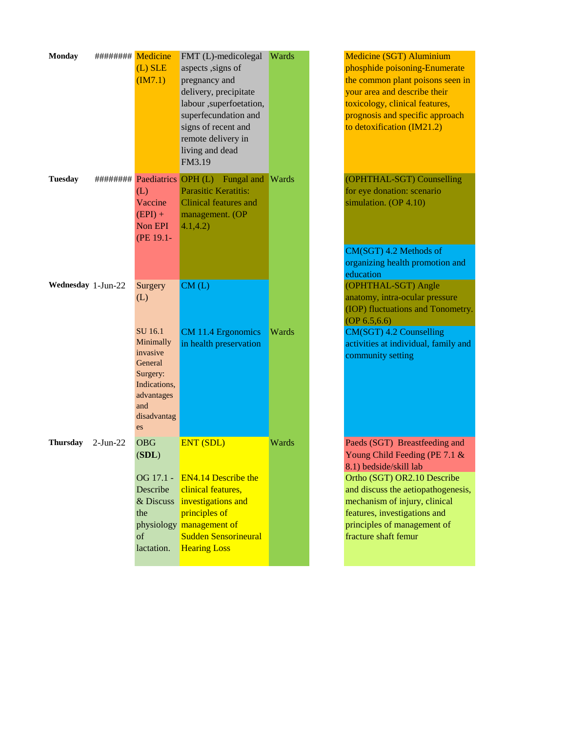| <b>Monday</b>      | ######### Medicine | $(L)$ SLE<br>(M7.1)                                                                                               | FMT (L)-medicolegal<br>aspects , signs of<br>pregnancy and<br>delivery, precipitate<br>labour , superfoetation,<br>superfecundation and<br>signs of recent and<br>remote delivery in<br>living and dead<br>FM3.19 | <b>Wards</b> | Medicine (SGT) Aluminium<br>phosphide poisoning-Enumerate<br>the common plant poisons seen in<br>your area and describe their<br>toxicology, clinical features,<br>prognosis and specific approach<br>to detoxification (IM21.2) |
|--------------------|--------------------|-------------------------------------------------------------------------------------------------------------------|-------------------------------------------------------------------------------------------------------------------------------------------------------------------------------------------------------------------|--------------|----------------------------------------------------------------------------------------------------------------------------------------------------------------------------------------------------------------------------------|
| <b>Tuesday</b>     |                    | (L)<br>Vaccine<br>$(EPI) +$<br>Non EPI<br>(PE 19.1-                                                               | ######### Paediatrics OPH (L) Fungal and<br>Parasitic Keratitis:<br><b>Clinical features and</b><br>management. (OP<br>4.1, 4.2)                                                                                  | <b>Wards</b> | (OPHTHAL-SGT) Counselling<br>for eye donation: scenario<br>simulation. (OP 4.10)<br>CM(SGT) 4.2 Methods of                                                                                                                       |
| Wednesday 1-Jun-22 |                    | Surgery<br>(L)                                                                                                    | CM(L)                                                                                                                                                                                                             |              | organizing health promotion and<br>education<br>(OPHTHAL-SGT) Angle<br>anatomy, intra-ocular pressure<br>(IOP) fluctuations and Tonometry.                                                                                       |
|                    |                    | SU 16.1<br>Minimally<br>invasive<br>General<br>Surgery:<br>Indications,<br>advantages<br>and<br>disadvantag<br>es | CM 11.4 Ergonomics<br>in health preservation                                                                                                                                                                      | Wards        | OP 6.5, 6.6<br>CM(SGT) 4.2 Counselling<br>activities at individual, family and<br>community setting                                                                                                                              |
| <b>Thursday</b>    | $2-Jun-22$         | <b>OBG</b><br>(SDL)                                                                                               | <b>ENT (SDL)</b><br><b>EN4.14 Describe the</b>                                                                                                                                                                    | Wards        | Paeds (SGT) Breastfeeding and<br>Young Child Feeding (PE 7.1 &<br>8.1) bedside/skill lab                                                                                                                                         |
|                    |                    | OG 17.1 -<br>Describe<br>& Discuss<br>the<br>of<br>lactation.                                                     | clinical features,<br>investigations and<br>principles of<br>physiology management of<br>Sudden Sensorineural<br><b>Hearing Loss</b>                                                                              |              | Ortho (SGT) OR2.10 Describe<br>and discuss the aetiopathogenesis,<br>mechanism of injury, clinical<br>features, investigations and<br>principles of management of<br>fracture shaft femur                                        |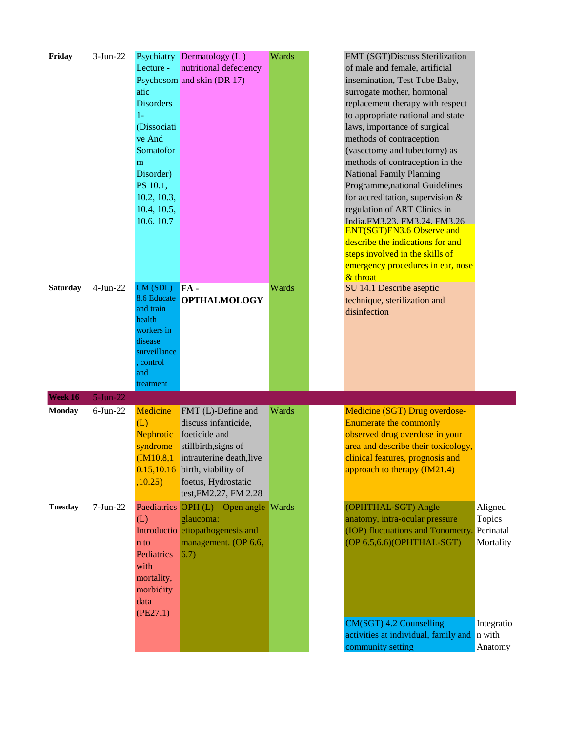| Friday                   | $3-Jun-22$                | Lecture -<br>atic<br><b>Disorders</b><br>$1-$<br>(Dissociati<br>ve And<br>Somatofor<br>m<br>Disorder)<br>PS 10.1,<br>10.2, 10.3,<br>10.4, 10.5,<br>10.6.10.7 | Psychiatry Dermatology (L)<br>nutritional defeciency<br>Psychosom and skin (DR 17)                                                                                                                               | Wards | FMT (SGT)Discuss Sterilization<br>of male and female, artificial<br>insemination, Test Tube Baby,<br>surrogate mother, hormonal<br>replacement therapy with respect<br>to appropriate national and state<br>laws, importance of surgical<br>methods of contraception<br>(vasectomy and tubectomy) as<br>methods of contraception in the<br><b>National Family Planning</b><br>Programme, national Guidelines<br>for accreditation, supervision &<br>regulation of ART Clinics in<br>India.FM3.23. FM3.24. FM3.26<br>ENT(SGT)EN3.6 Observe and<br>describe the indications for and<br>steps involved in the skills of<br>emergency procedures in ear, nose<br>& throat |                                                                                |
|--------------------------|---------------------------|--------------------------------------------------------------------------------------------------------------------------------------------------------------|------------------------------------------------------------------------------------------------------------------------------------------------------------------------------------------------------------------|-------|-----------------------------------------------------------------------------------------------------------------------------------------------------------------------------------------------------------------------------------------------------------------------------------------------------------------------------------------------------------------------------------------------------------------------------------------------------------------------------------------------------------------------------------------------------------------------------------------------------------------------------------------------------------------------|--------------------------------------------------------------------------------|
| <b>Saturday</b>          | $4-Jun-22$                | CM (SDL)<br>8.6 Educate<br>and train<br>health<br>workers in<br>disease<br>surveillance<br>control<br>and<br>treatment                                       | FA-<br><b>OPTHALMOLOGY</b>                                                                                                                                                                                       | Wards | SU 14.1 Describe aseptic<br>technique, sterilization and<br>disinfection                                                                                                                                                                                                                                                                                                                                                                                                                                                                                                                                                                                              |                                                                                |
| Week 16<br><b>Monday</b> | $5-Jun-22$<br>$6$ -Jun-22 | Medicine<br>(L)<br>Nephrotic<br>syndrome<br>,10.25)                                                                                                          | FMT (L)-Define and<br>discuss infanticide,<br>foeticide and<br>stillbirth, signs of<br>$(IM10.8,1)$ intrauterine death, live<br>$0.15,10.16$ birth, viability of<br>foetus, Hydrostatic<br>test, FM2.27, FM 2.28 | Wards | Medicine (SGT) Drug overdose-<br>Enumerate the commonly<br>observed drug overdose in your<br>area and describe their toxicology,<br>clinical features, prognosis and<br>approach to therapy (IM21.4)                                                                                                                                                                                                                                                                                                                                                                                                                                                                  |                                                                                |
| <b>Tuesday</b>           | $7-Jun-22$                | (L)<br>n to<br>Pediatrics<br>with<br>mortality,<br>morbidity<br>data<br>(PE27.1)                                                                             | Paediatrics OPH (L) Open angle Wards<br>glaucoma:<br>Introductio etiopathogenesis and<br>management. (OP 6.6,<br>6.7)                                                                                            |       | (OPHTHAL-SGT) Angle<br>anatomy, intra-ocular pressure<br>(IOP) fluctuations and Tonometry.<br>(OP 6.5,6.6)(OPHTHAL-SGT)<br>CM(SGT) 4.2 Counselling<br>activities at individual, family and<br>community setting                                                                                                                                                                                                                                                                                                                                                                                                                                                       | Aligned<br>Topics<br>Perinatal<br>Mortality<br>Integratio<br>n with<br>Anatomy |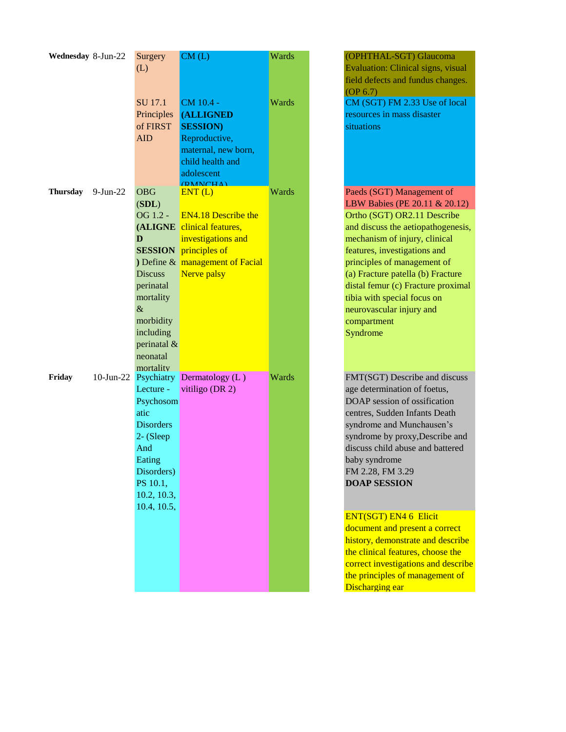| Wednesday 8-Jun-22 |              | Surgery          | CM(L)                        | Wards |  |
|--------------------|--------------|------------------|------------------------------|-------|--|
|                    |              | (L)              |                              |       |  |
|                    |              |                  |                              |       |  |
|                    |              |                  |                              |       |  |
|                    |              | <b>SU</b> 17.1   | CM 10.4 -                    | Wards |  |
|                    |              | Principles       | <b>(ALLIGNED)</b>            |       |  |
|                    |              | of FIRST         | <b>SESSION</b> )             |       |  |
|                    |              | <b>AID</b>       | Reproductive,                |       |  |
|                    |              |                  | maternal, new born,          |       |  |
|                    |              |                  | child health and             |       |  |
|                    |              |                  | adolescent                   |       |  |
|                    |              |                  | <b>(DMNCHA)</b>              |       |  |
| Thursday           | 9-Jun-22     | <b>OBG</b>       | ENT(L)                       | Wards |  |
|                    |              | (SDL)            |                              |       |  |
|                    |              | OG 1.2 -         | <b>EN4.18 Describe the</b>   |       |  |
|                    |              | (ALIGNE          | clinical features,           |       |  |
|                    |              | D                | investigations and           |       |  |
|                    |              |                  | <b>SESSION</b> principles of |       |  |
|                    |              | ) Define &       | management of Facial         |       |  |
|                    |              | <b>Discuss</b>   | Nerve palsy                  |       |  |
|                    |              | perinatal        |                              |       |  |
|                    |              | mortality        |                              |       |  |
|                    |              | $\&$             |                              |       |  |
|                    |              | morbidity        |                              |       |  |
|                    |              | including        |                              |       |  |
|                    |              | perinatal &      |                              |       |  |
|                    |              | neonatal         |                              |       |  |
|                    |              | mortality        |                              |       |  |
| Friday             | $10$ -Jun-22 | Psychiatry       | Dermatology (L)              | Wards |  |
|                    |              | Lecture -        | vitiligo (DR 2)              |       |  |
|                    |              | Psychosom        |                              |       |  |
|                    |              | atic             |                              |       |  |
|                    |              | <b>Disorders</b> |                              |       |  |
|                    |              | 2- (Sleep        |                              |       |  |
|                    |              | And              |                              |       |  |
|                    |              | Eating           |                              |       |  |
|                    |              | Disorders)       |                              |       |  |
|                    |              | PS 10.1,         |                              |       |  |
|                    |              | 10.2, 10.3,      |                              |       |  |
|                    |              | 10.4, 10.5,      |                              |       |  |
|                    |              |                  |                              |       |  |
|                    |              |                  |                              |       |  |
|                    |              |                  |                              |       |  |
|                    |              |                  |                              |       |  |
|                    |              |                  |                              |       |  |
|                    |              |                  |                              |       |  |
|                    |              |                  |                              |       |  |

Evaluation: Clinical signs, visual field defects and fundus changes. (OP 6.7) CM (SGT) FM 2.33 Use of local resources in mass disaster situations Paeds (SGT) Management of LBW Babies (PE 20.11 & 20.12) Ortho (SGT) OR2.11 Describe and discuss the aetiopathogenesis, mechanism of injury, clinical features, investigations and principles of management of (a) Fracture patella (b) Fracture distal femur (c) Fracture proximal

(OPHTHAL-SGT) Glaucoma

neurovascular injury and compartment Syndrome FMT(SGT) Describe and discuss age determination of foetus, DOAP session of ossification

tibia with special focus on

centres, Sudden Infants Death syndrome and Munchausen's syndrome by proxy,Describe and discuss child abuse and battered baby syndrome FM 2.28, FM 3.29 **DOAP SESSION**

ENT(SGT) EN4 6 Elicit

document and present a correct history, demonstrate and describe the clinical features, choose the correct investigations and describe the principles of management of Discharging ear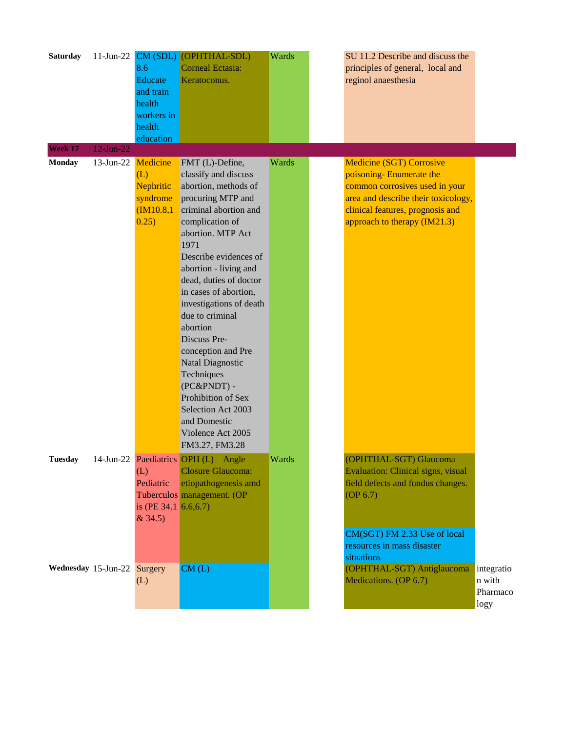| <b>Saturday</b> |                             | 8.6<br>Educate<br>and train<br>health<br>workers in<br>health<br>education | 11-Jun-22 CM (SDL) (OPHTHAL-SDL)<br><b>Corneal Ectasia:</b><br>Keratoconus.                                                                                                                                                                                                                                                                                                                                                                                                                                                   | Wards | SU 11.2 Describe and discuss the<br>principles of general, local and<br>reginol anaesthesia                                                                                                             |                                          |
|-----------------|-----------------------------|----------------------------------------------------------------------------|-------------------------------------------------------------------------------------------------------------------------------------------------------------------------------------------------------------------------------------------------------------------------------------------------------------------------------------------------------------------------------------------------------------------------------------------------------------------------------------------------------------------------------|-------|---------------------------------------------------------------------------------------------------------------------------------------------------------------------------------------------------------|------------------------------------------|
| Week 17         | $12$ -Jun-22                |                                                                            |                                                                                                                                                                                                                                                                                                                                                                                                                                                                                                                               |       |                                                                                                                                                                                                         |                                          |
| <b>Monday</b>   | 13-Jun-22 Medicine          | (L)<br>Nephritic<br>syndrome<br>(M10.8,1)<br>0.25)                         | FMT (L)-Define,<br>classify and discuss<br>abortion, methods of<br>procuring MTP and<br>criminal abortion and<br>complication of<br>abortion. MTP Act<br>1971<br>Describe evidences of<br>abortion - living and<br>dead, duties of doctor<br>in cases of abortion,<br>investigations of death<br>due to criminal<br>abortion<br>Discuss Pre-<br>conception and Pre<br><b>Natal Diagnostic</b><br>Techniques<br>(PC&PNDT) -<br>Prohibition of Sex<br>Selection Act 2003<br>and Domestic<br>Violence Act 2005<br>FM3.27, FM3.28 | Wards | <b>Medicine (SGT) Corrosive</b><br>poisoning-Enumerate the<br>common corrosives used in your<br>area and describe their toxicology,<br>clinical features, prognosis and<br>approach to therapy (IM21.3) |                                          |
| <b>Tuesday</b>  |                             | (L)<br>Pediatric<br>is (PE 34.1 $6.6,6.7$ )<br>&34.5)                      | 14-Jun-22 Paediatrics OPH (L) Angle<br><b>Closure Glaucoma:</b><br>etiopathogenesis amd<br>Tuberculos management. (OP                                                                                                                                                                                                                                                                                                                                                                                                         | Wards | (OPHTHAL-SGT) Glaucoma<br>Evaluation: Clinical signs, visual<br>field defects and fundus changes.<br>OP 6.7                                                                                             |                                          |
|                 | Wednesday 15-Jun-22 Surgery | (L)                                                                        | CM(L)                                                                                                                                                                                                                                                                                                                                                                                                                                                                                                                         |       | CM(SGT) FM 2.33 Use of local<br>resources in mass disaster<br>situations<br>(OPHTHAL-SGT) Antiglaucoma<br>Medications. (OP 6.7)                                                                         | integratio<br>n with<br>Pharmaco<br>logy |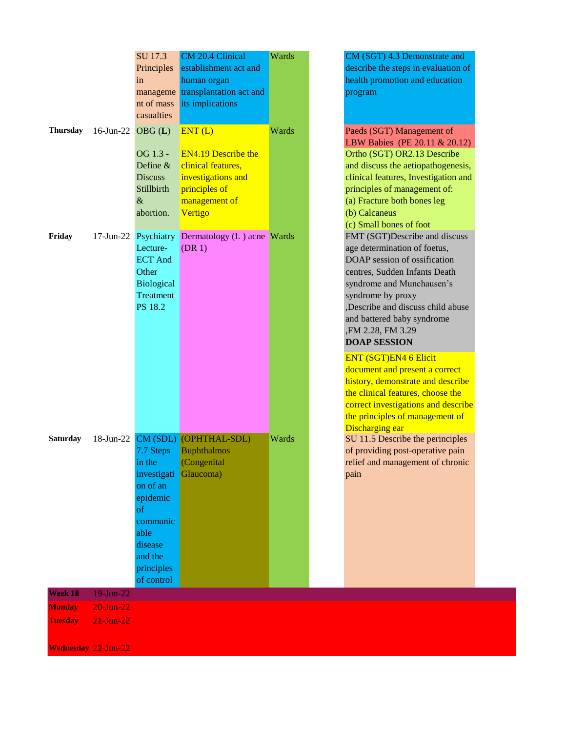| Thursday      | 16-Jun-22 OBG $(L)$ | SU 17.3<br>Principles<br>in<br>manageme<br>nt of mass<br>casualties<br>OG 1.3 -<br>Define &<br><b>Discuss</b><br>Stillbirth<br>$\&$<br>abortion. | CM 20.4 Clinical<br>establishment act and<br>human organ<br>transplantation act and<br>its implications<br>ENT(L)<br><b>EN4.19 Describe the</b><br>clinical features,<br>investigations and<br>principles of<br>management of<br>Vertigo | Wards<br>Wards |
|---------------|---------------------|--------------------------------------------------------------------------------------------------------------------------------------------------|------------------------------------------------------------------------------------------------------------------------------------------------------------------------------------------------------------------------------------------|----------------|
| Friday        |                     | 17-Jun-22 Psychiatry<br>Lecture-<br><b>ECT And</b><br>Other<br><b>Biological</b><br><b>Treatment</b><br>PS 18.2                                  | Dermatology (L) acne<br>(DR <sub>1</sub> )                                                                                                                                                                                               | Wards          |
| Saturday      |                     | 7.7 Steps<br>in the<br>investigati<br>on of an<br>epidemic<br>of<br>communic<br>able<br>disease<br>and the<br>principles<br>of control           | 18-Jun-22 CM (SDL) (OPHTHAL-SDL)<br><b>Buphthalmos</b><br>(Congenital<br>Glaucoma)                                                                                                                                                       | Wards          |
| Week 18       | 19-Jun-22           |                                                                                                                                                  |                                                                                                                                                                                                                                          |                |
| <b>Monday</b> | $20$ -Jun- $22$     |                                                                                                                                                  |                                                                                                                                                                                                                                          |                |

CM (SGT) 4.3 Demonstrate and describe the steps in evaluation of health promotion and education program

Paeds (SGT) Management of LBW Babies (PE 20.11 & 20.12) Ortho (SGT) OR2.13 Describe and discuss the aetiopathogenesis, clinical features, Investigation and principles of management of: (a) Fracture both bones leg (b) Calcaneus (c) Small bones of foot FMT (SGT)Describe and discuss age determination of foetus, DOAP session of ossification centres, Sudden Infants Death syndrome and Munchausen's syndrome by proxy ,Describe and discuss child abuse and battered baby syndrome ,FM 2.28, FM 3.29 **DOAP SESSION**

## ENT (SGT)EN4 6 Elicit

document and present a correct history, demonstrate and describe the clinical features, choose the correct investigations and describe the principles of management of Discharging ear

SU 11.5 Describe the perinciples of providing post-operative pain relief and management of chronic pain

**Wednesday** 22-Jun-22

**Tuesday** 21-Jun-22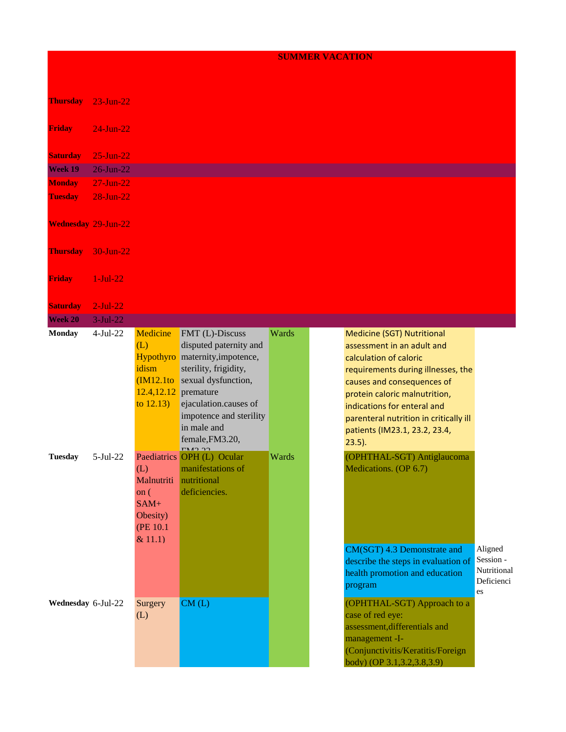## **SUMMER VACATION**

| <b>Thursday</b>            | 23-Jun-22       |                                                                                        |                                                                                                                                                                                                                            |       |                                                                                                                                                                                                                                                                                                                |
|----------------------------|-----------------|----------------------------------------------------------------------------------------|----------------------------------------------------------------------------------------------------------------------------------------------------------------------------------------------------------------------------|-------|----------------------------------------------------------------------------------------------------------------------------------------------------------------------------------------------------------------------------------------------------------------------------------------------------------------|
| <b>Friday</b>              | $24$ -Jun-22    |                                                                                        |                                                                                                                                                                                                                            |       |                                                                                                                                                                                                                                                                                                                |
| <b>Saturday</b>            | $25$ -Jun-22    |                                                                                        |                                                                                                                                                                                                                            |       |                                                                                                                                                                                                                                                                                                                |
| Week 19                    | $26$ -Jun-22    |                                                                                        |                                                                                                                                                                                                                            |       |                                                                                                                                                                                                                                                                                                                |
| <b>Monday</b>              | $27$ -Jun-22    |                                                                                        |                                                                                                                                                                                                                            |       |                                                                                                                                                                                                                                                                                                                |
| <b>Tuesday</b>             | $28$ -Jun- $22$ |                                                                                        |                                                                                                                                                                                                                            |       |                                                                                                                                                                                                                                                                                                                |
| <b>Wednesday 29-Jun-22</b> |                 |                                                                                        |                                                                                                                                                                                                                            |       |                                                                                                                                                                                                                                                                                                                |
| <b>Thursday</b>            | 30-Jun-22       |                                                                                        |                                                                                                                                                                                                                            |       |                                                                                                                                                                                                                                                                                                                |
| <b>Friday</b>              | $1-Jul-22$      |                                                                                        |                                                                                                                                                                                                                            |       |                                                                                                                                                                                                                                                                                                                |
| <b>Saturday</b>            | $2-Jul-22$      |                                                                                        |                                                                                                                                                                                                                            |       |                                                                                                                                                                                                                                                                                                                |
| <b>Week 20</b>             | $3-Jul-22$      |                                                                                        |                                                                                                                                                                                                                            |       |                                                                                                                                                                                                                                                                                                                |
| <b>Monday</b>              | $4-Jul-22$      | <b>Medicine</b><br>(L)<br>idism<br>(M12.1to<br>$12.4, 12.12$ premature<br>to $12.13$ ) | FMT (L)-Discuss<br>disputed paternity and<br>Hypothyro maternity, impotence,<br>sterility, frigidity,<br>sexual dysfunction,<br>ejaculation.causes of<br>impotence and sterility<br>in male and<br>female, FM3.20,<br>TMSO | Wards | Medicine (SGT) Nutritional<br>assessment in an adult and<br>calculation of caloric<br>requirements during illnesses, the<br>causes and consequences of<br>protein caloric malnutrition,<br>indications for enteral and<br>parenteral nutrition in critically ill<br>patients (IM23.1, 23.2, 23.4,<br>$23.5$ ). |
| <b>Tuesday</b>             | $5-Jul-22$      | (L)<br>Malnutriti nutritional<br>on $($<br>$SAM+$<br>Obesity)<br>(PE 10.1)<br>& 11.1)  | Paediatrics OPH (L) Ocular<br>manifestations of<br>deficiencies.                                                                                                                                                           | Wards | (OPHTHAL-SGT) Antiglaucoma<br>Medications. (OP 6.7)<br>Aligned<br>CM(SGT) 4.3 Demonstrate and<br>Session -<br>describe the steps in evaluation of<br>Nutritional                                                                                                                                               |
| Wednesday 6-Jul-22         |                 | Surgery<br>(L)                                                                         | CM(L)                                                                                                                                                                                                                      |       | health promotion and education<br>Deficienci<br>program<br>es<br>(OPHTHAL-SGT) Approach to a<br>case of red eye:<br>assessment, differentials and<br>management -I-<br>(Conjunctivitis/Keratitis/Foreign<br>body) (OP 3.1, 3.2, 3.8, 3.9)                                                                      |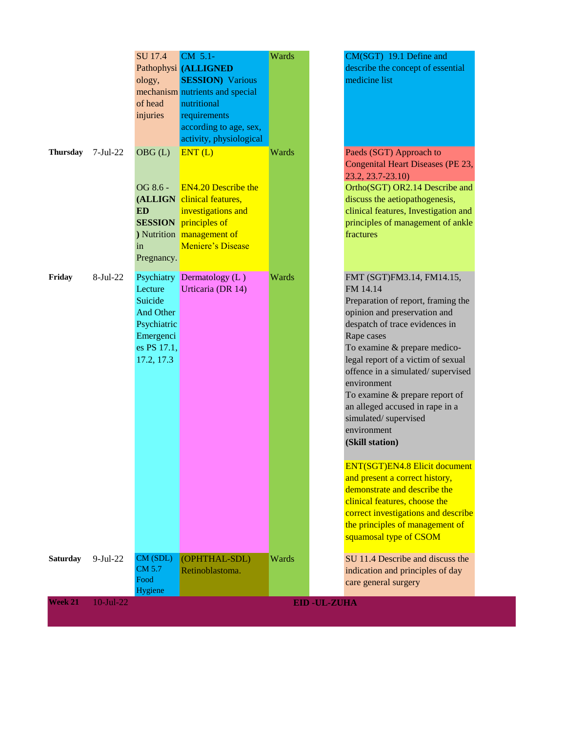|                 |              | <b>SU 17.4</b><br>ology,<br>of head<br>injuries                                          | CM 5.1-<br>Pathophysi (ALLIGNED<br><b>SESSION</b> ) Various<br>mechanism nutrients and special<br>nutritional<br>requirements<br>according to age, sex,<br>activity, physiological | Wards              | CM(SGT) 19.1 Define and<br>describe the concept of essential<br>medicine list                                                                                                                                                                                                                                                                                                                                                                                                                                                  |
|-----------------|--------------|------------------------------------------------------------------------------------------|------------------------------------------------------------------------------------------------------------------------------------------------------------------------------------|--------------------|--------------------------------------------------------------------------------------------------------------------------------------------------------------------------------------------------------------------------------------------------------------------------------------------------------------------------------------------------------------------------------------------------------------------------------------------------------------------------------------------------------------------------------|
| <b>Thursday</b> | $7-Jul-22$   | OBG(L)<br>OG 8.6 -<br><b>ED</b><br>in<br>Pregnancy.                                      | ENT(L)<br><b>EN4.20 Describe the</b><br>(ALLIGN clinical features,<br>investigations and<br><b>SESSION</b> principles of<br>) Nutrition management of<br>Meniere's Disease         | Wards              | Paeds (SGT) Approach to<br>Congenital Heart Diseases (PE 23,<br>23.2, 23.7-23.10)<br>Ortho(SGT) OR2.14 Describe and<br>discuss the aetiopathogenesis,<br>clinical features, Investigation and<br>principles of management of ankle<br>fractures                                                                                                                                                                                                                                                                                |
| Friday          | $8-Jul-22$   | Lecture<br>Suicide<br>And Other<br>Psychiatric<br>Emergenci<br>es PS 17.1,<br>17.2, 17.3 | Psychiatry Dermatology (L)<br>Urticaria (DR 14)                                                                                                                                    | Wards              | FMT (SGT)FM3.14, FM14.15,<br>FM 14.14<br>Preparation of report, framing the<br>opinion and preservation and<br>despatch of trace evidences in<br>Rape cases<br>To examine & prepare medico-<br>legal report of a victim of sexual<br>offence in a simulated/supervised<br>environment<br>To examine & prepare report of<br>an alleged accused in rape in a<br>simulated/supervised<br>environment<br>(Skill station)<br><b>ENT(SGT)EN4.8 Elicit document</b><br>and present a correct history,<br>demonstrate and describe the |
|                 |              |                                                                                          |                                                                                                                                                                                    |                    | clinical features, choose the<br>correct investigations and describe<br>the principles of management of<br>squamosal type of CSOM                                                                                                                                                                                                                                                                                                                                                                                              |
| <b>Saturday</b> | $9-Jul-22$   | CM (SDL)<br>CM 5.7<br>Food<br>Hygiene                                                    | (OPHTHAL-SDL)<br>Retinoblastoma.                                                                                                                                                   | Wards              | SU 11.4 Describe and discuss the<br>indication and principles of day<br>care general surgery                                                                                                                                                                                                                                                                                                                                                                                                                                   |
| <b>Week 21</b>  | $10$ -Jul-22 |                                                                                          |                                                                                                                                                                                    | <b>EID-UL-ZUHA</b> |                                                                                                                                                                                                                                                                                                                                                                                                                                                                                                                                |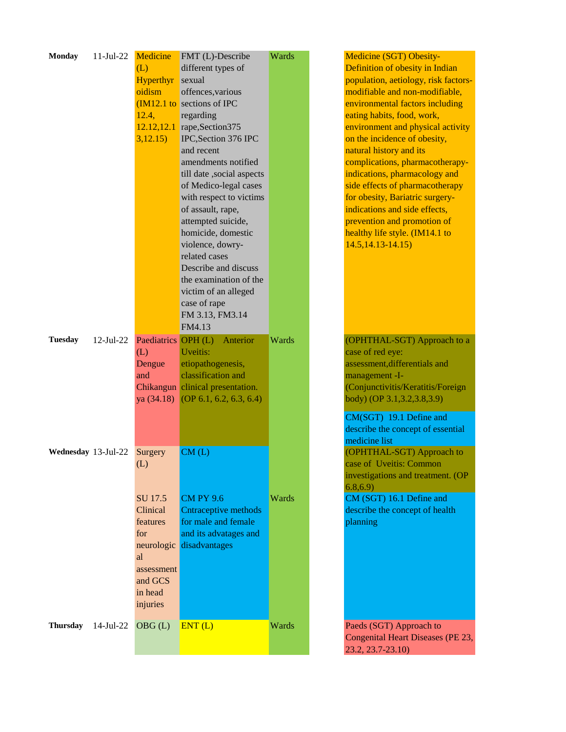| <b>Monday</b>       | $11-Jul-22$  | Medicine            | FMT (L)-Describe                     | Wards | Medicine (SGT) Obesity-              |
|---------------------|--------------|---------------------|--------------------------------------|-------|--------------------------------------|
|                     |              | (L)                 | different types of                   |       | Definition of obesity in Indian      |
|                     |              | <b>Hyperthyr</b>    | sexual                               |       | population, aetiology, risk factors- |
|                     |              | oidism              | offences, various                    |       | modifiable and non-modifiable,       |
|                     |              |                     | $(M12.1)$ to sections of IPC         |       | environmental factors including      |
|                     |              | 12.4,               | regarding                            |       | eating habits, food, work,           |
|                     |              |                     | $12.12, 12.1$ rape, Section 375      |       | environment and physical activity    |
|                     |              | 3,12.15)            | IPC, Section 376 IPC                 |       | on the incidence of obesity,         |
|                     |              |                     | and recent                           |       | natural history and its              |
|                     |              |                     | amendments notified                  |       | complications, pharmacotherapy-      |
|                     |              |                     | till date ,social aspects            |       | indications, pharmacology and        |
|                     |              |                     | of Medico-legal cases                |       | side effects of pharmacotherapy      |
|                     |              |                     | with respect to victims              |       | for obesity, Bariatric surgery-      |
|                     |              |                     |                                      |       | indications and side effects,        |
|                     |              |                     | of assault, rape,                    |       |                                      |
|                     |              |                     | attempted suicide,                   |       | prevention and promotion of          |
|                     |              |                     | homicide, domestic                   |       | healthy life style. (IM14.1 to       |
|                     |              |                     | violence, dowry-                     |       | $14.5, 14.13 - 14.15$                |
|                     |              |                     | related cases                        |       |                                      |
|                     |              |                     | Describe and discuss                 |       |                                      |
|                     |              |                     | the examination of the               |       |                                      |
|                     |              |                     | victim of an alleged                 |       |                                      |
|                     |              |                     | case of rape                         |       |                                      |
|                     |              |                     | FM 3.13, FM3.14                      |       |                                      |
|                     |              |                     | FM4.13                               |       |                                      |
| <b>Tuesday</b>      | $12$ -Jul-22 | Paediatrics OPH (L) | Anterior                             | Wards | (OPHTHAL-SGT) Approach to a          |
|                     |              | (L)                 | Uveitis:                             |       | case of red eye:                     |
|                     |              | Dengue              | etiopathogenesis,                    |       | assessment, differentials and        |
|                     |              | and                 | classification and                   |       | management -I-                       |
|                     |              |                     | Chikangun clinical presentation.     |       | (Conjunctivitis/Keratitis/Foreign    |
|                     |              |                     | ya $(34.18)$ (OP 6.1, 6.2, 6.3, 6.4) |       | body) (OP 3.1, 3.2, 3.8, 3.9)        |
|                     |              |                     |                                      |       |                                      |
|                     |              |                     |                                      |       | CM(SGT) 19.1 Define and              |
|                     |              |                     |                                      |       | describe the concept of essential    |
|                     |              |                     |                                      |       | medicine list                        |
| Wednesday 13-Jul-22 |              | Surgery             | CM(L)                                |       | (OPHTHAL-SGT) Approach to            |
|                     |              | (L)                 |                                      |       | case of Uveitis: Common              |
|                     |              |                     |                                      |       | investigations and treatment. (OP    |
|                     |              |                     |                                      |       | 6.8, 6.9                             |
|                     |              | SU 17.5             | <b>CM PY 9.6</b>                     | Wards | CM (SGT) 16.1 Define and             |
|                     |              | Clinical            | <b>Cntraceptive methods</b>          |       | describe the concept of health       |
|                     |              | features            | for male and female                  |       | planning                             |
|                     |              | for                 | and its advatages and                |       |                                      |
|                     |              | neurologic          | disadvantages                        |       |                                      |
|                     |              | al                  |                                      |       |                                      |
|                     |              | assessment          |                                      |       |                                      |
|                     |              | and GCS             |                                      |       |                                      |
|                     |              | in head             |                                      |       |                                      |
|                     |              | injuries            |                                      |       |                                      |
|                     |              |                     |                                      |       |                                      |
| <b>Thursday</b>     | 14-Jul-22    | OBG(L)              | ENT(L)                               | Wards | Paeds (SGT) Approach to              |
|                     |              |                     |                                      |       | Congenital Heart Diseases (PE 23,    |
|                     |              |                     |                                      |       | 23.2, 23.7-23.10)                    |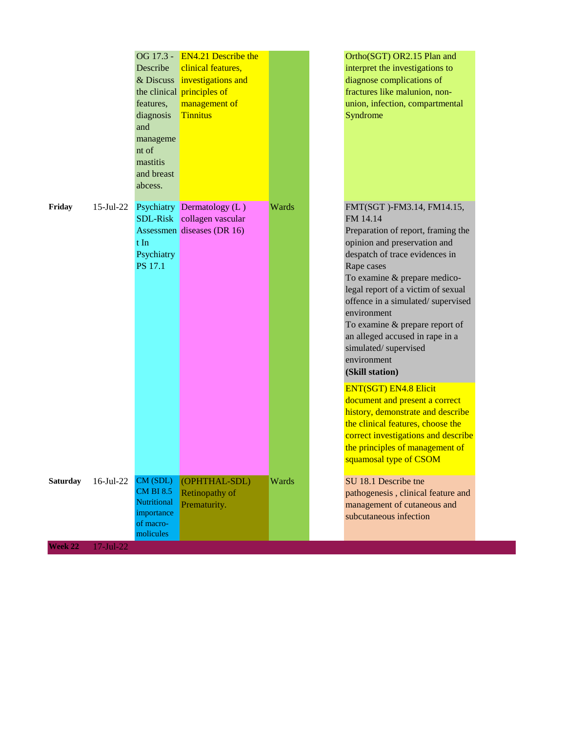|                 |                  | OG 17.3 -<br>Describe<br>& Discuss<br>features,<br>diagnosis<br>and<br>manageme<br>nt of<br>mastitis<br>and breast<br>abcess. | <b>EN4.21 Describe the</b><br>clinical features,<br>investigations and<br>the clinical principles of<br>management of<br><b>Tinnitus</b> |       | Ortho(SGT) OR2.15 Plan and<br>interpret the investigations to<br>diagnose complications of<br>fractures like malunion, non-<br>union, infection, compartmental<br>Syndrome                                                                                                                                                                                                                                           |
|-----------------|------------------|-------------------------------------------------------------------------------------------------------------------------------|------------------------------------------------------------------------------------------------------------------------------------------|-------|----------------------------------------------------------------------------------------------------------------------------------------------------------------------------------------------------------------------------------------------------------------------------------------------------------------------------------------------------------------------------------------------------------------------|
| Friday          | $15$ -Jul-22     | $t \text{In}$<br>Psychiatry<br>PS 17.1                                                                                        | Psychiatry Dermatology (L)<br>SDL-Risk collagen vascular<br>Assessmen diseases (DR 16)                                                   | Wards | FMT(SGT)-FM3.14, FM14.15,<br>FM 14.14<br>Preparation of report, framing the<br>opinion and preservation and<br>despatch of trace evidences in<br>Rape cases<br>To examine & prepare medico-<br>legal report of a victim of sexual<br>offence in a simulated/supervised<br>environment<br>To examine & prepare report of<br>an alleged accused in rape in a<br>simulated/supervised<br>environment<br>(Skill station) |
|                 |                  |                                                                                                                               |                                                                                                                                          |       | <b>ENT(SGT) EN4.8 Elicit</b><br>document and present a correct<br>history, demonstrate and describe<br>the clinical features, choose the<br>correct investigations and describe<br>the principles of management of<br>squamosal type of CSOM                                                                                                                                                                         |
| <b>Saturday</b> | $16$ -Jul-22     | CM (SDL)<br><b>CM BI 8.5</b><br><b>Nutritional</b><br>importance<br>of macro-<br>molicules                                    | (OPHTHAL-SDL)<br>Retinopathy of<br>Prematurity.                                                                                          | Wards | SU 18.1 Describe tne<br>pathogenesis, clinical feature and<br>management of cutaneous and<br>subcutaneous infection                                                                                                                                                                                                                                                                                                  |
| Week 22         | $17 -$ Jul $-22$ |                                                                                                                               |                                                                                                                                          |       |                                                                                                                                                                                                                                                                                                                                                                                                                      |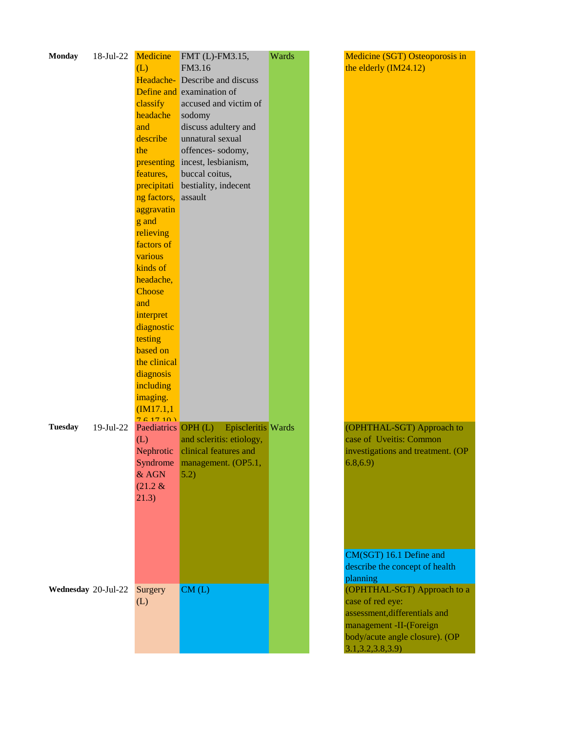| <b>Monday</b>       | 18-Jul-22    | Medicine<br>(L)<br>classify<br>headache<br>and<br>describe<br>the<br>features,<br>precipitati<br>ng factors, assault                                                  | FMT (L)-FM3.15,<br>FM3.16<br>Headache-Describe and discuss<br>Define and examination of<br>accused and victim of<br>sodomy<br>discuss adultery and<br>unnatural sexual<br>offences-sodomy,<br>presenting incest, lesbianism,<br>buccal coitus,<br>bestiality, indecent | Wards | Medicine (SGT) Osteoporosis in<br>the elderly (IM24.12)                                                                                                                                                                                       |
|---------------------|--------------|-----------------------------------------------------------------------------------------------------------------------------------------------------------------------|------------------------------------------------------------------------------------------------------------------------------------------------------------------------------------------------------------------------------------------------------------------------|-------|-----------------------------------------------------------------------------------------------------------------------------------------------------------------------------------------------------------------------------------------------|
|                     |              | aggravatin<br>g and<br>relieving<br>factors of<br>various<br>kinds of<br>headache,<br>Choose<br>and<br>interpret<br>diagnostic<br>testing<br>based on<br>the clinical |                                                                                                                                                                                                                                                                        |       |                                                                                                                                                                                                                                               |
| <b>Tuesday</b>      | $19$ -Jul-22 | diagnosis<br>including<br>imaging.<br>(M17.1,1)<br>761710<br>Paediatrics OPH (L)<br>(L)<br>Nephrotic<br>& AGN<br>$(21.2 \&$<br>21.3)                                  | <b>Episcleritis</b> Wards<br>and scleritis: etiology,<br>clinical features and<br>Syndrome management. (OP5.1,<br>5.2)                                                                                                                                                 |       | (OPHTHAL-SGT) Approach to<br>case of Uveitis: Common<br>investigations and treatment. (OP<br>6.8, 6.9)                                                                                                                                        |
| Wednesday 20-Jul-22 |              | Surgery<br>(L)                                                                                                                                                        | CM(L)                                                                                                                                                                                                                                                                  |       | CM(SGT) 16.1 Define and<br>describe the concept of health<br>planning<br>(OPHTHAL-SGT) Approach to a<br>case of red eye:<br>assessment, differentials and<br>management -II-(Foreign<br>body/acute angle closure). (OP<br>3.1, 3.2, 3.8, 3.9) |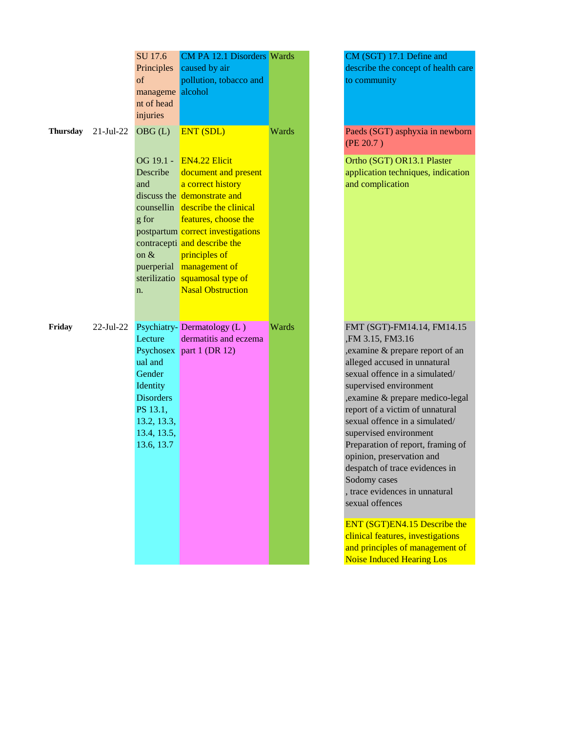|          |                 | SU 17.6<br>Principles<br>of<br>manageme alcohol<br>nt of head<br>injuries                                            | CM PA 12.1 Disorders Wards<br>caused by air<br>pollution, tobacco and                                                                                                                                                                                                                                                              |       | CM (SGT) 17.1 Define and<br>describe the concept of health care<br>to community                                                                                                                                                                                                                                                                                                                                                                                                                                                                                                                                                       |
|----------|-----------------|----------------------------------------------------------------------------------------------------------------------|------------------------------------------------------------------------------------------------------------------------------------------------------------------------------------------------------------------------------------------------------------------------------------------------------------------------------------|-------|---------------------------------------------------------------------------------------------------------------------------------------------------------------------------------------------------------------------------------------------------------------------------------------------------------------------------------------------------------------------------------------------------------------------------------------------------------------------------------------------------------------------------------------------------------------------------------------------------------------------------------------|
| Thursday | $21 - Jul - 22$ | OBG(L)                                                                                                               | <b>ENT (SDL)</b>                                                                                                                                                                                                                                                                                                                   | Wards | Paeds (SGT) asphyxia in newborn<br>(PE 20.7)                                                                                                                                                                                                                                                                                                                                                                                                                                                                                                                                                                                          |
|          |                 | Describe<br>and<br>g for<br>on &<br>sterilizatio<br>n.                                                               | OG 19.1 - EN4.22 Elicit<br>document and present<br>a correct history<br>discuss the demonstrate and<br>counsellin describe the clinical<br>features, choose the<br>postpartum correct investigations<br>contracepti and describe the<br>principles of<br>puerperial management of<br>squamosal type of<br><b>Nasal Obstruction</b> |       | Ortho (SGT) OR13.1 Plaster<br>application techniques, indication<br>and complication                                                                                                                                                                                                                                                                                                                                                                                                                                                                                                                                                  |
| Friday   | $22$ -Jul-22    | Lecture<br>ual and<br>Gender<br>Identity<br><b>Disorders</b><br>PS 13.1,<br>13.2, 13.3,<br>13.4, 13.5,<br>13.6, 13.7 | Psychiatry-Dermatology (L)<br>dermatitis and eczema<br>Psychosex part 1 (DR 12)                                                                                                                                                                                                                                                    | Wards | FMT (SGT)-FM14.14, FM14.15<br>FM 3.15, FM3.16<br>, examine & prepare report of an<br>alleged accused in unnatural<br>sexual offence in a simulated/<br>supervised environment<br>, examine & prepare medico-legal<br>report of a victim of unnatural<br>sexual offence in a simulated/<br>supervised environment<br>Preparation of report, framing of<br>opinion, preservation and<br>despatch of trace evidences in<br>Sodomy cases<br>, trace evidences in unnatural<br>sexual offences<br>ENT (SGT)EN4.15 Describe the<br>clinical features, investigations<br>and principles of management of<br><b>Noise Induced Hearing Los</b> |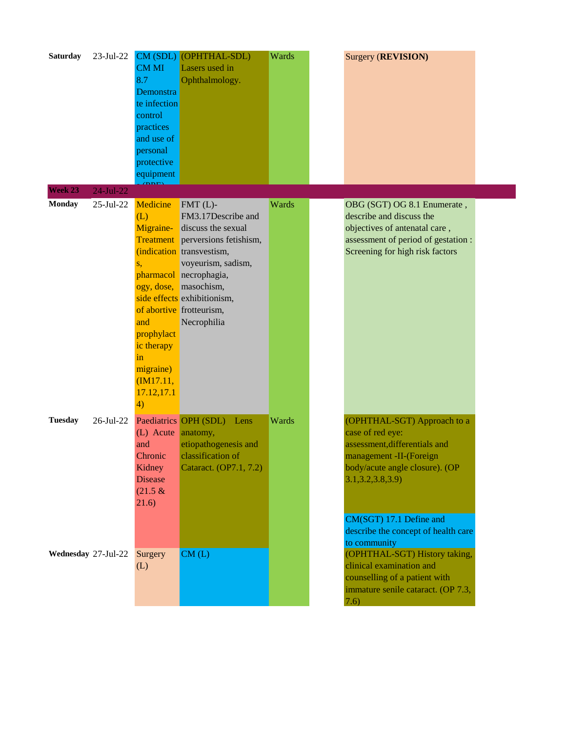| <b>Saturday</b>     | 23-Jul-22       | <b>CMMI</b><br>8.7<br>Demonstra<br>te infection<br>control<br>practices<br>and use of<br>personal<br>protective<br>equipment                 | CM (SDL) (OPHTHAL-SDL)<br>Lasers used in<br>Ophthalmology.                                                                                                                                                                                                       | Wards | Surgery (REVISION)                                                                                                                                                                                                                                    |  |
|---------------------|-----------------|----------------------------------------------------------------------------------------------------------------------------------------------|------------------------------------------------------------------------------------------------------------------------------------------------------------------------------------------------------------------------------------------------------------------|-------|-------------------------------------------------------------------------------------------------------------------------------------------------------------------------------------------------------------------------------------------------------|--|
| Week 23             | 24-Jul-22       |                                                                                                                                              |                                                                                                                                                                                                                                                                  |       |                                                                                                                                                                                                                                                       |  |
| <b>Monday</b>       | $25$ -Jul- $22$ | Medicine<br>(L)<br>Migraine-<br><b>Treatment</b><br>S,<br>and<br>prophylact<br>ic therapy<br>in<br>migraine)<br>(M17.11,<br>17.12,17.1<br>4) | $FMT(L)$ -<br>FM3.17Describe and<br>discuss the sexual<br>perversions fetishism,<br>(indication transvestism,<br>voyeurism, sadism,<br>pharmacol necrophagia,<br>ogy, dose, masochism,<br>side effects exhibitionism,<br>of abortive frotteurism,<br>Necrophilia | Wards | OBG (SGT) OG 8.1 Enumerate,<br>describe and discuss the<br>objectives of antenatal care,<br>assessment of period of gestation :<br>Screening for high risk factors                                                                                    |  |
| <b>Tuesday</b>      | $26$ -Jul- $22$ | (L) Acute<br>and<br>Chronic<br>Kidney<br><b>Disease</b><br>$(21.5 \&$<br>(21.6)                                                              | Paediatrics OPH (SDL)<br>Lens<br>anatomy,<br>etiopathogenesis and<br>classification of<br>Cataract. (OP7.1, 7.2)                                                                                                                                                 | Wards | (OPHTHAL-SGT) Approach to a<br>case of red eye:<br>assessment, differentials and<br>management -II-(Foreign<br>body/acute angle closure). (OP<br>3.1, 3.2, 3.8, 3.9<br>CM(SGT) 17.1 Define and<br>describe the concept of health care<br>to community |  |
| Wednesday 27-Jul-22 |                 | Surgery<br>(L)                                                                                                                               | CM(L)                                                                                                                                                                                                                                                            |       | (OPHTHAL-SGT) History taking,<br>clinical examination and<br>counselling of a patient with<br>immature senile cataract. (OP 7.3,<br>(7.6)                                                                                                             |  |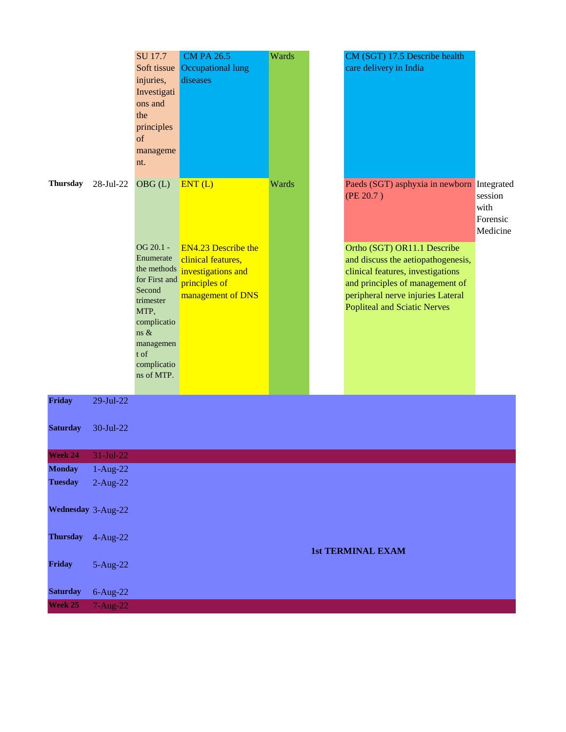|                    |             | SU 17.7<br>injuries,<br>Investigati<br>ons and<br>the<br>principles<br>of<br>manageme<br>nt.                                                                                | <b>CM PA 26.5</b><br>Soft tissue Occupational lung<br>diseases                                                         | Wards | CM (SGT) 17.5 Describe health<br>care delivery in India                                                                                                                                                                                                                          |                                         |
|--------------------|-------------|-----------------------------------------------------------------------------------------------------------------------------------------------------------------------------|------------------------------------------------------------------------------------------------------------------------|-------|----------------------------------------------------------------------------------------------------------------------------------------------------------------------------------------------------------------------------------------------------------------------------------|-----------------------------------------|
| <b>Thursday</b>    | 28-Jul-22   | OBG(L)<br>OG 20.1 -<br>Enumerate<br>the methods<br>for First and<br>Second<br>trimester<br>MTP,<br>complicatio<br>ns $\&$<br>managemen<br>t of<br>complicatio<br>ns of MTP. | ENT(L)<br><b>EN4.23 Describe the</b><br>clinical features,<br>investigations and<br>principles of<br>management of DNS | Wards | Paeds (SGT) asphyxia in newborn Integrated<br>(PE 20.7)<br>Ortho (SGT) OR11.1 Describe<br>and discuss the aetiopathogenesis,<br>clinical features, investigations<br>and principles of management of<br>peripheral nerve injuries Lateral<br><b>Popliteal and Sciatic Nerves</b> | session<br>with<br>Forensic<br>Medicine |
| Friday             | 29-Jul-22   |                                                                                                                                                                             |                                                                                                                        |       |                                                                                                                                                                                                                                                                                  |                                         |
| <b>Saturday</b>    | 30-Jul-22   |                                                                                                                                                                             |                                                                                                                        |       |                                                                                                                                                                                                                                                                                  |                                         |
| Week 24            | 31-Jul-22   |                                                                                                                                                                             |                                                                                                                        |       |                                                                                                                                                                                                                                                                                  |                                         |
| <b>Monday</b>      | $1-Aug-22$  |                                                                                                                                                                             |                                                                                                                        |       |                                                                                                                                                                                                                                                                                  |                                         |
| <b>Tuesday</b>     | $2-Aug-22$  |                                                                                                                                                                             |                                                                                                                        |       |                                                                                                                                                                                                                                                                                  |                                         |
| Wednesday 3-Aug-22 |             |                                                                                                                                                                             |                                                                                                                        |       |                                                                                                                                                                                                                                                                                  |                                         |
| <b>Thursday</b>    | $4-Aug-22$  |                                                                                                                                                                             |                                                                                                                        |       | <b>1st TERMINAL EXAM</b>                                                                                                                                                                                                                                                         |                                         |
| Friday             | 5-Aug-22    |                                                                                                                                                                             |                                                                                                                        |       |                                                                                                                                                                                                                                                                                  |                                         |
| <b>Saturday</b>    | $6$ -Aug-22 |                                                                                                                                                                             |                                                                                                                        |       |                                                                                                                                                                                                                                                                                  |                                         |
| Week 25            | 7-Aug-22    |                                                                                                                                                                             |                                                                                                                        |       |                                                                                                                                                                                                                                                                                  |                                         |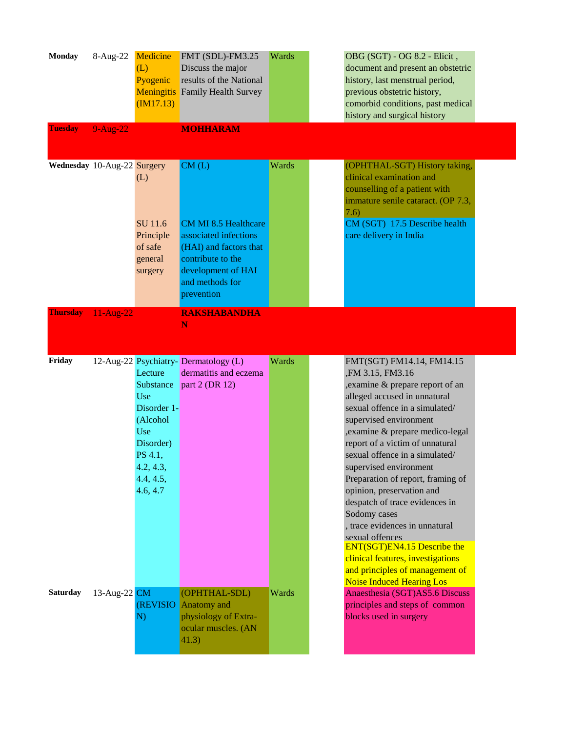| <b>Monday</b><br><b>Tuesday</b> | 8-Aug-22<br>$9-Aug-22$ | Medicine<br>(L)<br>Pyogenic<br><b>Meningitis</b><br>(M17.13)                                                                | FMT (SDL)-FM3.25<br>Discuss the major<br>results of the National<br><b>Family Health Survey</b><br><b>MOHHARAM</b>                                                  | Wards | OBG (SGT) - OG 8.2 - Elicit,<br>document and present an obstetric<br>history, last menstrual period,<br>previous obstetric history,<br>comorbid conditions, past medical<br>history and surgical history                                                                                                                                                                                                                                                                                                                                                                                                                                  |
|---------------------------------|------------------------|-----------------------------------------------------------------------------------------------------------------------------|---------------------------------------------------------------------------------------------------------------------------------------------------------------------|-------|-------------------------------------------------------------------------------------------------------------------------------------------------------------------------------------------------------------------------------------------------------------------------------------------------------------------------------------------------------------------------------------------------------------------------------------------------------------------------------------------------------------------------------------------------------------------------------------------------------------------------------------------|
| Wednesday 10-Aug-22 Surgery     |                        | (L)<br>SU 11.6<br>Principle<br>of safe<br>general<br>surgery                                                                | CM(L)<br><b>CM MI 8.5 Healthcare</b><br>associated infections<br>(HAI) and factors that<br>contribute to the<br>development of HAI<br>and methods for<br>prevention | Wards | (OPHTHAL-SGT) History taking,<br>clinical examination and<br>counselling of a patient with<br>immature senile cataract. (OP 7.3,<br>7.6)<br>CM (SGT) 17.5 Describe health<br>care delivery in India                                                                                                                                                                                                                                                                                                                                                                                                                                       |
| Thursday                        | 11-Aug-22              |                                                                                                                             | <b>RAKSHABANDHA</b><br>N                                                                                                                                            |       |                                                                                                                                                                                                                                                                                                                                                                                                                                                                                                                                                                                                                                           |
| Friday                          |                        | Lecture<br>Substance<br>Use<br>Disorder 1-<br>(Alcohol<br>Use<br>Disorder)<br>PS 4.1,<br>4.2, 4.3,<br>4.4, 4.5,<br>4.6, 4.7 | 12-Aug-22 Psychiatry-Dermatology (L)<br>dermatitis and eczema<br>part 2 (DR 12)                                                                                     | Wards | FMT(SGT) FM14.14, FM14.15<br>,FM 3.15, FM3.16<br>examine & prepare report of an<br>alleged accused in unnatural<br>sexual offence in a simulated/<br>supervised environment<br>, examine & prepare medico-legal<br>report of a victim of unnatural<br>sexual offence in a simulated/<br>supervised environment<br>Preparation of report, framing of<br>opinion, preservation and<br>despatch of trace evidences in<br>Sodomy cases<br>, trace evidences in unnatural<br>sexual offences<br><b>ENT(SGT)EN4.15 Describe the</b><br>clinical features, investigations<br>and principles of management of<br><b>Noise Induced Hearing Los</b> |
| <b>Saturday</b>                 | 13-Aug-22 $CM$         | (REVISIO<br>N)                                                                                                              | (OPHTHAL-SDL)<br>Anatomy and<br>physiology of Extra-<br>ocular muscles. (AN<br>41.3)                                                                                | Wards | Anaesthesia (SGT)AS5.6 Discuss<br>principles and steps of common<br>blocks used in surgery                                                                                                                                                                                                                                                                                                                                                                                                                                                                                                                                                |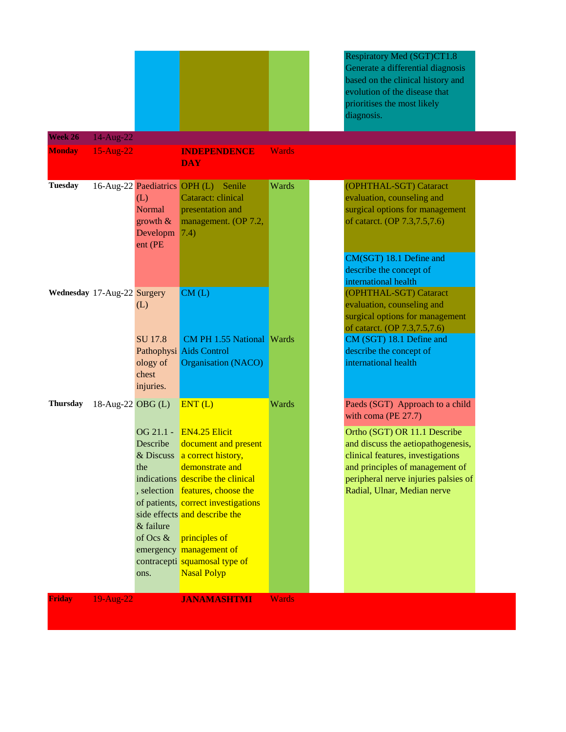|                             |                           |                                                                                      |                                                                                                                                                                                                                                                                                                                                                     |              | <b>Respiratory Med (SGT)CT1.8</b><br>Generate a differential diagnosis<br>based on the clinical history and<br>evolution of the disease that<br>prioritises the most likely<br>diagnosis.                         |
|-----------------------------|---------------------------|--------------------------------------------------------------------------------------|-----------------------------------------------------------------------------------------------------------------------------------------------------------------------------------------------------------------------------------------------------------------------------------------------------------------------------------------------------|--------------|-------------------------------------------------------------------------------------------------------------------------------------------------------------------------------------------------------------------|
| Week 26<br><b>Monday</b>    | 14-Aug-22<br>$15$ -Aug-22 |                                                                                      | <b>INDEPENDENCE</b><br><b>DAY</b>                                                                                                                                                                                                                                                                                                                   | <b>Wards</b> |                                                                                                                                                                                                                   |
| <b>Tuesday</b>              |                           | 16-Aug-22 Paediatrics OPH (L)<br>(L)<br>Normal<br>growth $\&$<br>Developm<br>ent (PE | Senile<br>Cataract: clinical<br>presentation and<br>management. (OP 7.2,<br>(7.4)                                                                                                                                                                                                                                                                   | Wards        | (OPHTHAL-SGT) Cataract<br>evaluation, counseling and<br>surgical options for management<br>of catarct. (OP 7.3,7.5,7.6)                                                                                           |
| Wednesday 17-Aug-22 Surgery |                           |                                                                                      | CM(L)                                                                                                                                                                                                                                                                                                                                               |              | CM(SGT) 18.1 Define and<br>describe the concept of<br>international health<br>(OPHTHAL-SGT) Cataract                                                                                                              |
|                             |                           | (L)                                                                                  |                                                                                                                                                                                                                                                                                                                                                     |              | evaluation, counseling and<br>surgical options for management<br>of catarct. (OP 7.3,7.5,7.6)                                                                                                                     |
|                             |                           | SU 17.8<br>ology of<br>chest<br>injuries.                                            | <b>CM PH 1.55 National Wards</b><br>Pathophysi Aids Control<br><b>Organisation (NACO)</b>                                                                                                                                                                                                                                                           |              | CM (SGT) 18.1 Define and<br>describe the concept of<br>international health                                                                                                                                       |
| <b>Thursday</b>             | 18-Aug-22 OBG (L)         |                                                                                      | ENT(L)                                                                                                                                                                                                                                                                                                                                              | Wards        | Paeds (SGT) Approach to a child<br>with coma (PE 27.7)                                                                                                                                                            |
|                             |                           | OG 21.1 -<br>Describe<br>the<br>& failure<br>of Ocs &<br>ons.                        | <b>EN4.25 Elicit</b><br>document and present<br>& Discuss a correct history,<br>demonstrate and<br>indications describe the clinical<br>, selection features, choose the<br>of patients, correct investigations<br>side effects and describe the<br>principles of<br>emergency management of<br>contracepti squamosal type of<br><b>Nasal Polyp</b> |              | Ortho (SGT) OR 11.1 Describe<br>and discuss the aetiopathogenesis,<br>clinical features, investigations<br>and principles of management of<br>peripheral nerve injuries palsies of<br>Radial, Ulnar, Median nerve |
| Friday                      | 19-Aug-22                 |                                                                                      | <b>JANAMASHTMI</b>                                                                                                                                                                                                                                                                                                                                  | <b>Wards</b> |                                                                                                                                                                                                                   |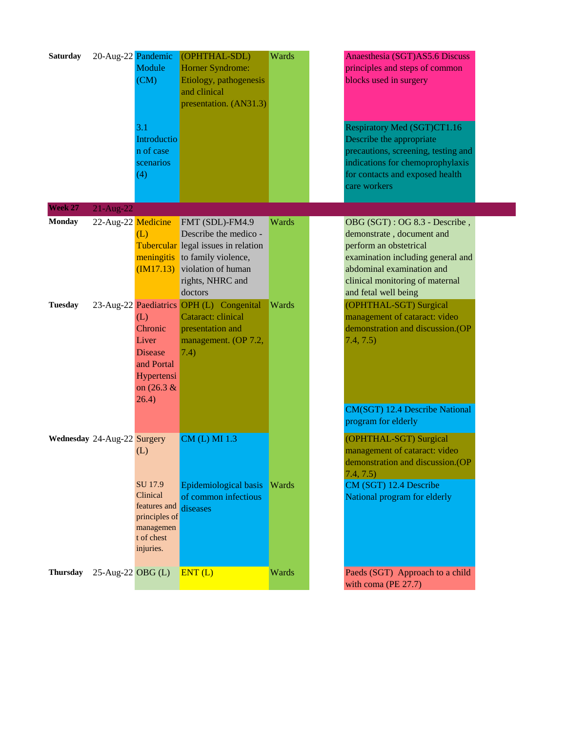| <b>Saturday</b>                            | 20-Aug-22 Pandemic                 | Module<br>(CM)<br>3.1<br>Introductio<br>n of case<br>scenarios<br>(4)                        | (OPHTHAL-SDL)<br>Horner Syndrome:<br>Etiology, pathogenesis<br>and clinical<br>presentation. (AN31.3)                                                                                                                                                                                                   | Wards          | Anaesthesia (SGT)AS5.6 Discuss<br>principles and steps of common<br>blocks used in surgery<br>Respiratory Med (SGT)CT1.16<br>Describe the appropriate<br>precautions, screening, testing and<br>indications for chemoprophylaxis<br>for contacts and exposed health                                                            |
|--------------------------------------------|------------------------------------|----------------------------------------------------------------------------------------------|---------------------------------------------------------------------------------------------------------------------------------------------------------------------------------------------------------------------------------------------------------------------------------------------------------|----------------|--------------------------------------------------------------------------------------------------------------------------------------------------------------------------------------------------------------------------------------------------------------------------------------------------------------------------------|
|                                            |                                    |                                                                                              |                                                                                                                                                                                                                                                                                                         |                | care workers                                                                                                                                                                                                                                                                                                                   |
| Week 27<br><b>Monday</b><br><b>Tuesday</b> | $21$ -Aug-22<br>22-Aug-22 Medicine | (L)<br>(L)<br>Chronic<br>Liver<br><b>Disease</b>                                             | FMT (SDL)-FM4.9<br>Describe the medico -<br>Tubercular legal issues in relation<br>meningitis to family violence,<br>$(M17.13)$ violation of human<br>rights, NHRC and<br>doctors<br>23-Aug-22 Paediatrics OPH (L) Congenital<br>Cataract: clinical<br>presentation and<br>management. (OP 7.2,<br>7.4) | Wards<br>Wards | OBG (SGT) : OG 8.3 - Describe,<br>demonstrate, document and<br>perform an obstetrical<br>examination including general and<br>abdominal examination and<br>clinical monitoring of maternal<br>and fetal well being<br>(OPHTHAL-SGT) Surgical<br>management of cataract: video<br>demonstration and discussion.(OP<br>7.4, 7.5) |
|                                            | Wednesday 24-Aug-22 Surgery        | and Portal<br>Hypertensi<br>on $(26.3 \&$<br>26.4)<br>(L)                                    | CM (L) MI 1.3                                                                                                                                                                                                                                                                                           |                | CM(SGT) 12.4 Describe National<br>program for elderly<br>(OPHTHAL-SGT) Surgical<br>management of cataract: video<br>demonstration and discussion. (OP                                                                                                                                                                          |
|                                            |                                    | SU 17.9<br>Clinical<br>features and<br>principles of<br>managemen<br>t of chest<br>injuries. | Epidemiological basis<br>of common infectious<br>diseases                                                                                                                                                                                                                                               | <b>Wards</b>   | 7.4, 7.5)<br>CM (SGT) 12.4 Describe<br>National program for elderly                                                                                                                                                                                                                                                            |
| <b>Thursday</b>                            | 25-Aug-22 OBG (L)                  |                                                                                              | ENT(L)                                                                                                                                                                                                                                                                                                  | Wards          | Paeds (SGT) Approach to a child<br>with coma (PE 27.7)                                                                                                                                                                                                                                                                         |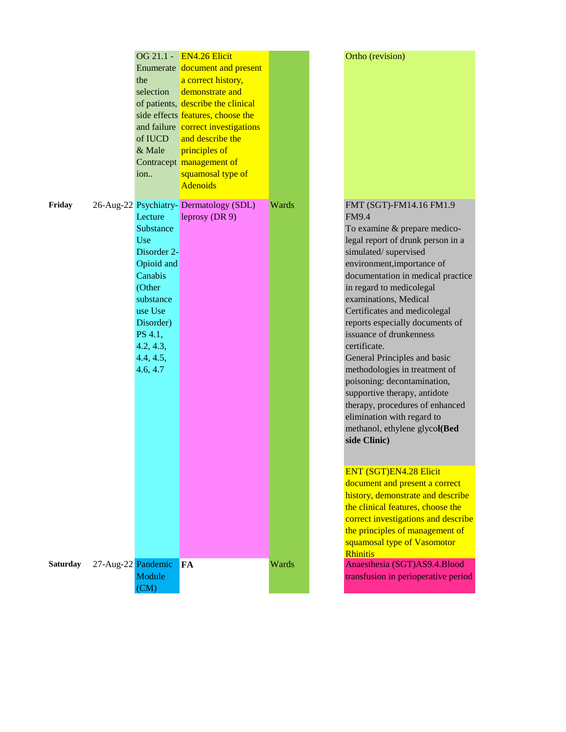|                 |                    |                | OG 21.1 - EN4.26 Elicit                |       |                |
|-----------------|--------------------|----------------|----------------------------------------|-------|----------------|
|                 |                    |                | Enumerate document and present         |       |                |
|                 |                    | the            | a correct history,                     |       |                |
|                 |                    | selection      | demonstrate and                        |       |                |
|                 |                    |                | of patients, describe the clinical     |       |                |
|                 |                    |                | side effects features, choose the      |       |                |
|                 |                    |                | and failure correct investigations     |       |                |
|                 |                    | of IUCD        | and describe the                       |       |                |
|                 |                    | & Male         | principles of                          |       |                |
|                 |                    |                | Contracept management of               |       |                |
|                 |                    | ion            | squamosal type of                      |       |                |
|                 |                    |                | <b>Adenoids</b>                        |       |                |
| Friday          |                    |                | 26-Aug-22 Psychiatry-Dermatology (SDL) | Wards |                |
|                 |                    | Lecture        | leprosy (DR 9)                         |       |                |
|                 |                    | Substance      |                                        |       |                |
|                 |                    | Use            |                                        |       |                |
|                 |                    | Disorder 2-    |                                        |       | S              |
|                 |                    | Opioid and     |                                        |       | e              |
|                 |                    | Canabis        |                                        |       | $\mathsf{C}$   |
|                 |                    | (Other         |                                        |       | $\mathbf{i}$   |
|                 |                    | substance      |                                        |       | e              |
|                 |                    | use Use        |                                        |       | (              |
|                 |                    | Disorder)      |                                        |       | r              |
|                 |                    | PS 4.1,        |                                        |       | $\mathbf{i}$   |
|                 |                    | 4.2, 4.3,      |                                        |       | $\mathsf{C}$   |
|                 |                    | 4.4, 4.5,      |                                        |       | (              |
|                 |                    | 4.6, 4.7       |                                        |       | <sup>r</sup>   |
|                 |                    |                |                                        |       | ŗ              |
|                 |                    |                |                                        |       | S              |
|                 |                    |                |                                        |       | t              |
|                 |                    |                |                                        |       | $\epsilon$     |
|                 |                    |                |                                        |       | r              |
|                 |                    |                |                                        |       | S              |
|                 |                    |                |                                        |       |                |
|                 |                    |                |                                        |       | E              |
|                 |                    |                |                                        |       | $\overline{C}$ |
|                 |                    |                |                                        |       | <u>I</u>       |
|                 |                    |                |                                        |       | ť              |
|                 |                    |                |                                        |       | $\overline{C}$ |
|                 |                    |                |                                        |       | t              |
|                 |                    |                |                                        |       | S              |
|                 |                    |                |                                        |       |                |
| <b>Saturday</b> | 27-Aug-22 Pandemic |                | FA                                     | Wards |                |
|                 |                    | Module<br>(CM) |                                        |       | t              |
|                 |                    |                |                                        |       |                |

#### Ortho (revision)

### FMT (SGT)-FM14.16 FM1.9 FM9.4

To examine & prepare medicoegal report of drunk person in a simulated/ supervised environment,importance of documentation in medical practice in regard to medicolegal examinations, Medical Certificates and medicolegal reports especially documents of ssuance of drunkenness certificate. General Principles and basic

methodologies in treatment of poisoning: decontamination, supportive therapy, antidote therapy, procedures of enhanced elimination with regard to methanol, ethylene glyco**l(Bed side Clinic)**

#### ENT (SGT)EN4.28 Elicit

document and present a correct history, demonstrate and describe the clinical features, choose the correct investigations and describe the principles of management of squamosal type of Vasomotor Rhinitis

Anaesthesia (SGT)AS9.4.Blood ransfusion in perioperative period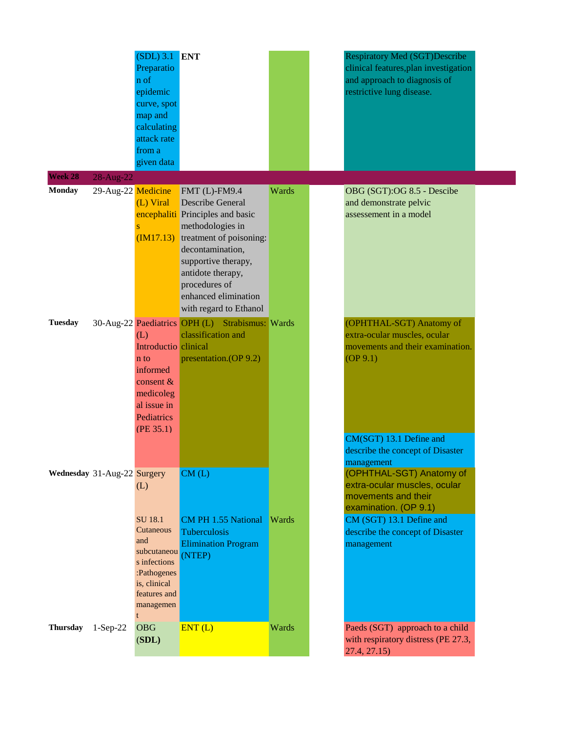|                             |                    | $(SDL)$ 3.1 ENT<br>Preparatio<br>n of<br>epidemic<br>curve, spot<br>map and<br>calculating<br>attack rate<br>from a<br>given data          |                                                                                                                                                                                                                                                                                |       | <b>Respiratory Med (SGT)Describe</b><br>clinical features, plan investigation<br>and approach to diagnosis of<br>restrictive lung disease.                                                                                               |  |
|-----------------------------|--------------------|--------------------------------------------------------------------------------------------------------------------------------------------|--------------------------------------------------------------------------------------------------------------------------------------------------------------------------------------------------------------------------------------------------------------------------------|-------|------------------------------------------------------------------------------------------------------------------------------------------------------------------------------------------------------------------------------------------|--|
| Week 28                     | 28-Aug-22          |                                                                                                                                            |                                                                                                                                                                                                                                                                                |       |                                                                                                                                                                                                                                          |  |
| <b>Monday</b>               | 29-Aug-22 Medicine | (L) Viral<br>S                                                                                                                             | $FMT$ (L)- $FM9.4$<br><b>Describe General</b><br>encephaliti Principles and basic<br>methodologies in<br>$(M17.13)$ treatment of poisoning:<br>decontamination,<br>supportive therapy,<br>antidote therapy,<br>procedures of<br>enhanced elimination<br>with regard to Ethanol | Wards | OBG (SGT):OG 8.5 - Descibe<br>and demonstrate pelvic<br>assessement in a model                                                                                                                                                           |  |
| <b>Tuesday</b>              |                    | (L)<br>Introductio clinical<br>n to<br>informed<br>consent $\&$<br>medicoleg<br>al issue in<br>Pediatrics<br>(PE 35.1)                     | 30-Aug-22 Paediatrics OPH (L) Strabismus: Wards<br>classification and<br>presentation.(OP 9.2)                                                                                                                                                                                 |       | (OPHTHAL-SGT) Anatomy of<br>extra-ocular muscles, ocular<br>movements and their examination.<br>(OP 9.1)<br>CM(SGT) 13.1 Define and                                                                                                      |  |
| Wednesday 31-Aug-22 Surgery |                    | (L)<br><b>SU 18.1</b><br>Cutaneous<br>and<br>subcutaneou<br>s infections<br>:Pathogenes<br>is, clinical<br>features and<br>managemen<br>t. | CM(L)<br><b>CM PH 1.55 National Wards</b><br>Tuberculosis<br><b>Elimination Program</b><br>(NTEP)                                                                                                                                                                              |       | describe the concept of Disaster<br>management<br>(OPHTHAL-SGT) Anatomy of<br>extra-ocular muscles, ocular<br>movements and their<br>examination. (OP 9.1)<br>CM (SGT) 13.1 Define and<br>describe the concept of Disaster<br>management |  |
| <b>Thursday</b>             | $1-Sep-22$         | <b>OBG</b><br>(SDL)                                                                                                                        | ENT(L)                                                                                                                                                                                                                                                                         | Wards | Paeds (SGT) approach to a child<br>with respiratory distress (PE 27.3,<br>27.4, 27.15                                                                                                                                                    |  |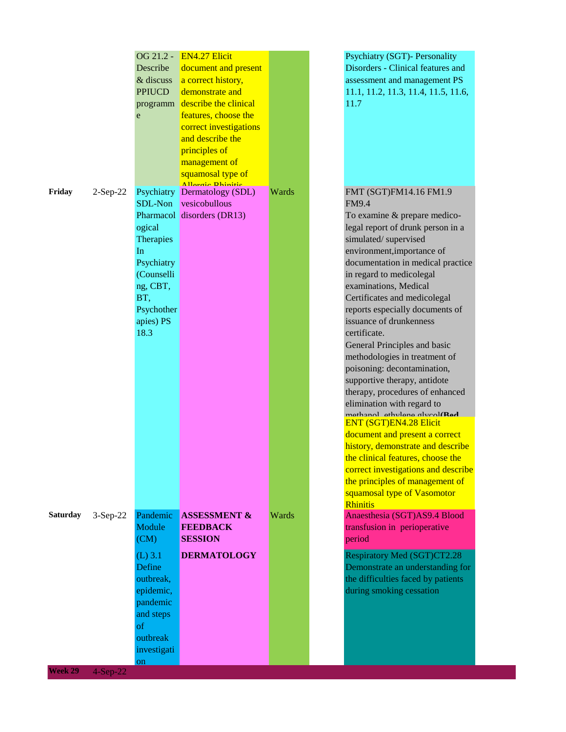|                 |            | OG 21.2 -<br>Describe | <b>EN4.27 Elicit</b><br>document and present |       | <b>Psychiatry (SGT)- Personality</b><br>Disorders - Clinical features and |
|-----------------|------------|-----------------------|----------------------------------------------|-------|---------------------------------------------------------------------------|
|                 |            | & discuss             | a correct history,                           |       | assessment and management PS                                              |
|                 |            | <b>PPIUCD</b>         | demonstrate and                              |       | 11.1, 11.2, 11.3, 11.4, 11.5, 11.6,                                       |
|                 |            |                       | programm describe the clinical               |       | 11.7                                                                      |
|                 |            | e                     | features, choose the                         |       |                                                                           |
|                 |            |                       | correct investigations                       |       |                                                                           |
|                 |            |                       | and describe the                             |       |                                                                           |
|                 |            |                       | principles of                                |       |                                                                           |
|                 |            |                       | management of                                |       |                                                                           |
|                 |            |                       | squamosal type of                            |       |                                                                           |
|                 |            |                       | Allancia Dhinitic                            |       |                                                                           |
| Friday          | $2-Sep-22$ |                       | Psychiatry Dermatology (SDL)                 | Wards | FMT (SGT)FM14.16 FM1.9                                                    |
|                 |            |                       | SDL-Non vesicobullous                        |       | <b>FM9.4</b>                                                              |
|                 |            |                       | Pharmacol disorders (DR13)                   |       | To examine & prepare medico-                                              |
|                 |            | ogical                |                                              |       | legal report of drunk person in a                                         |
|                 |            | <b>Therapies</b>      |                                              |       | simulated/supervised                                                      |
|                 |            | In                    |                                              |       | environment, importance of                                                |
|                 |            | Psychiatry            |                                              |       | documentation in medical practice                                         |
|                 |            | (Counselli            |                                              |       | in regard to medicolegal                                                  |
|                 |            | ng, CBT,              |                                              |       | examinations, Medical                                                     |
|                 |            | BT,                   |                                              |       | Certificates and medicolegal                                              |
|                 |            | Psychother            |                                              |       | reports especially documents of                                           |
|                 |            | apies) PS             |                                              |       | issuance of drunkenness                                                   |
|                 |            | 18.3                  |                                              |       | certificate.                                                              |
|                 |            |                       |                                              |       | General Principles and basic                                              |
|                 |            |                       |                                              |       | methodologies in treatment of                                             |
|                 |            |                       |                                              |       | poisoning: decontamination,                                               |
|                 |            |                       |                                              |       | supportive therapy, antidote                                              |
|                 |            |                       |                                              |       | therapy, procedures of enhanced                                           |
|                 |            |                       |                                              |       | elimination with regard to                                                |
|                 |            |                       |                                              |       | mathanol athylana alveol(Rad<br><b>ENT (SGT)EN4.28 Elicit</b>             |
|                 |            |                       |                                              |       | document and present a correct                                            |
|                 |            |                       |                                              |       | history, demonstrate and describe                                         |
|                 |            |                       |                                              |       | the clinical features, choose the                                         |
|                 |            |                       |                                              |       | correct investigations and describe                                       |
|                 |            |                       |                                              |       | the principles of management of                                           |
|                 |            |                       |                                              |       | squamosal type of Vasomotor                                               |
|                 |            |                       |                                              |       | <b>Rhinitis</b>                                                           |
| <b>Saturday</b> | $3-Sep-22$ | Pandemic              | <b>ASSESSMENT &amp;</b>                      | Wards | Anaesthesia (SGT)AS9.4 Blood                                              |
|                 |            | Module                | <b>FEEDBACK</b>                              |       | transfusion in perioperative                                              |
|                 |            | (CM)                  | <b>SESSION</b>                               |       | period                                                                    |
|                 |            | $(L)$ 3.1             | <b>DERMATOLOGY</b>                           |       | Respiratory Med (SGT)CT2.28                                               |
|                 |            | Define                |                                              |       | Demonstrate an understanding for                                          |
|                 |            | outbreak,             |                                              |       | the difficulties faced by patients                                        |
|                 |            | epidemic,             |                                              |       | during smoking cessation                                                  |
|                 |            | pandemic              |                                              |       |                                                                           |
|                 |            | and steps             |                                              |       |                                                                           |
|                 |            | <sub>of</sub>         |                                              |       |                                                                           |
|                 |            | outbreak              |                                              |       |                                                                           |
|                 |            | investigati           |                                              |       |                                                                           |
|                 |            | on                    |                                              |       |                                                                           |
| Week 29         | $4-Sep-22$ |                       |                                              |       |                                                                           |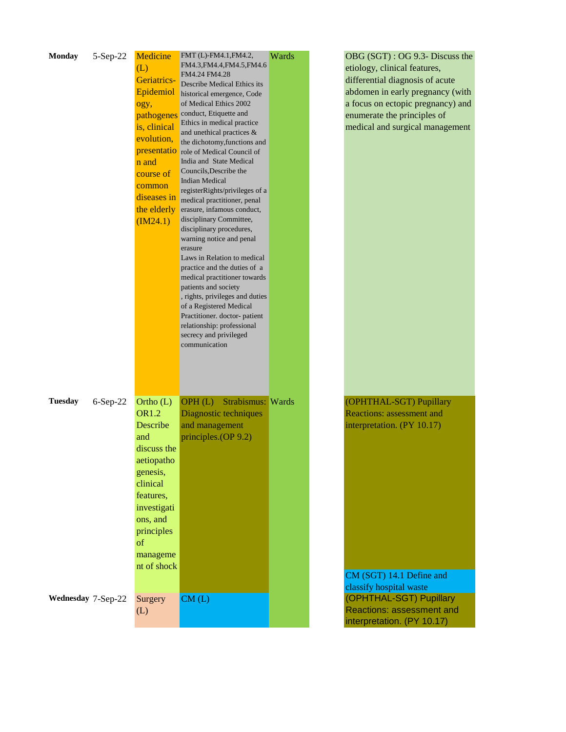| <b>Monday</b>      | 5-Sep-22   | Medicine     | FMT (L)-FM4.1, FM4.2,                                | Wards | OBG (SGT) : OG 9.3- Discuss the   |
|--------------------|------------|--------------|------------------------------------------------------|-------|-----------------------------------|
|                    |            | (L)          | FM4.3, FM4.4, FM4.5, FM4.6                           |       | etiology, clinical features,      |
|                    |            | Geriatrics-  | FM4.24 FM4.28<br>Describe Medical Ethics its         |       | differential diagnosis of acute   |
|                    |            | Epidemiol    | historical emergence, Code                           |       | abdomen in early pregnancy (with  |
|                    |            | ogy,         | of Medical Ethics 2002                               |       | a focus on ectopic pregnancy) and |
|                    |            | pathogenes   | conduct, Etiquette and                               |       | enumerate the principles of       |
|                    |            | is, clinical | Ethics in medical practice                           |       | medical and surgical management   |
|                    |            | evolution,   | and unethical practices &                            |       |                                   |
|                    |            |              | the dichotomy, functions and                         |       |                                   |
|                    |            |              | <b>presentatio</b> role of Medical Council of        |       |                                   |
|                    |            | n and        | India and State Medical<br>Councils, Describe the    |       |                                   |
|                    |            | course of    | <b>Indian Medical</b>                                |       |                                   |
|                    |            | common       | registerRights/privileges of a                       |       |                                   |
|                    |            | diseases in  | medical practitioner, penal                          |       |                                   |
|                    |            | the elderly  | erasure, infamous conduct,                           |       |                                   |
|                    |            | (M24.1)      | disciplinary Committee,                              |       |                                   |
|                    |            |              | disciplinary procedures,                             |       |                                   |
|                    |            |              | warning notice and penal                             |       |                                   |
|                    |            |              | erasure<br>Laws in Relation to medical               |       |                                   |
|                    |            |              | practice and the duties of a                         |       |                                   |
|                    |            |              | medical practitioner towards                         |       |                                   |
|                    |            |              | patients and society                                 |       |                                   |
|                    |            |              | , rights, privileges and duties                      |       |                                   |
|                    |            |              | of a Registered Medical                              |       |                                   |
|                    |            |              | Practitioner. doctor-patient                         |       |                                   |
|                    |            |              | relationship: professional<br>secrecy and privileged |       |                                   |
|                    |            |              | communication                                        |       |                                   |
|                    |            |              |                                                      |       |                                   |
|                    |            |              |                                                      |       |                                   |
|                    |            |              |                                                      |       |                                   |
|                    |            |              |                                                      |       |                                   |
| <b>Tuesday</b>     | $6-Sep-22$ | Ortho (L)    | OPH(L)<br>Strabismus: Wards                          |       | (OPHTHAL-SGT) Pupillary           |
|                    |            | <b>OR1.2</b> | Diagnostic techniques                                |       | <b>Reactions: assessment and</b>  |
|                    |            | Describe     | and management                                       |       | interpretation. (PY 10.17)        |
|                    |            | and          | principles.(OP 9.2)                                  |       |                                   |
|                    |            | discuss the  |                                                      |       |                                   |
|                    |            |              |                                                      |       |                                   |
|                    |            | aetiopatho   |                                                      |       |                                   |
|                    |            | genesis,     |                                                      |       |                                   |
|                    |            | clinical     |                                                      |       |                                   |
|                    |            | features,    |                                                      |       |                                   |
|                    |            | investigati  |                                                      |       |                                   |
|                    |            | ons, and     |                                                      |       |                                   |
|                    |            | principles   |                                                      |       |                                   |
|                    |            | of           |                                                      |       |                                   |
|                    |            | manageme     |                                                      |       |                                   |
|                    |            | nt of shock  |                                                      |       |                                   |
|                    |            |              |                                                      |       | CM (SGT) 14.1 Define and          |
|                    |            |              |                                                      |       | classify hospital waste           |
| Wednesday 7-Sep-22 |            | Surgery      | CM(L)                                                |       | (OPHTHAL-SGT) Pupillary           |
|                    |            | (L)          |                                                      |       | Reactions: assessment and         |
|                    |            |              |                                                      |       | interpretation. (PY 10.17)        |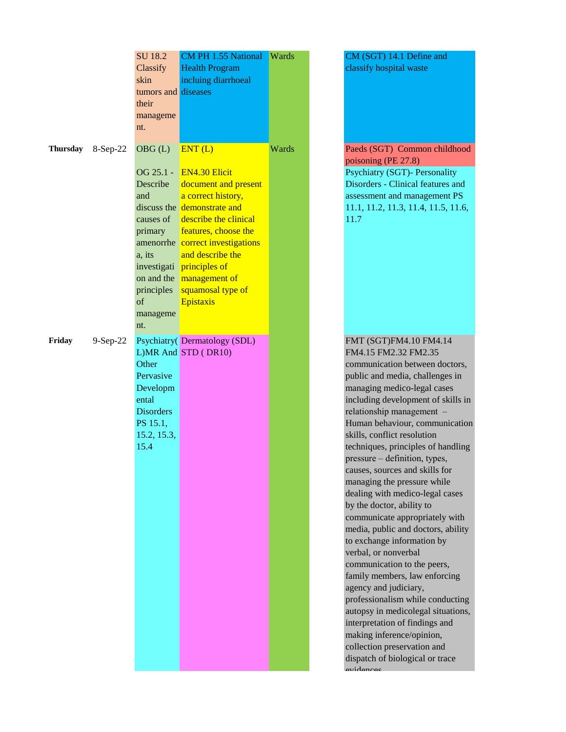|                   |            | SU 18.2<br>Classify<br>skin<br>tumors and diseases<br>their<br>manageme<br>nt.                                                               | <b>CM PH 1.55 National</b><br><b>Health Program</b><br>incluing diarrhoeal                                                                                                                                                                                                        | Wards |  |
|-------------------|------------|----------------------------------------------------------------------------------------------------------------------------------------------|-----------------------------------------------------------------------------------------------------------------------------------------------------------------------------------------------------------------------------------------------------------------------------------|-------|--|
| Thursday 8-Sep-22 |            | OBG(L)<br>Describe<br>and<br>causes of<br>primary<br>amenorrhe<br>a, its<br>investigati<br>on and the<br>principles<br>of<br>manageme<br>nt. | ENT(L)<br>OG 25.1 - EN4.30 Elicit<br>document and present<br>a correct history,<br>discuss the demonstrate and<br>describe the clinical<br>features, choose the<br>correct investigations<br>and describe the<br>principles of<br>management of<br>squamosal type of<br>Epistaxis | Wards |  |
| Friday            | $9-Sep-22$ | Other<br>Pervasive<br>Developm<br>ental<br><b>Disorders</b><br>PS 15.1,<br>15.2, 15.3,<br>15.4                                               | Psychiatry(Dermatology (SDL)<br>L)MR And STD (DR10)                                                                                                                                                                                                                               |       |  |

CM (SGT) 14.1 Define and classify hospital waste

Paeds (SGT) Common childhood poisoning (PE 27.8) Psychiatry (SGT)- Personality Disorders - Clinical features and assessment and management PS 11.1, 11.2, 11.3, 11.4, 11.5, 11.6, 11.7

FMT (SGT)FM4.10 FM4.14 FM4.15 FM2.32 FM2.35 communication between doctors, public and media, challenges in managing medico-legal cases including development of skills in relationship management – Human behaviour, communication skills, conflict resolution techniques, principles of handling pressure – definition, types, causes, sources and skills for managing the pressure while dealing with medico-legal cases by the doctor, ability to communicate appropriately with media, public and doctors, ability to exchange information by verbal, or nonverbal communication to the peers, family members, law enforcing agency and judiciary, professionalism while conducting autopsy in medicolegal situations, interpretation of findings and making inference/opinion, collection preservation and dispatch of biological or trace evidences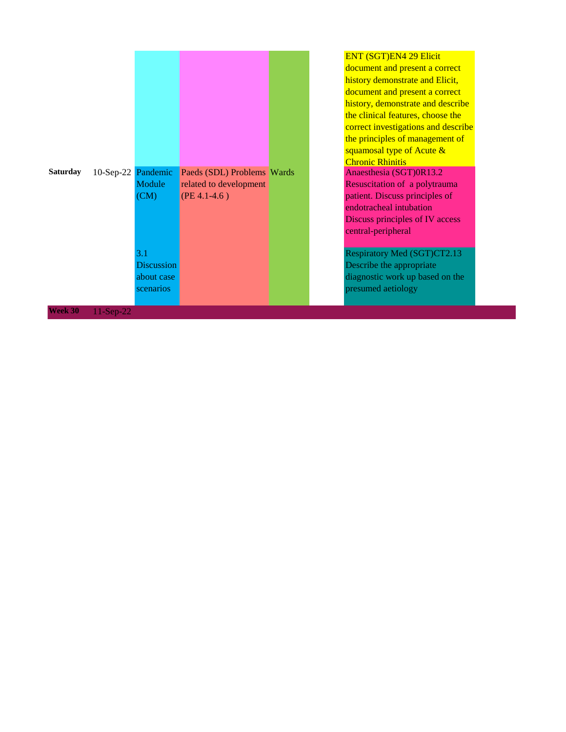| <b>Saturday</b> | 10-Sep-22 Pandemic | Module            | Paeds (SDL) Problems Wards |  |
|-----------------|--------------------|-------------------|----------------------------|--|
|                 |                    |                   | related to development     |  |
|                 |                    | (CM)              | $(PE 4.1-4.6)$             |  |
|                 |                    | 3.1               |                            |  |
|                 |                    | <b>Discussion</b> |                            |  |
|                 |                    | about case        |                            |  |
|                 |                    | scenarios         |                            |  |
| Week 30         | 11-Sep-22          |                   |                            |  |

#### ENT (SGT)EN4 29 Elicit

document and present a correct history demonstrate and Elicit, document and present a correct history, demonstrate and describe the clinical features, choose the correct investigations and describe the principles of management of squamosal type of Acute & Chronic Rhinitis Anaesthesia (SGT)0R13.2 Resuscitation of a polytrauma patient. Discuss principles of endotracheal intubation Discuss principles of IV access central-peripheral

Respiratory Med (SGT)CT2.13 Describe the appropriate diagnostic work up based on the presumed aetiology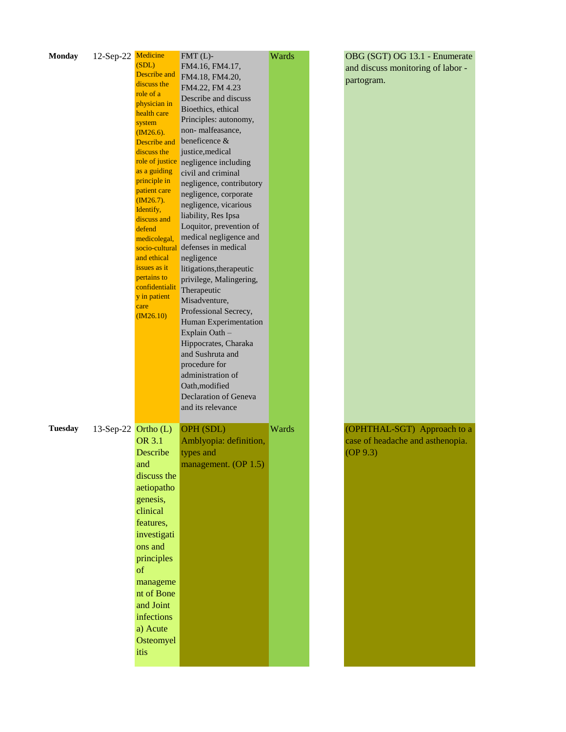| <b>Monday</b>  | 12-Sep-22 Medicine    |                              | $FMT(L)$ -                               | Wards | OBG (SGT) OG 13.1 - Enumerate     |
|----------------|-----------------------|------------------------------|------------------------------------------|-------|-----------------------------------|
|                |                       | (SDL)                        | FM4.16, FM4.17,                          |       | and discuss monitoring of labor - |
|                |                       | Describe and                 | FM4.18, FM4.20,                          |       | partogram.                        |
|                |                       | discuss the                  | FM4.22, FM 4.23                          |       |                                   |
|                |                       | role of a<br>physician in    | Describe and discuss                     |       |                                   |
|                |                       | health care                  | Bioethics, ethical                       |       |                                   |
|                |                       | system                       | Principles: autonomy,                    |       |                                   |
|                |                       | $(M26.6)$ .                  | non-malfeasance,                         |       |                                   |
|                |                       | Describe and                 | beneficence &                            |       |                                   |
|                |                       | discuss the                  | justice, medical                         |       |                                   |
|                |                       |                              | role of justice negligence including     |       |                                   |
|                |                       | as a guiding                 | civil and criminal                       |       |                                   |
|                |                       | principle in<br>patient care | negligence, contributory                 |       |                                   |
|                |                       | $(M26.7)$ .                  | negligence, corporate                    |       |                                   |
|                |                       | Identify,                    | negligence, vicarious                    |       |                                   |
|                |                       | discuss and                  | liability, Res Ipsa                      |       |                                   |
|                |                       | defend                       | Loquitor, prevention of                  |       |                                   |
|                |                       | medicolegal,                 | medical negligence and                   |       |                                   |
|                |                       |                              | socio-cultural defenses in medical       |       |                                   |
|                |                       | and ethical                  | negligence                               |       |                                   |
|                |                       | issues as it<br>pertains to  | litigations, therapeutic                 |       |                                   |
|                |                       | confidentialit               | privilege, Malingering,                  |       |                                   |
|                |                       | y in patient                 | Therapeutic                              |       |                                   |
|                |                       | care                         | Misadventure,                            |       |                                   |
|                |                       | (M26.10)                     | Professional Secrecy,                    |       |                                   |
|                |                       |                              | Human Experimentation                    |       |                                   |
|                |                       |                              | Explain Oath-                            |       |                                   |
|                |                       |                              | Hippocrates, Charaka<br>and Sushruta and |       |                                   |
|                |                       |                              | procedure for                            |       |                                   |
|                |                       |                              | administration of                        |       |                                   |
|                |                       |                              | Oath, modified                           |       |                                   |
|                |                       |                              | Declaration of Geneva                    |       |                                   |
|                |                       |                              | and its relevance                        |       |                                   |
|                |                       |                              |                                          |       |                                   |
| <b>Tuesday</b> | 13-Sep-22 $Ortho (L)$ |                              | OPH (SDL)                                | Wards | (OPHTHAL-SGT) Approach to a       |
|                |                       | OR 3.1                       | Amblyopia: definition,                   |       | case of headache and asthenopia.  |
|                |                       | Describe                     | types and                                |       | OP(9.3)                           |
|                |                       | and                          | management. (OP 1.5)                     |       |                                   |
|                |                       | discuss the                  |                                          |       |                                   |
|                |                       | aetiopatho                   |                                          |       |                                   |
|                |                       | genesis,                     |                                          |       |                                   |
|                |                       | clinical                     |                                          |       |                                   |
|                |                       |                              |                                          |       |                                   |
|                |                       | features,                    |                                          |       |                                   |
|                |                       | investigati                  |                                          |       |                                   |
|                |                       | ons and                      |                                          |       |                                   |
|                |                       | principles                   |                                          |       |                                   |
|                |                       | <sub>of</sub>                |                                          |       |                                   |
|                |                       | manageme                     |                                          |       |                                   |
|                |                       | nt of Bone                   |                                          |       |                                   |
|                |                       | and Joint                    |                                          |       |                                   |
|                |                       | infections                   |                                          |       |                                   |
|                |                       | a) Acute                     |                                          |       |                                   |
|                |                       | Osteomyel                    |                                          |       |                                   |
|                |                       | itis                         |                                          |       |                                   |
|                |                       |                              |                                          |       |                                   |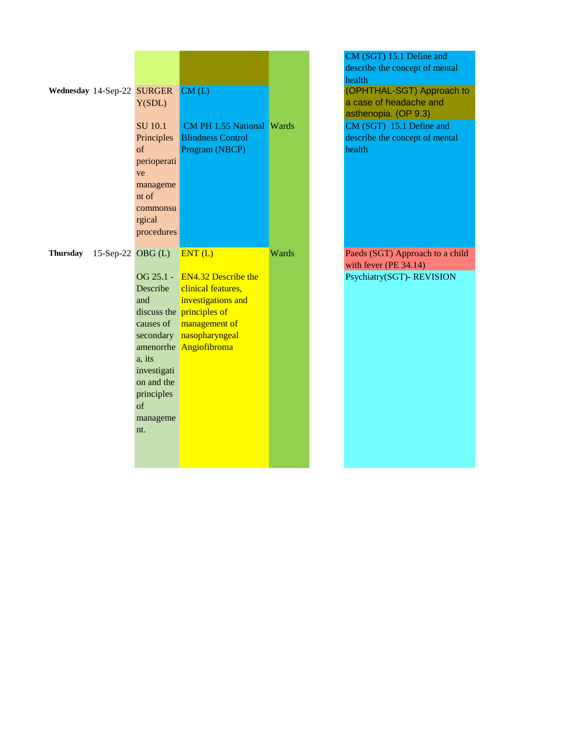| Wednesday 14-Sep-22 SURGER    | Y(SDL)                                                                                                                     | CM(L)                                                                                                                                                                                  |       |
|-------------------------------|----------------------------------------------------------------------------------------------------------------------------|----------------------------------------------------------------------------------------------------------------------------------------------------------------------------------------|-------|
|                               | <b>SU</b> 10.1<br>Principles  <br>$\sigma$ f<br>perioperati<br>ve<br>manageme<br>nt of<br>commonsu<br>rgical<br>procedures | <b>CM PH 1.55 National Wards</b><br><b>Blindness Control</b><br>Program (NBCP)                                                                                                         |       |
| Thursday<br>15-Sep-22 OBG (L) | and<br>causes of<br>amenorrhe l<br>a, its<br>investigati<br>on and the<br>principles<br>of<br>manageme<br>nt.              | ENT(L)<br>OG 25.1 - EN4.32 Describe the<br>Describe clinical features,<br>investigations and<br>discuss the principles of<br>management of<br>secondary nasopharyngeal<br>Angiofibroma | Wards |

CM (SGT) 15.1 Define and describe the concept of mental health (OPHTHAL-SGT) Approach to a case of headache and asthenopia. (OP 9.3)  $CM (SGT)$  15.1 Define and describe the concept of mental health

Paeds (SGT) Approach to a child with fever (PE 34.14) Psychiatry(SGT)- REVISION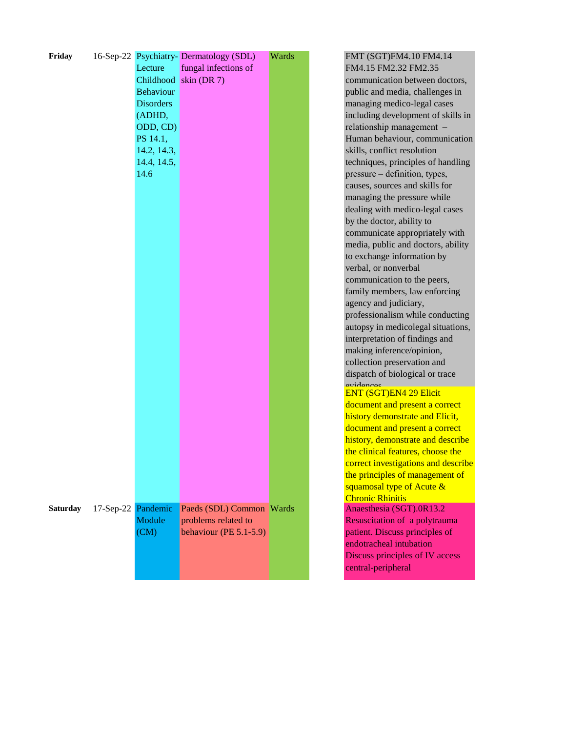| Friday          |           | Lecture          | 16-Sep-22 Psychiatry-Dermatology (SDL)<br>fungal infections of | Wards |
|-----------------|-----------|------------------|----------------------------------------------------------------|-------|
|                 |           | Childhood        | skin (DR 7)                                                    |       |
|                 |           | <b>Behaviour</b> |                                                                |       |
|                 |           | <b>Disorders</b> |                                                                |       |
|                 |           |                  |                                                                |       |
|                 |           | (ADHD,           |                                                                |       |
|                 |           | ODD, CD)         |                                                                |       |
|                 |           | PS 14.1,         |                                                                |       |
|                 |           | 14.2, 14.3,      |                                                                |       |
|                 |           | 14.4, 14.5,      |                                                                |       |
|                 |           | 14.6             |                                                                |       |
|                 |           |                  |                                                                |       |
|                 |           |                  |                                                                |       |
|                 |           |                  |                                                                |       |
|                 |           |                  |                                                                |       |
|                 |           |                  |                                                                |       |
|                 |           |                  |                                                                |       |
|                 |           |                  |                                                                |       |
|                 |           |                  |                                                                |       |
|                 |           |                  |                                                                |       |
|                 |           |                  |                                                                |       |
|                 |           |                  |                                                                |       |
|                 |           |                  |                                                                |       |
|                 |           |                  |                                                                |       |
|                 |           |                  |                                                                |       |
|                 |           |                  |                                                                |       |
|                 |           |                  |                                                                |       |
|                 |           |                  |                                                                |       |
|                 |           |                  |                                                                |       |
|                 |           |                  |                                                                |       |
|                 |           |                  |                                                                |       |
|                 |           |                  |                                                                |       |
|                 |           |                  |                                                                |       |
|                 |           |                  |                                                                |       |
|                 |           |                  |                                                                |       |
|                 |           |                  |                                                                |       |
|                 |           |                  |                                                                |       |
|                 |           |                  |                                                                |       |
|                 |           |                  |                                                                |       |
| <b>Saturday</b> | 17-Sep-22 | Pandemic         | Paeds (SDL) Common                                             | Wards |
|                 |           | Module           | problems related to                                            |       |
|                 |           | (CM)             | behaviour (PE 5.1-5.9)                                         |       |
|                 |           |                  |                                                                |       |
|                 |           |                  |                                                                |       |
|                 |           |                  |                                                                |       |
|                 |           |                  |                                                                |       |

FMT (SGT)FM4.10 FM4.14 FM4.15 FM2.32 FM2.35 communication between doctors, public and media, challenges in managing medico-legal cases including development of skills in relationship management – Human behaviour, communication skills, conflict resolution techniques, principles of handling pressure – definition, types, causes, sources and skills for managing the pressure while dealing with medico-legal cases by the doctor, ability to communicate appropriately with media, public and doctors, ability to exchange information by verbal, or nonverbal communication to the peers, family members, law enforcing agency and judiciary, professionalism while conducting autopsy in medicolegal situations, interpretation of findings and making inference/opinion, collection preservation and dispatch of biological or trace evidences ENT (SGT)EN4 29 Elicit document and present a correct history demonstrate and Elicit, document and present a correct history, demonstrate and describe the clinical features, choose the correct investigations and describe the principles of management of

## Chronic Rhinitis Anaesthesia (SGT).0R13.2 Resuscitation of a polytrauma patient. Discuss principles of endotracheal intubation Discuss principles of IV access central-peripheral

squamosal type of Acute &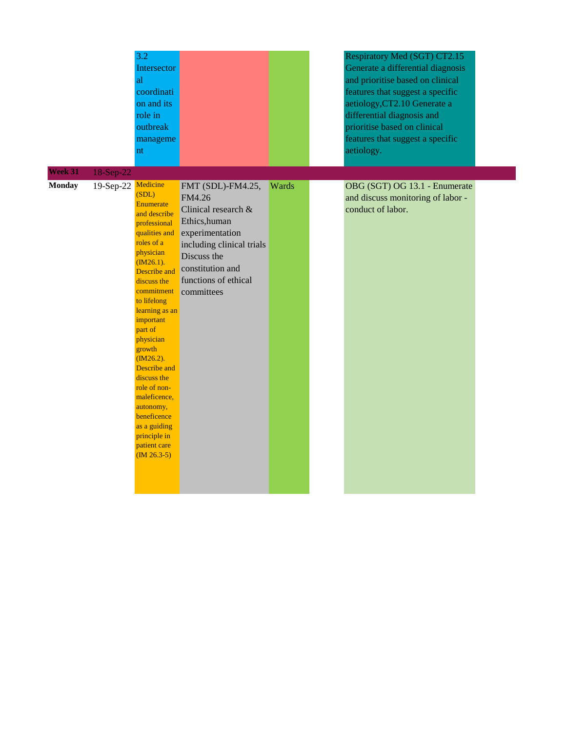|                          |                                 | 3.2<br>Intersector<br>al<br>coordinati<br>on and its<br>role in<br>outbreak<br>manageme<br>nt                                                                                                                                                                                                                                                                                                                               |                                                                                                                                                                                              |       | Respiratory Med (SGT) CT2.15<br>Generate a differential diagnosis<br>and prioritise based on clinical<br>features that suggest a specific<br>aetiology, CT2.10 Generate a<br>differential diagnosis and<br>prioritise based on clinical<br>features that suggest a specific<br>aetiology. |  |
|--------------------------|---------------------------------|-----------------------------------------------------------------------------------------------------------------------------------------------------------------------------------------------------------------------------------------------------------------------------------------------------------------------------------------------------------------------------------------------------------------------------|----------------------------------------------------------------------------------------------------------------------------------------------------------------------------------------------|-------|-------------------------------------------------------------------------------------------------------------------------------------------------------------------------------------------------------------------------------------------------------------------------------------------|--|
| Week 31<br><b>Monday</b> | 18-Sep-22<br>19-Sep-22 Medicine | (SDL)<br>Enumerate<br>and describe<br>professional<br>qualities and<br>roles of a<br>physician<br>$(M26.1)$ .<br><b>Describe</b> and<br>discuss the<br>commitment<br>to lifelong<br>learning as an<br>important<br>part of<br>physician<br>growth<br>$(M26.2)$ .<br>Describe and<br>discuss the<br>role of non-<br>maleficence,<br>autonomy,<br>beneficence<br>as a guiding<br>principle in<br>patient care<br>$(M 26.3-5)$ | FMT (SDL)-FM4.25,<br>FM4.26<br>Clinical research &<br>Ethics, human<br>experimentation<br>including clinical trials<br>Discuss the<br>constitution and<br>functions of ethical<br>committees | Wards | OBG (SGT) OG 13.1 - Enumerate<br>and discuss monitoring of labor -<br>conduct of labor.                                                                                                                                                                                                   |  |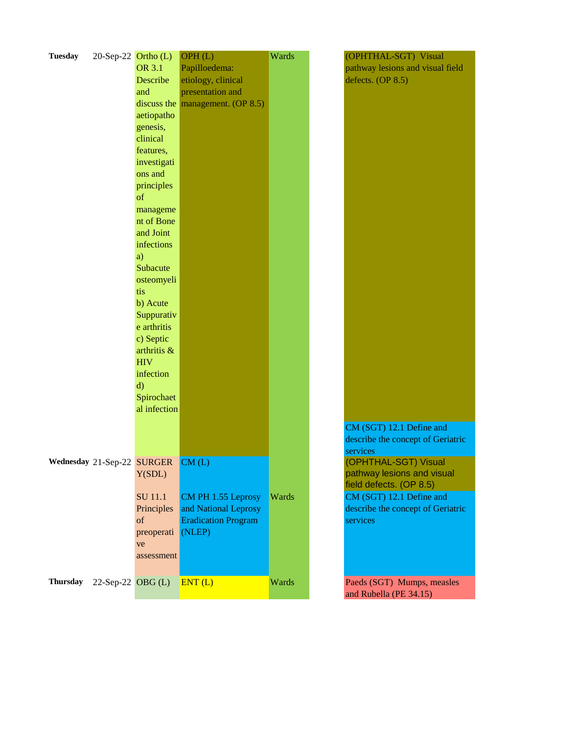| <b>Tuesday</b>  | $20$ -Sep-22 Ortho (L)     |                  | OPH(L)                                            | Wards | (OPHTHAL-SGT) Visual                                 |
|-----------------|----------------------------|------------------|---------------------------------------------------|-------|------------------------------------------------------|
|                 |                            | <b>OR 3.1</b>    | Papilloedema:                                     |       | pathway lesions and visual field                     |
|                 |                            | Describe         | etiology, clinical                                |       | defects. (OP 8.5)                                    |
|                 |                            | and              | presentation and                                  |       |                                                      |
|                 |                            |                  | discuss the $\boxed{\text{management.}}$ (OP 8.5) |       |                                                      |
|                 |                            | aetiopatho       |                                                   |       |                                                      |
|                 |                            | genesis,         |                                                   |       |                                                      |
|                 |                            | clinical         |                                                   |       |                                                      |
|                 |                            | features,        |                                                   |       |                                                      |
|                 |                            | investigati      |                                                   |       |                                                      |
|                 |                            | ons and          |                                                   |       |                                                      |
|                 |                            | principles       |                                                   |       |                                                      |
|                 |                            | of               |                                                   |       |                                                      |
|                 |                            | manageme         |                                                   |       |                                                      |
|                 |                            | nt of Bone       |                                                   |       |                                                      |
|                 |                            | and Joint        |                                                   |       |                                                      |
|                 |                            | infections       |                                                   |       |                                                      |
|                 |                            | a)               |                                                   |       |                                                      |
|                 |                            | Subacute         |                                                   |       |                                                      |
|                 |                            | osteomyeli       |                                                   |       |                                                      |
|                 |                            | tis              |                                                   |       |                                                      |
|                 |                            | b) Acute         |                                                   |       |                                                      |
|                 |                            | Suppurativ       |                                                   |       |                                                      |
|                 |                            | e arthritis      |                                                   |       |                                                      |
|                 |                            | c) Septic        |                                                   |       |                                                      |
|                 |                            | arthritis &      |                                                   |       |                                                      |
|                 |                            | <b>HIV</b>       |                                                   |       |                                                      |
|                 |                            | infection        |                                                   |       |                                                      |
|                 |                            | d)               |                                                   |       |                                                      |
|                 |                            | Spirochaet       |                                                   |       |                                                      |
|                 |                            | al infection     |                                                   |       |                                                      |
|                 |                            |                  |                                                   |       |                                                      |
|                 |                            |                  |                                                   |       | CM (SGT) 12.1 Define and                             |
|                 |                            |                  |                                                   |       | describe the concept of Geriatric                    |
|                 |                            |                  |                                                   |       | services                                             |
|                 | Wednesday 21-Sep-22 SURGER |                  | CM(L)                                             |       | (OPHTHAL-SGT) Visual                                 |
|                 |                            | Y(SDL)           |                                                   |       | pathway lesions and visual                           |
|                 |                            |                  |                                                   |       | field defects. (OP 8.5)                              |
|                 |                            | SU 11.1          | CM PH 1.55 Leprosy                                | Wards | CM (SGT) 12.1 Define and                             |
|                 |                            | Principles<br>of | and National Leprosy                              |       | describe the concept of Geriatric<br>services        |
|                 |                            |                  | <b>Eradication Program</b>                        |       |                                                      |
|                 |                            | preoperati       | (NLEP)                                            |       |                                                      |
|                 |                            | ve               |                                                   |       |                                                      |
|                 |                            | assessment       |                                                   |       |                                                      |
|                 |                            |                  |                                                   |       |                                                      |
| <b>Thursday</b> | $22$ -Sep-22 OBG (L)       |                  | ENT(L)                                            | Wards | Paeds (SGT) Mumps, measles<br>and Rubella (PE 34.15) |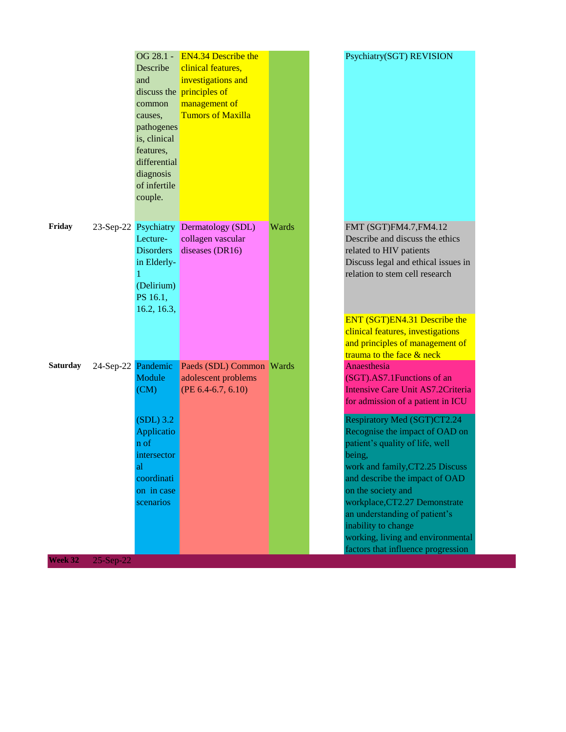|                 |                    | Describe<br>and<br>common<br>causes,<br>pathogenes<br>is, clinical<br>features,<br>differential<br>diagnosis<br>of infertile<br>couple. | OG 28.1 - EN4.34 Describe the<br>clinical features,<br>investigations and<br>discuss the principles of<br>management of<br><b>Tumors of Maxilla</b> |       | Psychiatry(SGT) REVISION                                                                                                                                                                                                                                                                                                                                                                                                                                                                                                      |
|-----------------|--------------------|-----------------------------------------------------------------------------------------------------------------------------------------|-----------------------------------------------------------------------------------------------------------------------------------------------------|-------|-------------------------------------------------------------------------------------------------------------------------------------------------------------------------------------------------------------------------------------------------------------------------------------------------------------------------------------------------------------------------------------------------------------------------------------------------------------------------------------------------------------------------------|
| Friday          |                    | Lecture-<br><b>Disorders</b><br>in Elderly-<br>1<br>(Delirium)<br>PS 16.1,<br>16.2, 16.3,                                               | 23-Sep-22 Psychiatry Dermatology (SDL)<br>collagen vascular<br>diseases (DR16)                                                                      | Wards | FMT (SGT)FM4.7, FM4.12<br>Describe and discuss the ethics<br>related to HIV patients<br>Discuss legal and ethical issues in<br>relation to stem cell research<br>ENT (SGT)EN4.31 Describe the<br>clinical features, investigations<br>and principles of management of                                                                                                                                                                                                                                                         |
| <b>Saturday</b> | 24-Sep-22 Pandemic | Module<br>(CM)<br>$(SDL)$ 3.2<br>Applicatio<br>n of<br>intersector<br>al<br>coordinati<br>on in case<br>scenarios                       | Paeds (SDL) Common Wards<br>adolescent problems<br>(PE $6.4-6.7, 6.10$ )                                                                            |       | trauma to the face & neck<br>Anaesthesia<br>(SGT).AS7.1Functions of an<br>Intensive Care Unit AS7.2Criteria<br>for admission of a patient in ICU<br>Respiratory Med (SGT)CT2.24<br>Recognise the impact of OAD on<br>patient's quality of life, well<br>being,<br>work and family, CT2.25 Discuss<br>and describe the impact of OAD<br>on the society and<br>workplace, CT2.27 Demonstrate<br>an understanding of patient's<br>inability to change<br>working, living and environmental<br>factors that influence progression |
| Week 32         | $25-Sep-22$        |                                                                                                                                         |                                                                                                                                                     |       |                                                                                                                                                                                                                                                                                                                                                                                                                                                                                                                               |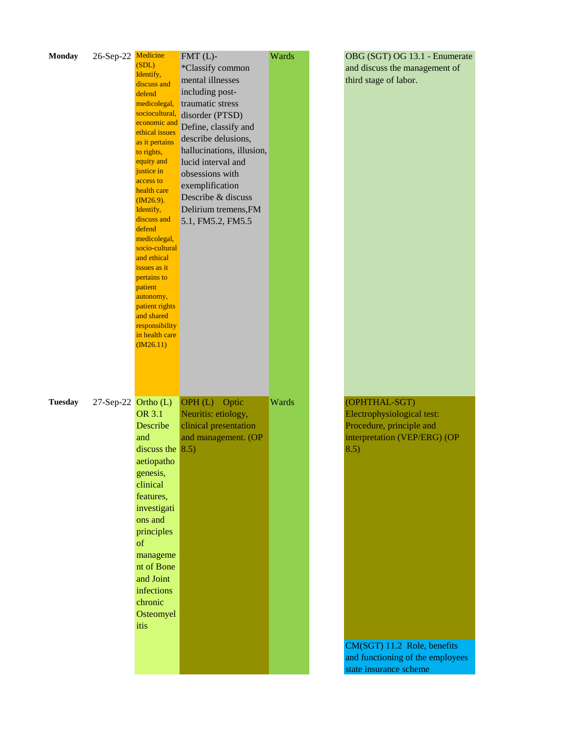| <b>Monday</b>  | 26-Sep-22 Medicine     | (SDL)<br>Identify,<br>discuss and<br>defend<br>medicolegal,<br>sociocultural,<br>economic and<br>ethical issues<br>as it pertains<br>to rights,<br>equity and<br>justice in<br>access to<br>health care<br>$(M26.9)$ .<br>Identify,<br>discuss and<br>defend<br>medicolegal,<br>socio-cultural<br>and ethical<br>issues as it<br>pertains to<br>patient<br>autonomy,<br>patient rights<br>and shared<br>responsibility<br>in health care<br>(M26.11) | $FMT(L)$ -<br>*Classify common<br>mental illnesses<br>including post-<br>traumatic stress<br>disorder (PTSD)<br>Define, classify and<br>describe delusions,<br>hallucinations, illusion,<br>lucid interval and<br>obsessions with<br>exemplification<br>Describe & discuss<br>Delirium tremens, FM<br>5.1, FM5.2, FM5.5 | Wards | OBG (SGT) OG 13.1 - Enumerate<br>and discuss the management of<br>third stage of labor.                                                                                                                      |
|----------------|------------------------|------------------------------------------------------------------------------------------------------------------------------------------------------------------------------------------------------------------------------------------------------------------------------------------------------------------------------------------------------------------------------------------------------------------------------------------------------|-------------------------------------------------------------------------------------------------------------------------------------------------------------------------------------------------------------------------------------------------------------------------------------------------------------------------|-------|--------------------------------------------------------------------------------------------------------------------------------------------------------------------------------------------------------------|
| <b>Tuesday</b> | $27$ -Sep-22 Ortho (L) | <b>OR 3.1</b><br>Describe<br>and<br>discuss the $\vert 8.5\rangle$<br>aetiopatho<br>genesis,<br>clinical<br>features,<br>investigati<br>ons and<br>principles<br>of<br>manageme<br>nt of Bone<br>and Joint<br>infections<br>chronic<br>Osteomyel<br>itis                                                                                                                                                                                             | OPH(L)<br>Optic<br>Neuritis: etiology,<br>clinical presentation<br>and management. (OP                                                                                                                                                                                                                                  | Wards | (OPHTHAL-SGT)<br>Electrophysiological test:<br>Procedure, principle and<br>interpretation (VEP/ERG) (OP<br>8.5)<br>CM(SGT) 11.2 Role, benefits<br>and functioning of the employees<br>state insurance scheme |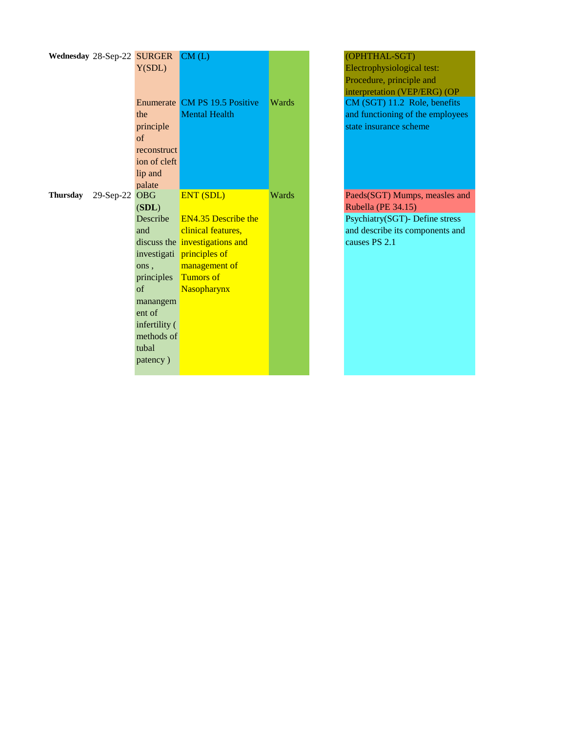|                 | Wednesday 28-Sep-22 SURGER |               | CM(L)                          |       | (OPHTHAL-SGT)                    |
|-----------------|----------------------------|---------------|--------------------------------|-------|----------------------------------|
|                 |                            | Y(SDL)        |                                |       | Electrophysiological test:       |
|                 |                            |               |                                |       | Procedure, principle and         |
|                 |                            |               |                                |       | interpretation (VEP/ERG) (OP     |
|                 |                            |               | Enumerate CM PS 19.5 Positive  | Wards | CM (SGT) 11.2 Role, benefits     |
|                 |                            | the           | <b>Mental Health</b>           |       | and functioning of the employees |
|                 |                            | principle     |                                |       | state insurance scheme           |
|                 |                            | $\sigma$ f    |                                |       |                                  |
|                 |                            | reconstruct   |                                |       |                                  |
|                 |                            | ion of cleft  |                                |       |                                  |
|                 |                            | lip and       |                                |       |                                  |
|                 |                            | palate        |                                |       |                                  |
| <b>Thursday</b> | $29-Sep-22$                | <b>OBG</b>    | <b>ENT (SDL)</b>               | Wards | Paeds(SGT) Mumps, measles and    |
|                 |                            | (SDL)         |                                |       | Rubella (PE 34.15)               |
|                 |                            | Describe      | <b>EN4.35 Describe the</b>     |       | Psychiatry(SGT)- Define stress   |
|                 |                            | and           | clinical features,             |       | and describe its components and  |
|                 |                            |               | discuss the investigations and |       | causes PS 2.1                    |
|                 |                            |               | investigati principles of      |       |                                  |
|                 |                            | ons,          | management of                  |       |                                  |
|                 |                            | principles    | <b>Tumors of</b>               |       |                                  |
|                 |                            | $\sigma$ f    | Nasopharynx                    |       |                                  |
|                 |                            | manangem      |                                |       |                                  |
|                 |                            | ent of        |                                |       |                                  |
|                 |                            | infertility ( |                                |       |                                  |
|                 |                            | methods of    |                                |       |                                  |
|                 |                            | tubal         |                                |       |                                  |
|                 |                            | patency)      |                                |       |                                  |
|                 |                            |               |                                |       |                                  |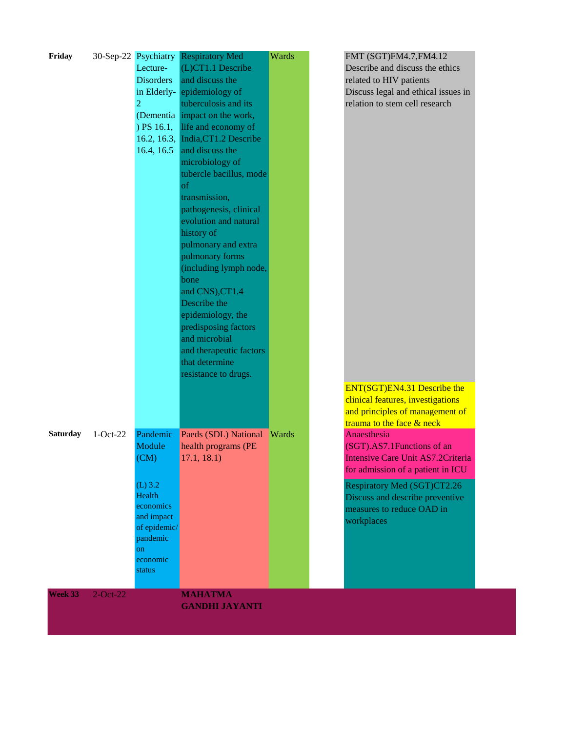| Friday          |             | 30-Sep-22 Psychiatry | <b>Respiratory Med</b>                    | Wards | FMT (SGT)FM4.7, FM4.12                                       |
|-----------------|-------------|----------------------|-------------------------------------------|-------|--------------------------------------------------------------|
|                 |             | Lecture-             | (L)CT1.1 Describe                         |       | Describe and discuss the ethics                              |
|                 |             | <b>Disorders</b>     | and discuss the                           |       | related to HIV patients                                      |
|                 |             | in Elderly-          | epidemiology of                           |       | Discuss legal and ethical issues in                          |
|                 |             | 2                    | tuberculosis and its                      |       | relation to stem cell research                               |
|                 |             |                      | (Dementia impact on the work,             |       |                                                              |
|                 |             | $)$ PS 16.1,         | life and economy of                       |       |                                                              |
|                 |             | 16.2, 16.3,          | India, CT1.2 Describe                     |       |                                                              |
|                 |             | 16.4, 16.5           | and discuss the                           |       |                                                              |
|                 |             |                      | microbiology of                           |       |                                                              |
|                 |             |                      | tubercle bacillus, mode                   |       |                                                              |
|                 |             |                      | of                                        |       |                                                              |
|                 |             |                      | transmission,                             |       |                                                              |
|                 |             |                      | pathogenesis, clinical                    |       |                                                              |
|                 |             |                      | evolution and natural                     |       |                                                              |
|                 |             |                      | history of                                |       |                                                              |
|                 |             |                      | pulmonary and extra                       |       |                                                              |
|                 |             |                      | pulmonary forms                           |       |                                                              |
|                 |             |                      | (including lymph node,                    |       |                                                              |
|                 |             |                      | bone                                      |       |                                                              |
|                 |             |                      | and CNS), CT1.4                           |       |                                                              |
|                 |             |                      | Describe the                              |       |                                                              |
|                 |             |                      | epidemiology, the                         |       |                                                              |
|                 |             |                      | predisposing factors                      |       |                                                              |
|                 |             |                      | and microbial                             |       |                                                              |
|                 |             |                      | and therapeutic factors<br>that determine |       |                                                              |
|                 |             |                      | resistance to drugs.                      |       |                                                              |
|                 |             |                      |                                           |       |                                                              |
|                 |             |                      |                                           |       | ENT(SGT)EN4.31 Describe the                                  |
|                 |             |                      |                                           |       | clinical features, investigations                            |
|                 |             |                      |                                           |       | and principles of management of<br>trauma to the face & neck |
| <b>Saturday</b> | $1-Oct-22$  | Pandemic             | Paeds (SDL) National                      | Wards | Anaesthesia                                                  |
|                 |             | Module               | health programs (PE                       |       | (SGT).AS7.1Functions of an                                   |
|                 |             | (CM)                 | 17.1, 18.1)                               |       | Intensive Care Unit AS7.2Criteria                            |
|                 |             |                      |                                           |       | for admission of a patient in ICU                            |
|                 |             |                      |                                           |       |                                                              |
|                 |             | $(L)$ 3.2<br>Health  |                                           |       | Respiratory Med (SGT)CT2.26                                  |
|                 |             | economics            |                                           |       | Discuss and describe preventive<br>measures to reduce OAD in |
|                 |             | and impact           |                                           |       |                                                              |
|                 |             | of epidemic/         |                                           |       | workplaces                                                   |
|                 |             | pandemic             |                                           |       |                                                              |
|                 |             | on                   |                                           |       |                                                              |
|                 |             | economic             |                                           |       |                                                              |
|                 |             | status               |                                           |       |                                                              |
| Week 33         |             |                      |                                           |       |                                                              |
|                 | $2$ -Oct-22 |                      | <b>MAHATMA</b><br><b>GANDHI JAYANTI</b>   |       |                                                              |
|                 |             |                      |                                           |       |                                                              |
|                 |             |                      |                                           |       |                                                              |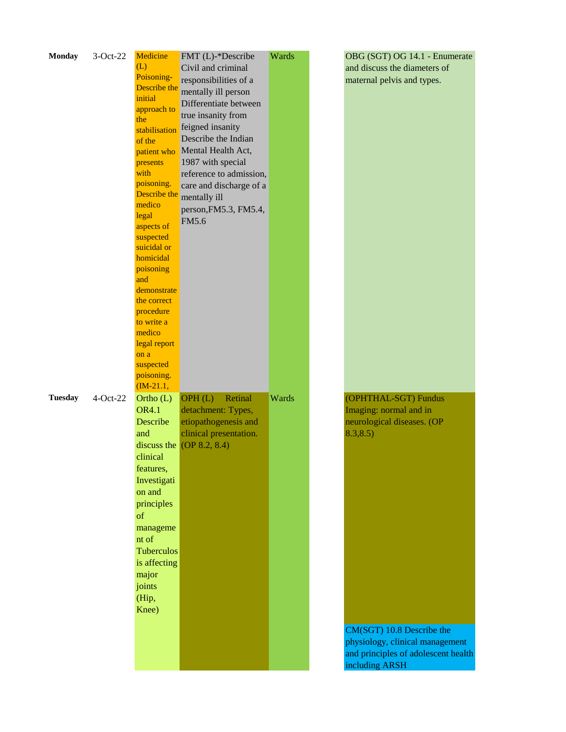| <b>Monday</b>  | $3-Oct-22$ | Medicine<br>(L)            | FMT (L)-*Describe<br>Civil and criminal | Wards | OBG (SGT) OG 14.1 - Enumerate<br>and discuss the diameters of |
|----------------|------------|----------------------------|-----------------------------------------|-------|---------------------------------------------------------------|
|                |            | Poisoning-                 | responsibilities of a                   |       | maternal pelvis and types.                                    |
|                |            | Describe the               | mentally ill person                     |       |                                                               |
|                |            | initial                    | Differentiate between                   |       |                                                               |
|                |            | approach to<br>the         | true insanity from                      |       |                                                               |
|                |            | stabilisation              | feigned insanity                        |       |                                                               |
|                |            | of the                     | Describe the Indian                     |       |                                                               |
|                |            |                            | patient who Mental Health Act,          |       |                                                               |
|                |            | presents                   | 1987 with special                       |       |                                                               |
|                |            | with                       | reference to admission,                 |       |                                                               |
|                |            | poisoning.<br>Describe the | care and discharge of a                 |       |                                                               |
|                |            | medico                     | mentally ill                            |       |                                                               |
|                |            | legal                      | person, FM5.3, FM5.4,                   |       |                                                               |
|                |            | aspects of                 | FM5.6                                   |       |                                                               |
|                |            | suspected                  |                                         |       |                                                               |
|                |            | suicidal or                |                                         |       |                                                               |
|                |            | homicidal                  |                                         |       |                                                               |
|                |            | poisoning                  |                                         |       |                                                               |
|                |            | and                        |                                         |       |                                                               |
|                |            | demonstrate                |                                         |       |                                                               |
|                |            | the correct<br>procedure   |                                         |       |                                                               |
|                |            | to write a                 |                                         |       |                                                               |
|                |            | medico                     |                                         |       |                                                               |
|                |            | legal report               |                                         |       |                                                               |
|                |            | on a                       |                                         |       |                                                               |
|                |            | suspected                  |                                         |       |                                                               |
|                |            | poisoning.                 |                                         |       |                                                               |
|                |            | $(M-21.1,$                 |                                         |       |                                                               |
| <b>Tuesday</b> | $4-Oct-22$ | Ortho (L)                  | OPH(L)<br>Retinal                       | Wards | (OPHTHAL-SGT) Fundus                                          |
|                |            | <b>OR4.1</b>               | detachment: Types,                      |       | Imaging: normal and in                                        |
|                |            | Describe                   | etiopathogenesis and                    |       | neurological diseases. (OP                                    |
|                |            | and                        | clinical presentation.                  |       | 8.3, 8.5)                                                     |
|                |            |                            | discuss the $[OP 8.2, 8.4]$             |       |                                                               |
|                |            | clinical                   |                                         |       |                                                               |
|                |            | features,                  |                                         |       |                                                               |
|                |            | Investigati                |                                         |       |                                                               |
|                |            | on and                     |                                         |       |                                                               |
|                |            | principles                 |                                         |       |                                                               |
|                |            | of                         |                                         |       |                                                               |
|                |            | manageme                   |                                         |       |                                                               |
|                |            | nt of                      |                                         |       |                                                               |
|                |            | Tuberculos                 |                                         |       |                                                               |
|                |            | is affecting               |                                         |       |                                                               |
|                |            | major                      |                                         |       |                                                               |
|                |            | joints                     |                                         |       |                                                               |
|                |            | (Hip,                      |                                         |       |                                                               |
|                |            | Knee)                      |                                         |       |                                                               |
|                |            |                            |                                         |       | CM(SGT) 10.8 Describe the                                     |
|                |            |                            |                                         |       | physiology, clinical management                               |
|                |            |                            |                                         |       | and principles of adolescent health                           |
|                |            |                            |                                         |       | including ARSH                                                |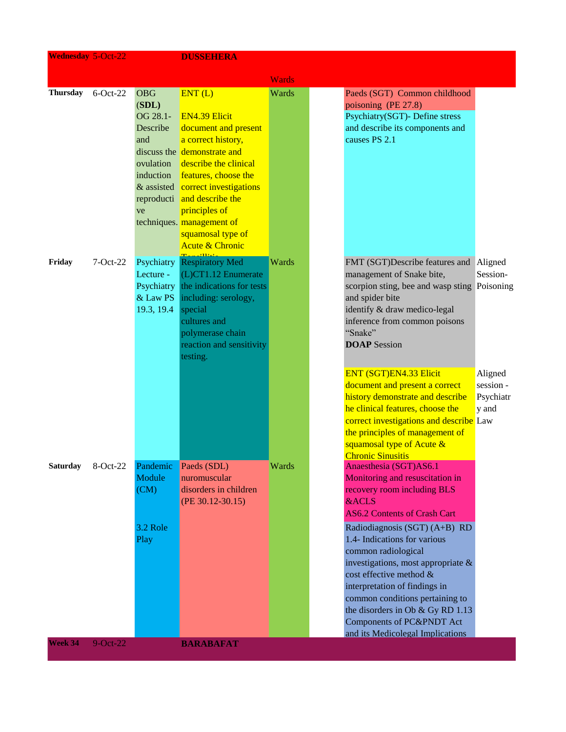| <b>Wednesday 5-Oct-22</b> |             |                        | <b>DUSSEHERA</b>                                |              |                                                               |                      |
|---------------------------|-------------|------------------------|-------------------------------------------------|--------------|---------------------------------------------------------------|----------------------|
|                           |             |                        |                                                 | <b>Wards</b> |                                                               |                      |
| <b>Thursday</b>           | $6$ -Oct-22 | <b>OBG</b>             | ENT(L)                                          | Wards        | Paeds (SGT) Common childhood                                  |                      |
|                           |             | (SDL)                  |                                                 |              | poisoning (PE 27.8)                                           |                      |
|                           |             | OG 28.1-               | <b>EN4.39 Elicit</b>                            |              | Psychiatry(SGT)- Define stress                                |                      |
|                           |             | Describe               | document and present                            |              | and describe its components and                               |                      |
|                           |             | and                    | a correct history,                              |              | causes PS 2.1                                                 |                      |
|                           |             |                        | discuss the demonstrate and                     |              |                                                               |                      |
|                           |             | ovulation              | describe the clinical                           |              |                                                               |                      |
|                           |             | induction              | features, choose the                            |              |                                                               |                      |
|                           |             |                        | & assisted correct investigations               |              |                                                               |                      |
|                           |             |                        | reproducti and describe the                     |              |                                                               |                      |
|                           |             | ve                     | principles of                                   |              |                                                               |                      |
|                           |             |                        | techniques. management of                       |              |                                                               |                      |
|                           |             |                        | squamosal type of<br><b>Acute &amp; Chronic</b> |              |                                                               |                      |
|                           |             |                        |                                                 |              |                                                               |                      |
| Friday                    | $7-Oct-22$  | Psychiatry             | <b>Respiratory Med</b>                          | Wards        | FMT (SGT)Describe features and                                | Aligned              |
|                           |             | Lecture -              | (L)CT1.12 Enumerate                             |              | management of Snake bite,                                     | Session-             |
|                           |             | Psychiatry             | the indications for tests                       |              | scorpion sting, bee and wasp sting Poisoning                  |                      |
|                           |             | & Law PS<br>19.3, 19.4 | including: serology,<br>special                 |              | and spider bite<br>identify & draw medico-legal               |                      |
|                           |             |                        | cultures and                                    |              | inference from common poisons                                 |                      |
|                           |             |                        | polymerase chain                                |              | "Snake"                                                       |                      |
|                           |             |                        | reaction and sensitivity                        |              | <b>DOAP</b> Session                                           |                      |
|                           |             |                        | testing.                                        |              |                                                               |                      |
|                           |             |                        |                                                 |              |                                                               |                      |
|                           |             |                        |                                                 |              | ENT (SGT)EN4.33 Elicit<br>document and present a correct      | Aligned<br>session - |
|                           |             |                        |                                                 |              | history demonstrate and describe                              | Psychiatr            |
|                           |             |                        |                                                 |              | he clinical features, choose the                              | y and                |
|                           |             |                        |                                                 |              | correct investigations and describe Law                       |                      |
|                           |             |                        |                                                 |              | the principles of management of                               |                      |
|                           |             |                        |                                                 |              | squamosal type of Acute &                                     |                      |
|                           |             |                        |                                                 |              | <b>Chronic Sinusitis</b>                                      |                      |
| <b>Saturday</b>           | 8-Oct-22    | Pandemic               | Paeds (SDL)                                     | Wards        | Anaesthesia (SGT)AS6.1                                        |                      |
|                           |             | Module                 | nuromuscular                                    |              | Monitoring and resuscitation in                               |                      |
|                           |             | (CM)                   | disorders in children                           |              | recovery room including BLS                                   |                      |
|                           |             |                        | $(PE 30.12 - 30.15)$                            |              | <b>&amp;ACLS</b><br><b>AS6.2 Contents of Crash Cart</b>       |                      |
|                           |             |                        |                                                 |              |                                                               |                      |
|                           |             | 3.2 Role               |                                                 |              | Radiodiagnosis (SGT) (A+B) RD<br>1.4- Indications for various |                      |
|                           |             | Play                   |                                                 |              | common radiological                                           |                      |
|                           |             |                        |                                                 |              | investigations, most appropriate $\&$                         |                      |
|                           |             |                        |                                                 |              | cost effective method &                                       |                      |
|                           |             |                        |                                                 |              | interpretation of findings in                                 |                      |
|                           |             |                        |                                                 |              | common conditions pertaining to                               |                      |
|                           |             |                        |                                                 |              | the disorders in Ob $&$ Gy RD 1.13                            |                      |
|                           |             |                        |                                                 |              | Components of PC&PNDT Act                                     |                      |
|                           |             |                        |                                                 |              | and its Medicolegal Implications                              |                      |
| Week 34                   | $9$ -Oct-22 |                        | <b>BARABAFAT</b>                                |              |                                                               |                      |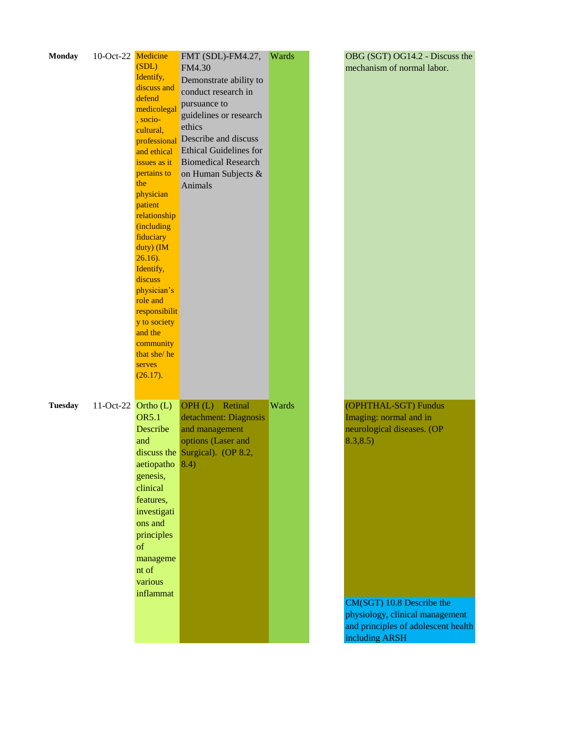| <b>Monday</b>  | 10-Oct-22 Medicine    |                  | FMT (SDL)-FM4.27,               | Wards | OBG (SGT) OG14.2 - Discuss the      |
|----------------|-----------------------|------------------|---------------------------------|-------|-------------------------------------|
|                |                       | (SDL)            | FM4.30                          |       | mechanism of normal labor.          |
|                |                       | Identify,        | Demonstrate ability to          |       |                                     |
|                |                       | discuss and      | conduct research in             |       |                                     |
|                |                       | defend           | pursuance to                    |       |                                     |
|                |                       | medicolegal      | guidelines or research          |       |                                     |
|                |                       | , socio-         |                                 |       |                                     |
|                |                       | cultural,        | ethics                          |       |                                     |
|                |                       | professional     | Describe and discuss            |       |                                     |
|                |                       | and ethical      | <b>Ethical Guidelines for</b>   |       |                                     |
|                |                       | issues as it     | <b>Biomedical Research</b>      |       |                                     |
|                |                       | pertains to      | on Human Subjects &             |       |                                     |
|                |                       | the              | Animals                         |       |                                     |
|                |                       | physician        |                                 |       |                                     |
|                |                       | patient          |                                 |       |                                     |
|                |                       | relationship     |                                 |       |                                     |
|                |                       | (including       |                                 |       |                                     |
|                |                       | fiduciary        |                                 |       |                                     |
|                |                       | duty) (IM        |                                 |       |                                     |
|                |                       | $26.16$ ).       |                                 |       |                                     |
|                |                       | Identify,        |                                 |       |                                     |
|                |                       | discuss          |                                 |       |                                     |
|                |                       | physician's      |                                 |       |                                     |
|                |                       | role and         |                                 |       |                                     |
|                |                       | responsibilit    |                                 |       |                                     |
|                |                       | y to society     |                                 |       |                                     |
|                |                       | and the          |                                 |       |                                     |
|                |                       | community        |                                 |       |                                     |
|                |                       | that she/he      |                                 |       |                                     |
|                |                       | serves           |                                 |       |                                     |
|                |                       | (26.17).         |                                 |       |                                     |
|                |                       |                  |                                 |       |                                     |
| <b>Tuesday</b> | 11-Oct-22 Ortho $(L)$ |                  | OPH(L)<br>Retinal               | Wards | (OPHTHAL-SGT) Fundus                |
|                |                       | <b>OR5.1</b>     | detachment: Diagnosis           |       | Imaging: normal and in              |
|                |                       | Describe         | and management                  |       | neurological diseases. (OP          |
|                |                       | and              | options (Laser and              |       | 8.3, 8.5)                           |
|                |                       |                  |                                 |       |                                     |
|                |                       |                  | discuss the Surgical). (OP 8.2, |       |                                     |
|                |                       | aetiopatho $8.4$ |                                 |       |                                     |
|                |                       | genesis,         |                                 |       |                                     |
|                |                       | clinical         |                                 |       |                                     |
|                |                       | features,        |                                 |       |                                     |
|                |                       | investigati      |                                 |       |                                     |
|                |                       | ons and          |                                 |       |                                     |
|                |                       | principles       |                                 |       |                                     |
|                |                       | of               |                                 |       |                                     |
|                |                       | manageme         |                                 |       |                                     |
|                |                       | nt of            |                                 |       |                                     |
|                |                       | various          |                                 |       |                                     |
|                |                       | inflammat        |                                 |       |                                     |
|                |                       |                  |                                 |       | CM(SGT) 10.8 Describe the           |
|                |                       |                  |                                 |       | physiology, clinical management     |
|                |                       |                  |                                 |       |                                     |
|                |                       |                  |                                 |       | and principles of adolescent health |
|                |                       |                  |                                 |       | including ARSH                      |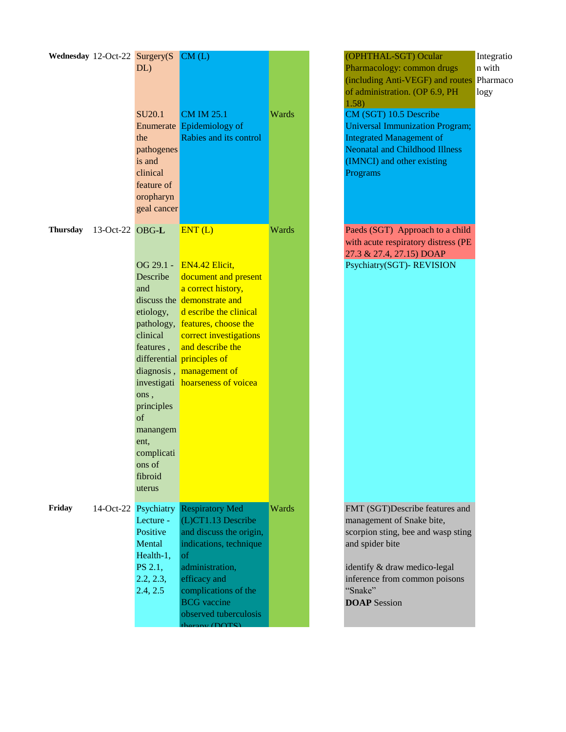|                          |             | Wednesday 12-Oct-22 Surgery(S<br>DL)                                                                                                                                                                       | CM(L)                                                                                                                                                                                                                                                              |       |
|--------------------------|-------------|------------------------------------------------------------------------------------------------------------------------------------------------------------------------------------------------------------|--------------------------------------------------------------------------------------------------------------------------------------------------------------------------------------------------------------------------------------------------------------------|-------|
|                          |             | <b>SU20.1</b><br>the<br>pathogenes<br>is and<br>clinical<br>feature of<br>oropharyn<br>geal cancer                                                                                                         | <b>CM IM 25.1</b><br>Enumerate Epidemiology of<br>Rabies and its control                                                                                                                                                                                           | Wards |
| Thursday 13-Oct-22 OBG-L |             |                                                                                                                                                                                                            | ENT(L)                                                                                                                                                                                                                                                             | Wards |
|                          |             | OG 29.1 -<br>Describe<br>and<br>etiology,<br>pathology,<br>clinical<br>features,<br>diagnosis,<br>investigati<br>ons,<br>principles<br>of<br>manangem<br>ent,<br>complicati<br>ons of<br>fibroid<br>uterus | EN4.42 Elicit,<br>document and present<br>a correct history,<br>discuss the demonstrate and<br>d escribe the clinical<br>features, choose the<br>correct investigations<br>and describe the<br>differential principles of<br>management of<br>hoarseness of voicea |       |
| Friday                   | $14-Oct-22$ | Psychiatry<br>Lecture -<br>Positive<br>Mental<br>Health-1,<br>PS 2.1,<br>2.2, 2.3,<br>2.4, 2.5                                                                                                             | <b>Respiratory Med</b><br>(L)CT1.13 Describe<br>and discuss the origin,<br>indications, technique<br>of<br>administration,<br>efficacy and<br>complications of the<br><b>BCG</b> vaccine<br>observed tuberculosis<br>harsonU(DATE)                                 | Wards |

Pharmacology: common drugs (including Anti-VEGF) and routes Pharmaco of administration. (OP 6.9, PH 1.58) n with logy CM (SGT) 10.5 Describe Universal Immunization Program; Integrated Management of Neonatal and Childhood Illness (IMNCI) and other existing Programs Paeds (SGT) Approach to a child with acute respiratory distress (PE 27.3 & 27.4, 27.15) DOAP Psychiatry(SGT)- REVISION FMT (SGT)Describe features and management of Snake bite, scorpion sting, bee and wasp sting and spider bite identify & draw medico-legal inference from common poisons "Snake" **DOAP** Session

(OPHTHAL-SGT) Ocular

Integratio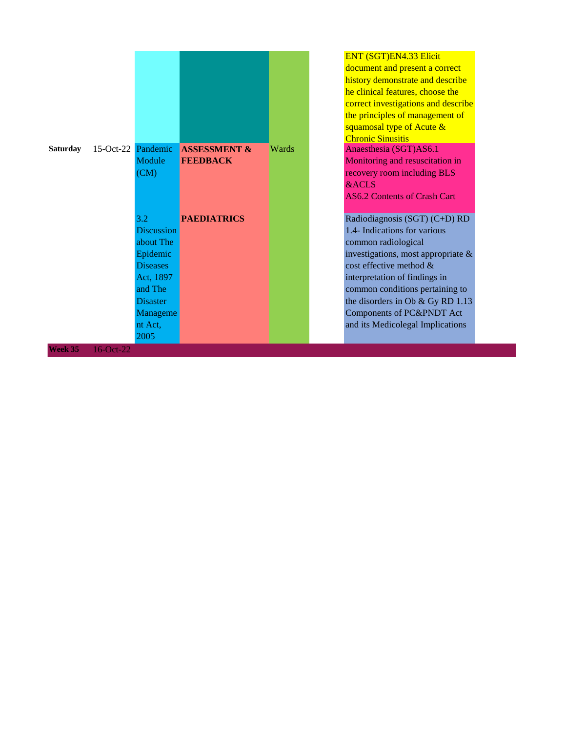|         | Saturday 15-Oct-22 Pandemic | Module<br>(CM)                                    | <b>ASSESSMENT &amp;</b><br><b>FEEDBACK</b> | Wards |
|---------|-----------------------------|---------------------------------------------------|--------------------------------------------|-------|
|         |                             | 3.2<br><b>Discussion</b><br>about The             | <b>PAEDIATRICS</b>                         |       |
|         |                             | Epidemic<br><b>Diseases</b><br>Act, 1897          |                                            |       |
|         |                             | and The<br><b>Disaster</b><br>Manageme<br>nt Act, |                                            |       |
| Week 35 | 16-Oct-22                   | 2005                                              |                                            |       |

#### ENT (SGT)EN4.33 Elicit

document and present a correct history demonstrate and describe he clinical features, choose the correct investigations and describe the principles of management of squamosal type of Acute & Chronic Sinusitis

Anaesthesia (SGT)AS6.1 Monitoring and resuscitation in recovery room including BLS &ACLS

AS6.2 Contents of Crash Cart

**Radiodiagnosis (SGT) (C+D) RD** 1.4- Indications for various common radiological investigations, most appropriate & cost effective method & interpretation of findings in common conditions pertaining to the disorders in Ob & Gy RD 1.13 Components of PC&PNDT Act and its Medicolegal Implications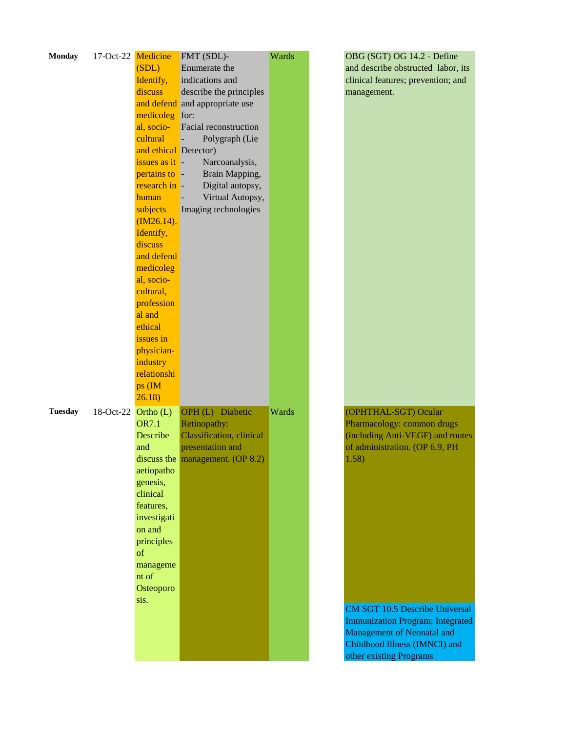| <b>Monday</b>  | 17-Oct-22 | Medicine                     | FMT (SDL)-                       | Wards |  |
|----------------|-----------|------------------------------|----------------------------------|-------|--|
|                |           | (SDL)                        | Enumerate the                    |       |  |
|                |           | Identify,                    | indications and                  |       |  |
|                |           | discuss                      | describe the principles          |       |  |
|                |           |                              | and defend and appropriate use   |       |  |
|                |           | medicoleg                    | for:                             |       |  |
|                |           | al, socio-                   | <b>Facial reconstruction</b>     |       |  |
|                |           | cultural                     | Polygraph (Lie                   |       |  |
|                |           | and ethical Detector)        |                                  |       |  |
|                |           | issues as it $-$             | Narcoanalysis,                   |       |  |
|                |           |                              |                                  |       |  |
|                |           | pertains to -<br>research in | Brain Mapping,                   |       |  |
|                |           |                              | Digital autopsy,                 |       |  |
|                |           | human                        | Virtual Autopsy,                 |       |  |
|                |           | subjects                     | Imaging technologies             |       |  |
|                |           | $(M26.14)$ .                 |                                  |       |  |
|                |           | Identify,                    |                                  |       |  |
|                |           | discuss                      |                                  |       |  |
|                |           | and defend                   |                                  |       |  |
|                |           | medicoleg                    |                                  |       |  |
|                |           | al, socio-                   |                                  |       |  |
|                |           | cultural,                    |                                  |       |  |
|                |           | profession                   |                                  |       |  |
|                |           | al and                       |                                  |       |  |
|                |           | ethical                      |                                  |       |  |
|                |           | issues in                    |                                  |       |  |
|                |           | physician-                   |                                  |       |  |
|                |           | industry                     |                                  |       |  |
|                |           | relationshi                  |                                  |       |  |
|                |           | ps (IM                       |                                  |       |  |
|                |           | 26.18                        |                                  |       |  |
| <b>Tuesday</b> | 18-Oct-22 | Ortho $(L)$                  | OPH (L) Diabetic                 | Wards |  |
|                |           | <b>OR7.1</b>                 | Retinopathy:                     |       |  |
|                |           | Describe                     | <b>Classification</b> , clinical |       |  |
|                |           | and                          | presentation and                 |       |  |
|                |           |                              | discuss the management. (OP 8.2) |       |  |
|                |           | aetiopatho                   |                                  |       |  |
|                |           | genesis,                     |                                  |       |  |
|                |           | clinical                     |                                  |       |  |
|                |           | features,                    |                                  |       |  |
|                |           | investigati                  |                                  |       |  |
|                |           | on and                       |                                  |       |  |
|                |           | principles                   |                                  |       |  |
|                |           | of                           |                                  |       |  |
|                |           | manageme                     |                                  |       |  |
|                |           | nt of                        |                                  |       |  |
|                |           | Osteoporo                    |                                  |       |  |
|                |           | sis.                         |                                  |       |  |
|                |           |                              |                                  |       |  |
|                |           |                              |                                  |       |  |
|                |           |                              |                                  |       |  |
|                |           |                              |                                  |       |  |
|                |           |                              |                                  |       |  |

OBG (SGT) OG 14.2 - Define and describe obstructed labor, its clinical features; prevention; and management.

(OPHTHAL-SGT) Ocular Pharmacology: common drugs (including Anti-VEGF) and routes of administration. (OP 6.9, PH 1.58)

CM SGT 10.5 Describe Universal Immunization Program; Integrated Management of Neonatal and Childhood Illness (IMNCI) and other existing Programs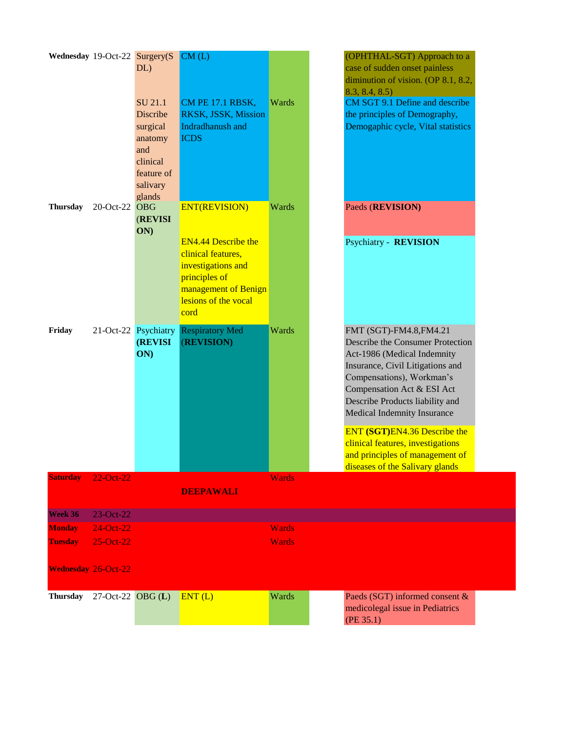| Wednesday 19-Oct-22 Surgery(S |                        | $DL$ )<br>SU 21.1<br>Discribe<br>surgical<br>anatomy<br>and<br>clinical<br>feature of<br>salivary<br>glands | CM(L)<br><b>CM PE 17.1 RBSK,</b><br>RKSK, JSSK, Mission<br>Indradhanush and<br><b>ICDS</b>                        | <b>Wards</b> | (OPHTHAL-SGT) Approach to a<br>case of sudden onset painless<br>diminution of vision. (OP 8.1, 8.2,<br>8.3, 8.4, 8.5<br>CM SGT 9.1 Define and describe<br>the principles of Demography,<br>Demogaphic cycle, Vital statistics                               |
|-------------------------------|------------------------|-------------------------------------------------------------------------------------------------------------|-------------------------------------------------------------------------------------------------------------------|--------------|-------------------------------------------------------------------------------------------------------------------------------------------------------------------------------------------------------------------------------------------------------------|
| <b>Thursday</b>               | 20-Oct-22 OBG          | <b>(REVISI)</b><br>ON)                                                                                      | <b>ENT(REVISION)</b><br><b>EN4.44 Describe the</b>                                                                | Wards        | Paeds (REVISION)<br><b>Psychiatry - REVISION</b>                                                                                                                                                                                                            |
|                               |                        |                                                                                                             | clinical features,<br>investigations and<br>principles of<br>management of Benign<br>lesions of the vocal<br>cord |              |                                                                                                                                                                                                                                                             |
| Friday                        |                        | 21-Oct-22 Psychiatry<br><b>(REVISI</b><br>ON)                                                               | <b>Respiratory Med</b><br>(REVISION)                                                                              | Wards        | FMT (SGT)-FM4.8, FM4.21<br>Describe the Consumer Protection<br>Act-1986 (Medical Indemnity<br>Insurance, Civil Litigations and<br>Compensations), Workman's<br>Compensation Act & ESI Act<br>Describe Products liability and<br>Medical Indemnity Insurance |
|                               |                        |                                                                                                             |                                                                                                                   |              | ENT (SGT)EN4.36 Describe the<br>clinical features, investigations<br>and principles of management of<br>diseases of the Salivary glands                                                                                                                     |
| <b>Saturday</b>               | 22-Oct-22              |                                                                                                             |                                                                                                                   | <b>Wards</b> |                                                                                                                                                                                                                                                             |
|                               |                        |                                                                                                             | <b>DEEPAWALI</b>                                                                                                  |              |                                                                                                                                                                                                                                                             |
| Week 36                       | 23-Oct-22              |                                                                                                             |                                                                                                                   |              |                                                                                                                                                                                                                                                             |
| <b>Monday</b>                 | 24-Oct-22              |                                                                                                             |                                                                                                                   | <b>Wards</b> |                                                                                                                                                                                                                                                             |
| <b>Tuesday</b>                | 25-Oct-22              |                                                                                                             |                                                                                                                   | <b>Wards</b> |                                                                                                                                                                                                                                                             |
| <b>Wednesday 26-Oct-22</b>    |                        |                                                                                                             |                                                                                                                   |              |                                                                                                                                                                                                                                                             |
| <b>Thursday</b>               | $27$ -Oct-22 OBG $(L)$ |                                                                                                             | ENT(L)                                                                                                            | Wards        | Paeds (SGT) informed consent &<br>medicolegal issue in Pediatrics<br>(PE 35.1)                                                                                                                                                                              |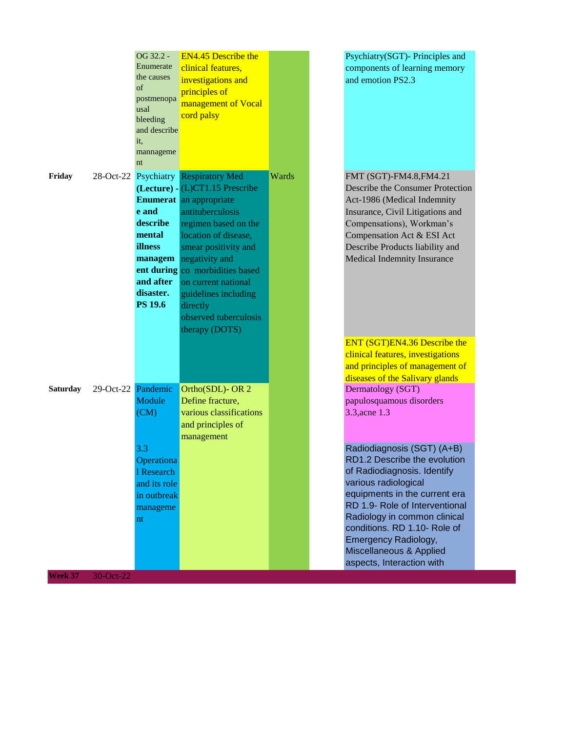|                 |           | OG 32.2 -<br>Enumerate<br>the causes<br>of<br>postmenopa<br>usal<br>bleeding<br>and describe<br>it,<br>mannageme<br>nt   | <b>EN4.45 Describe the</b><br>clinical features,<br>investigations and<br>principles of<br>management of Vocal<br>cord palsy                                                                                                                                                                                                                                     |       | Psychiatry(SGT)- Principles and<br>components of learning memory<br>and emotion PS2.3                                                                                                                                                                                                                                  |
|-----------------|-----------|--------------------------------------------------------------------------------------------------------------------------|------------------------------------------------------------------------------------------------------------------------------------------------------------------------------------------------------------------------------------------------------------------------------------------------------------------------------------------------------------------|-------|------------------------------------------------------------------------------------------------------------------------------------------------------------------------------------------------------------------------------------------------------------------------------------------------------------------------|
| Friday          |           | e and<br>describe<br>mental<br>illness<br>managem<br>and after<br>disaster.<br><b>PS 19.6</b>                            | 28-Oct-22 Psychiatry Respiratory Med<br>(Lecture) - (L)CT1.15 Prescribe<br><b>Enumerat</b> an appropriate<br>antituberculosis<br>regimen based on the<br>location of disease,<br>smear positivity and<br>negativity and<br>ent during co morbidities based<br>on current national<br>guidelines including<br>directly<br>observed tuberculosis<br>therapy (DOTS) | Wards | FMT (SGT)-FM4.8, FM4.21<br>Describe the Consumer Protection<br>Act-1986 (Medical Indemnity<br>Insurance, Civil Litigations and<br>Compensations), Workman's<br>Compensation Act & ESI Act<br>Describe Products liability and<br>Medical Indemnity Insurance                                                            |
|                 |           |                                                                                                                          |                                                                                                                                                                                                                                                                                                                                                                  |       | ENT (SGT)EN4.36 Describe the<br>clinical features, investigations<br>and principles of management of<br>diseases of the Salivary glands                                                                                                                                                                                |
| <b>Saturday</b> |           | 29-Oct-22 Pandemic<br>Module<br>(CM)<br>3.3<br>Operationa<br>1 Research<br>and its role<br>in outbreak<br>manageme<br>nt | Ortho(SDL)-OR 2<br>Define fracture,<br>various classifications<br>and principles of<br>management                                                                                                                                                                                                                                                                |       | Dermatology (SGT)<br>papulosquamous disorders<br>3.3, acne 1.3<br>Radiodiagnosis (SGT) (A+B)<br>RD1.2 Describe the evolution<br>of Radiodiagnosis. Identify<br>various radiological<br>equipments in the current era<br>RD 1.9- Role of Interventional<br>Radiology in common clinical<br>conditions. RD 1.10- Role of |
| Week 37         | 30-Oct-22 |                                                                                                                          |                                                                                                                                                                                                                                                                                                                                                                  |       | <b>Emergency Radiology,</b><br>Miscellaneous & Applied<br>aspects, Interaction with                                                                                                                                                                                                                                    |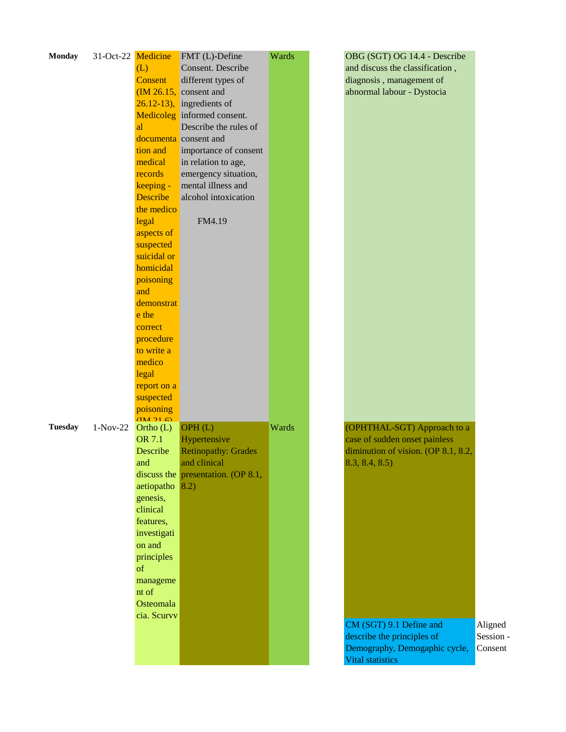| <b>Monday</b>  | 31-Oct-22 Medicine |                                     | FMT (L)-Define                        | Wards | OBG (SGT) OG 14.4 - Describe        |           |
|----------------|--------------------|-------------------------------------|---------------------------------------|-------|-------------------------------------|-----------|
|                |                    | (L)                                 | Consent. Describe                     |       | and discuss the classification,     |           |
|                |                    | Consent                             | different types of                    |       | diagnosis, management of            |           |
|                |                    |                                     | $(M 26.15,$ consent and               |       | abnormal labour - Dystocia          |           |
|                |                    |                                     | $26.12 - 13$ , ingredients of         |       |                                     |           |
|                |                    |                                     | Medicoleg informed consent.           |       |                                     |           |
|                |                    | al                                  | Describe the rules of                 |       |                                     |           |
|                |                    |                                     | documenta consent and                 |       |                                     |           |
|                |                    | tion and                            | importance of consent                 |       |                                     |           |
|                |                    | medical                             | in relation to age,                   |       |                                     |           |
|                |                    | records                             | emergency situation,                  |       |                                     |           |
|                |                    | keeping -                           | mental illness and                    |       |                                     |           |
|                |                    | <b>Describe</b>                     | alcohol intoxication                  |       |                                     |           |
|                |                    |                                     |                                       |       |                                     |           |
|                |                    | the medico                          |                                       |       |                                     |           |
|                |                    | legal                               | FM4.19                                |       |                                     |           |
|                |                    | aspects of                          |                                       |       |                                     |           |
|                |                    | suspected                           |                                       |       |                                     |           |
|                |                    | suicidal or                         |                                       |       |                                     |           |
|                |                    | homicidal                           |                                       |       |                                     |           |
|                |                    | poisoning                           |                                       |       |                                     |           |
|                |                    | and                                 |                                       |       |                                     |           |
|                |                    | demonstrat                          |                                       |       |                                     |           |
|                |                    | e the                               |                                       |       |                                     |           |
|                |                    | correct                             |                                       |       |                                     |           |
|                |                    | procedure                           |                                       |       |                                     |           |
|                |                    | to write a                          |                                       |       |                                     |           |
|                |                    | medico                              |                                       |       |                                     |           |
|                |                    | legal                               |                                       |       |                                     |           |
|                |                    | report on a                         |                                       |       |                                     |           |
|                |                    | suspected                           |                                       |       |                                     |           |
|                |                    | poisoning                           |                                       |       |                                     |           |
|                |                    | $\left(\prod_{i=1}^{n} 21.6\right)$ |                                       |       |                                     |           |
| <b>Tuesday</b> | $1-Nov-22$         | Ortho $(L)$                         | OPH(L)                                | Wards | (OPHTHAL-SGT) Approach to a         |           |
|                |                    | OR 7.1                              | Hypertensive                          |       | case of sudden onset painless       |           |
|                |                    | Describe                            | <b>Retinopathy: Grades</b>            |       | diminution of vision. (OP 8.1, 8.2, |           |
|                |                    | and                                 | and clinical                          |       | 8.3, 8.4, 8.5                       |           |
|                |                    |                                     | discuss the presentation. (OP $8.1$ , |       |                                     |           |
|                |                    | aetiopatho                          | 8.2)                                  |       |                                     |           |
|                |                    | genesis,                            |                                       |       |                                     |           |
|                |                    | clinical                            |                                       |       |                                     |           |
|                |                    | features,                           |                                       |       |                                     |           |
|                |                    | investigati                         |                                       |       |                                     |           |
|                |                    | on and                              |                                       |       |                                     |           |
|                |                    | principles                          |                                       |       |                                     |           |
|                |                    | of                                  |                                       |       |                                     |           |
|                |                    | manageme                            |                                       |       |                                     |           |
|                |                    | nt of                               |                                       |       |                                     |           |
|                |                    | Osteomala                           |                                       |       |                                     |           |
|                |                    | cia. Scurvv                         |                                       |       |                                     |           |
|                |                    |                                     |                                       |       | CM (SGT) 9.1 Define and             | Aligned   |
|                |                    |                                     |                                       |       | describe the principles of          | Session - |
|                |                    |                                     |                                       |       | Demography, Demogaphic cycle,       | Consent   |
|                |                    |                                     |                                       |       | Vital statistics                    |           |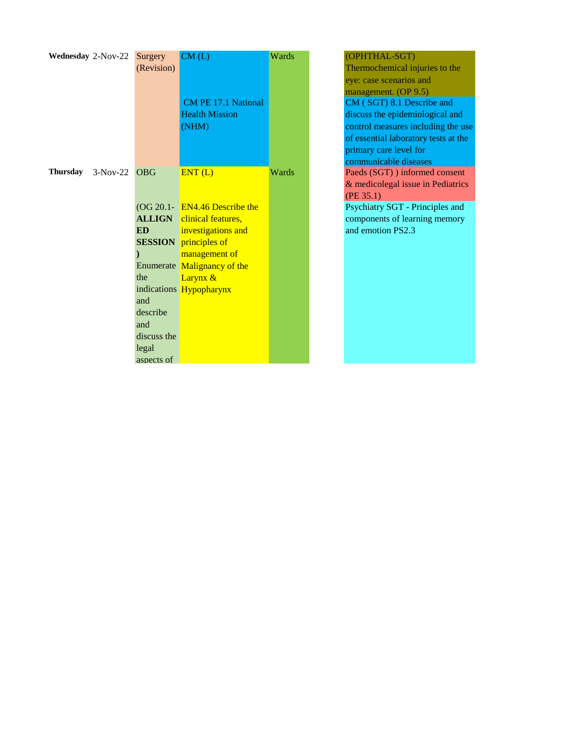| Wednesday 2-Nov-22 |                | Surgery<br>(Revision)                                                            | CM(L)<br><b>CM PE 17.1 National</b><br><b>Health Mission</b><br>(NHM)                                                                                                                                                              | Wards | (OPHTHAL-SGT)<br>Thermochemical injuries to the<br>eye: case scenarios and<br>management. (OP 9.5)<br>CM (SGT) 8.1 Describe and<br>discuss the epidemiological and<br>control measures including the us<br>of essential laboratory tests at the<br>primary care level for |
|--------------------|----------------|----------------------------------------------------------------------------------|------------------------------------------------------------------------------------------------------------------------------------------------------------------------------------------------------------------------------------|-------|---------------------------------------------------------------------------------------------------------------------------------------------------------------------------------------------------------------------------------------------------------------------------|
| Thursday           | $3-Nov-22$ OBG | <b>ED</b><br>the<br>and<br>describe<br>and<br>discuss the<br>legal<br>aspects of | ENT(L)<br>$(OG 20.1 - EN4.46$ Describe the<br><b>ALLIGN</b> clinical features,<br>investigations and<br><b>SESSION</b> principles of<br>management of<br>Enumerate Malignancy of the<br>Larynx &<br>indications <b>Hypopharynx</b> | Wards | communicable diseases<br>Paeds (SGT) ) informed consent<br>& medicolegal issue in Pediatrics<br>(PE 35.1)<br>Psychiatry SGT - Principles and<br>components of learning memory<br>and emotion PS2.3                                                                        |

| (OPHTHAL-SGT)                        |
|--------------------------------------|
| Thermochemical injuries to the       |
| eye: case scenarios and              |
| management. (OP 9.5)                 |
| CM (SGT) 8.1 Describe and            |
| discuss the epidemiological and      |
| control measures including the use   |
| of essential laboratory tests at the |
| primary care level for               |
| communicable diseases                |
| Paeds (SGT) ) informed consent       |
| & medicolegal issue in Pediatrics    |
| (PE 35.1)                            |
| Psychiatry SGT - Principles and      |
| components of learning memory        |
| and emotion PS2.3                    |
|                                      |
|                                      |
|                                      |
|                                      |
|                                      |
|                                      |
|                                      |
|                                      |
|                                      |
|                                      |
|                                      |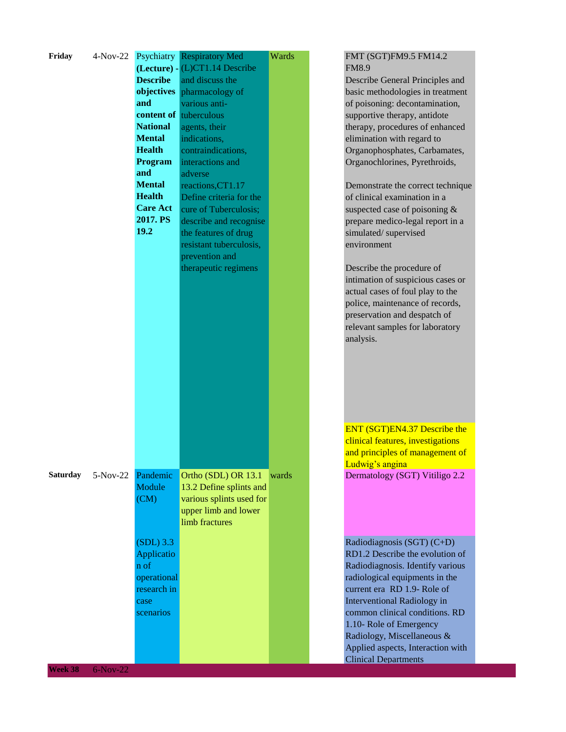| Friday          | $4-Nov-22$ | Psychiatry<br><b>Describe</b><br>objectives<br>and<br><b>National</b><br><b>Mental</b><br><b>Health</b><br>Program<br>and<br><b>Mental</b><br><b>Health</b><br><b>Care Act</b><br>2017. PS<br>19.2 | <b>Respiratory Med</b><br>(Lecture) - (L)CT1.14 Describe<br>and discuss the<br>pharmacology of<br>various anti-<br>content of tuberculous<br>agents, their<br>indications,<br>contraindications,<br>interactions and<br>adverse<br>reactions, CT1.17<br>Define criteria for the<br>cure of Tuberculosis;<br>describe and recognise<br>the features of drug<br>resistant tuberculosis, | Wards | FMT (SGT)FM9.5 FM14.2<br><b>FM8.9</b><br>Describe General Principles and<br>basic methodologies in treatment<br>of poisoning: decontamination,<br>supportive therapy, antidote<br>therapy, procedures of enhanced<br>elimination with regard to<br>Organophosphates, Carbamates,<br>Organochlorines, Pyrethroids,<br>Demonstrate the correct technique<br>of clinical examination in a<br>suspected case of poisoning &<br>prepare medico-legal report in a<br>simulated/supervised<br>environment |
|-----------------|------------|----------------------------------------------------------------------------------------------------------------------------------------------------------------------------------------------------|---------------------------------------------------------------------------------------------------------------------------------------------------------------------------------------------------------------------------------------------------------------------------------------------------------------------------------------------------------------------------------------|-------|----------------------------------------------------------------------------------------------------------------------------------------------------------------------------------------------------------------------------------------------------------------------------------------------------------------------------------------------------------------------------------------------------------------------------------------------------------------------------------------------------|
|                 |            |                                                                                                                                                                                                    | prevention and<br>therapeutic regimens                                                                                                                                                                                                                                                                                                                                                |       | Describe the procedure of<br>intimation of suspicious cases or<br>actual cases of foul play to the<br>police, maintenance of records,<br>preservation and despatch of<br>relevant samples for laboratory<br>analysis.<br>ENT (SGT)EN4.37 Describe the                                                                                                                                                                                                                                              |
|                 |            |                                                                                                                                                                                                    |                                                                                                                                                                                                                                                                                                                                                                                       |       | clinical features, investigations<br>and principles of management of                                                                                                                                                                                                                                                                                                                                                                                                                               |
|                 |            |                                                                                                                                                                                                    |                                                                                                                                                                                                                                                                                                                                                                                       |       | Ludwig's angina                                                                                                                                                                                                                                                                                                                                                                                                                                                                                    |
| <b>Saturday</b> | $5-Nov-22$ | Pandemic<br>Module<br>(CM)                                                                                                                                                                         | Ortho (SDL) OR 13.1<br>13.2 Define splints and<br>various splints used for<br>upper limb and lower<br>limb fractures                                                                                                                                                                                                                                                                  | wards | Dermatology (SGT) Vitiligo 2.2                                                                                                                                                                                                                                                                                                                                                                                                                                                                     |
|                 |            | $(SDL)$ 3.3<br>Applicatio<br>n of<br>operational<br>research in<br>case<br>scenarios                                                                                                               |                                                                                                                                                                                                                                                                                                                                                                                       |       | Radiodiagnosis (SGT) (C+D)<br>RD1.2 Describe the evolution of<br>Radiodiagnosis. Identify various<br>radiological equipments in the<br>current era RD 1.9- Role of<br>Interventional Radiology in<br>common clinical conditions. RD<br>1.10- Role of Emergency<br>Radiology, Miscellaneous &<br>Applied aspects, Interaction with<br><b>Clinical Departments</b>                                                                                                                                   |
| Week 38         | $6-Nov-22$ |                                                                                                                                                                                                    |                                                                                                                                                                                                                                                                                                                                                                                       |       |                                                                                                                                                                                                                                                                                                                                                                                                                                                                                                    |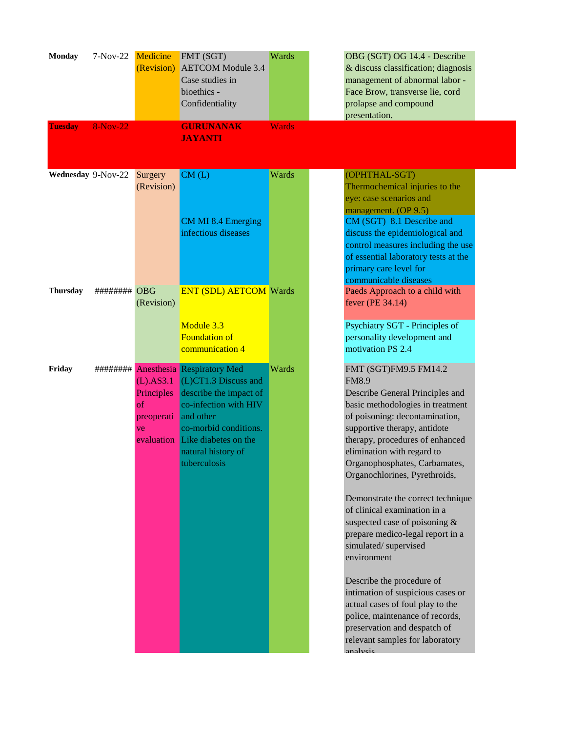| <b>Monday</b><br><b>Tuesday</b> | 7-Nov-22 Medicine<br><b>8-Nov-22</b> |                                                      | FMT (SGT)<br>(Revision) AETCOM Module 3.4<br>Case studies in<br>bioethics -<br>Confidentiality<br><b>GURUNANAK</b>                                                                                                                | Wards<br><b>Wards</b> | OBG (SGT) OG 14.4 - Describe<br>& discuss classification; diagnosis<br>management of abnormal labor -<br>Face Brow, transverse lie, cord<br>prolapse and compound<br>presentation.                                                                                                                                                                                                                                                                                                                                                                                                                                                                                                                                         |  |
|---------------------------------|--------------------------------------|------------------------------------------------------|-----------------------------------------------------------------------------------------------------------------------------------------------------------------------------------------------------------------------------------|-----------------------|----------------------------------------------------------------------------------------------------------------------------------------------------------------------------------------------------------------------------------------------------------------------------------------------------------------------------------------------------------------------------------------------------------------------------------------------------------------------------------------------------------------------------------------------------------------------------------------------------------------------------------------------------------------------------------------------------------------------------|--|
|                                 |                                      |                                                      | <b>JAYANTI</b>                                                                                                                                                                                                                    |                       |                                                                                                                                                                                                                                                                                                                                                                                                                                                                                                                                                                                                                                                                                                                            |  |
| Wednesday 9-Nov-22              |                                      | Surgery<br>(Revision)                                | CM(L)<br><b>CM MI 8.4 Emerging</b><br>infectious diseases                                                                                                                                                                         | Wards                 | (OPHTHAL-SGT)<br>Thermochemical injuries to the<br>eye: case scenarios and<br>management. (OP 9.5)<br>CM (SGT) 8.1 Describe and<br>discuss the epidemiological and<br>control measures including the use<br>of essential laboratory tests at the<br>primary care level for<br>communicable diseases                                                                                                                                                                                                                                                                                                                                                                                                                        |  |
| <b>Thursday</b>                 | ######## OBG                         | (Revision)                                           | <b>ENT (SDL) AETCOM Wards</b><br>Module 3.3<br><b>Foundation of</b><br>communication 4                                                                                                                                            |                       | Paeds Approach to a child with<br>fever (PE 34.14)<br>Psychiatry SGT - Principles of<br>personality development and<br>motivation PS 2.4                                                                                                                                                                                                                                                                                                                                                                                                                                                                                                                                                                                   |  |
| Friday                          |                                      | $(L)$ .AS3.1<br>Principles<br>of<br>preoperati<br>ve | ######### Anesthesia Respiratory Med<br>$(L)$ CT1.3 Discuss and<br>describe the impact of<br>co-infection with HIV<br>and other<br>co-morbid conditions.<br>evaluation Like diabetes on the<br>natural history of<br>tuberculosis | Wards                 | FMT (SGT)FM9.5 FM14.2<br><b>FM8.9</b><br>Describe General Principles and<br>basic methodologies in treatment<br>of poisoning: decontamination,<br>supportive therapy, antidote<br>therapy, procedures of enhanced<br>elimination with regard to<br>Organophosphates, Carbamates,<br>Organochlorines, Pyrethroids,<br>Demonstrate the correct technique<br>of clinical examination in a<br>suspected case of poisoning &<br>prepare medico-legal report in a<br>simulated/supervised<br>environment<br>Describe the procedure of<br>intimation of suspicious cases or<br>actual cases of foul play to the<br>police, maintenance of records,<br>preservation and despatch of<br>relevant samples for laboratory<br>analysis |  |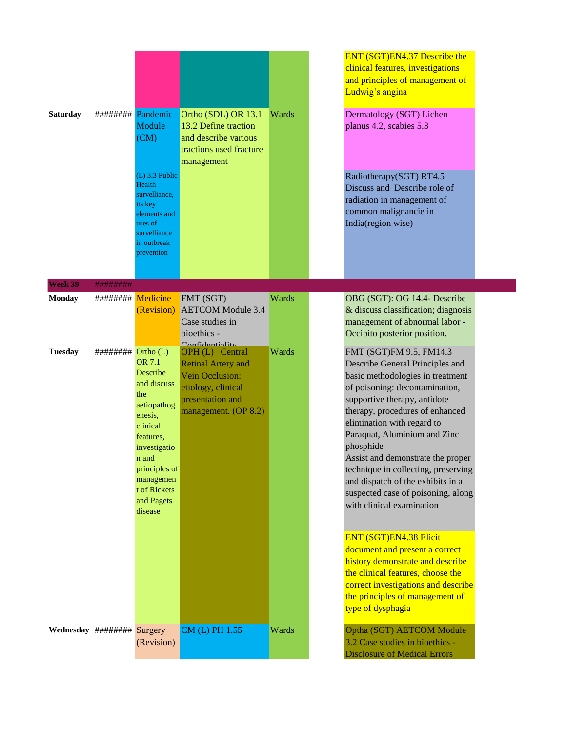| <b>Saturday</b>            | ########            | Pandemic                                                                                                                                                                                           | Ortho (SDL) OR 13.1                                                                                                               | Wards | ENT (SGT)EN4.37 Describe the<br>clinical features, investigations<br>and principles of management of<br>Ludwig's angina<br>Dermatology (SGT) Lichen                                                                                                                                                                                                                                                                                                                |
|----------------------------|---------------------|----------------------------------------------------------------------------------------------------------------------------------------------------------------------------------------------------|-----------------------------------------------------------------------------------------------------------------------------------|-------|--------------------------------------------------------------------------------------------------------------------------------------------------------------------------------------------------------------------------------------------------------------------------------------------------------------------------------------------------------------------------------------------------------------------------------------------------------------------|
|                            |                     | Module<br>(CM)<br>$(L)$ 3.3 Public<br>Health<br>survelliance,<br>its key<br>elements and<br>uses of<br>survelliance<br>in outbreak<br>prevention                                                   | 13.2 Define traction<br>and describe various<br>tractions used fracture<br>management                                             |       | planus 4.2, scabies 5.3<br>Radiotherapy(SGT) RT4.5<br>Discuss and Describe role of<br>radiation in management of<br>common malignancie in<br>India(region wise)                                                                                                                                                                                                                                                                                                    |
| Week 39                    | ########            |                                                                                                                                                                                                    |                                                                                                                                   |       |                                                                                                                                                                                                                                                                                                                                                                                                                                                                    |
| <b>Monday</b>              | ######### Medicine  | (Revision)                                                                                                                                                                                         | FMT (SGT)<br><b>AETCOM</b> Module 3.4<br>Case studies in<br>bioethics -<br>Confidantiality                                        | Wards | OBG (SGT): OG 14.4- Describe<br>& discuss classification; diagnosis<br>management of abnormal labor -<br>Occipito posterior position.                                                                                                                                                                                                                                                                                                                              |
| <b>Tuesday</b>             | ######### Ortho (L) | <b>OR 7.1</b><br>Describe<br>and discuss<br>the<br>aetiopathog<br>enesis,<br>clinical<br>features.<br>investigatio<br>n and<br>principles of<br>managemen<br>t of Rickets<br>and Pagets<br>disease | OPH (L) Central<br><b>Retinal Artery and</b><br>Vein Occlusion:<br>etiology, clinical<br>presentation and<br>management. (OP 8.2) | Wards | FMT (SGT)FM 9.5, FM14.3<br>Describe General Principles and<br>basic methodologies in treatment<br>of poisoning: decontamination,<br>supportive therapy, antidote<br>therapy, procedures of enhanced<br>elimination with regard to<br>Paraquat, Aluminium and Zinc<br>phosphide<br>Assist and demonstrate the proper<br>technique in collecting, preserving<br>and dispatch of the exhibits in a<br>suspected case of poisoning, along<br>with clinical examination |
|                            |                     |                                                                                                                                                                                                    |                                                                                                                                   |       | <b>ENT (SGT)EN4.38 Elicit</b><br>document and present a correct<br>history demonstrate and describe<br>the clinical features, choose the<br>correct investigations and describe<br>the principles of management of<br>type of dysphagia                                                                                                                                                                                                                            |
| Wednesday ######## Surgery |                     | (Revision)                                                                                                                                                                                         | CM (L) PH 1.55                                                                                                                    | Wards | Optha (SGT) AETCOM Module<br>3.2 Case studies in bioethics -<br><b>Disclosure of Medical Errors</b>                                                                                                                                                                                                                                                                                                                                                                |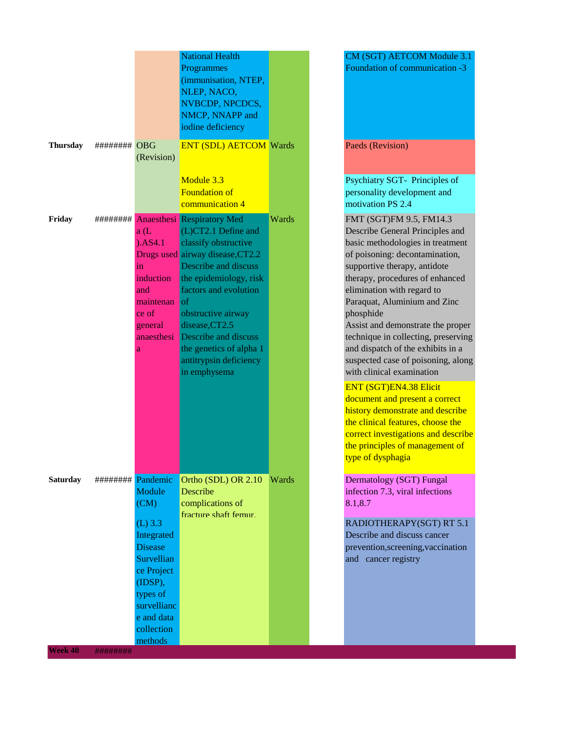|                 |                   |                                                                                                                                                                                           | <b>National Health</b><br>Programmes<br>(immunisation, NTEP,<br>NLEP, NACO,<br>NVBCDP, NPCDCS,<br>NMCP, NNAPP and<br>iodine deficiency                                                                                                                                                                                                                |       |
|-----------------|-------------------|-------------------------------------------------------------------------------------------------------------------------------------------------------------------------------------------|-------------------------------------------------------------------------------------------------------------------------------------------------------------------------------------------------------------------------------------------------------------------------------------------------------------------------------------------------------|-------|
| <b>Thursday</b> | ######## OBG      | (Revision)                                                                                                                                                                                | <b>ENT (SDL) AETCOM Wards</b><br>Module 3.3<br><b>Foundation of</b><br>communication 4                                                                                                                                                                                                                                                                |       |
| Friday          | ########          | a(L)<br>). <sub>AS4.1</sub><br>in<br>induction<br>and<br>maintenan<br>ce of<br>general<br>anaesthesi<br>a                                                                                 | <b>Anaesthesi Respiratory Med</b><br>(L)CT2.1 Define and<br>classify obstructive<br>Drugs used airway disease, CT2.2<br>Describe and discuss<br>the epidemiology, risk<br>factors and evolution<br><sub>of</sub><br>obstructive airway<br>disease, CT2.5<br>Describe and discuss<br>the genetics of alpha 1<br>antitrypsin deficiency<br>in emphysema | Wards |
| <b>Saturday</b> | ######## Pandemic | Module<br>$\overline{\text{ (CM)}}$<br>$(L)$ 3.3<br>Integrated<br><b>Disease</b><br>Survellian<br>ce Project<br>(IDSP),<br>types of<br>survellianc<br>e and data<br>collection<br>methods | Ortho (SDL) OR 2.10<br>Describe<br>complications of<br>fracture shaft femur                                                                                                                                                                                                                                                                           | Wards |

CM (SGT) AETCOM Module 3.1 Foundation of communication -3 Paeds (Revision) Psychiatry SGT- Principles of personality development and motivation PS 2.4 FMT (SGT)FM 9.5, FM14.3 Describe General Principles and basic methodologies in treatment of poisoning: decontamination, supportive therapy, antidote therapy, procedures of enhanced elimination with regard to Paraquat, Aluminium and Zinc phosphide Assist and demonstrate the proper technique in collecting, preserving and dispatch of the exhibits in a suspected case of poisoning, along with clinical examination ENT (SGT)EN4.38 Elicit document and present a correct history demonstrate and describe the clinical features, choose the correct investigations and describe the principles of management of type of dysphagia Dermatology (SGT) Fungal infection 7.3, viral infections 8.1,8.7 RADIOTHERAPY(SGT) RT 5.1 Describe and discuss cancer prevention,screening,vaccination and cancer registry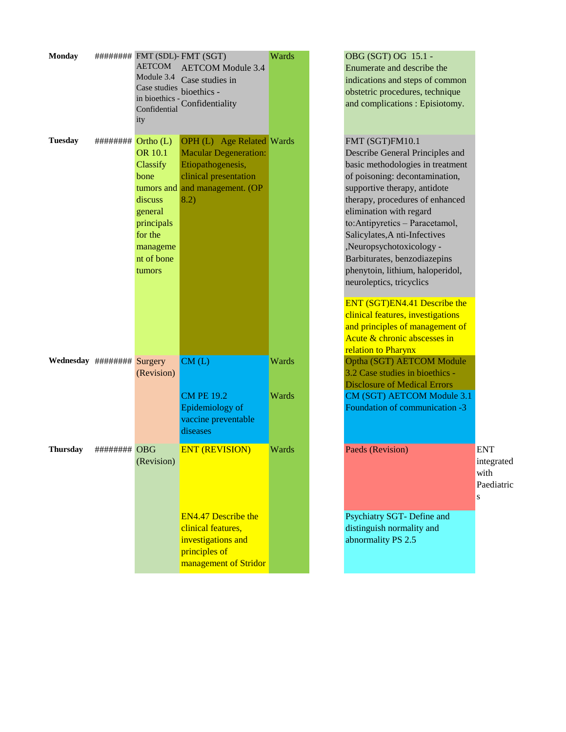| <b>Monday</b>                    |                                               | <b>AETCOM</b><br>Module 3.4<br>Case studies bioethics -<br>in bioethics -<br>Confidential<br>ity                                    | ######## FMT (SDL)- FMT (SGT)<br><b>AETCOM</b> Module 3.4<br>Case studies in<br>Confidentiality                                        | Wards          |
|----------------------------------|-----------------------------------------------|-------------------------------------------------------------------------------------------------------------------------------------|----------------------------------------------------------------------------------------------------------------------------------------|----------------|
| Tuesday                          | $\# \# \# \# \# \# \longrightarrow$ Ortho (L) | <b>OR</b> 10.1<br>Classify<br>bone<br>tumors and<br>discuss<br>general<br>principals<br>for the<br>manageme<br>nt of bone<br>tumors | OPH (L) Age Related Wards<br><b>Macular Degeneration:</b><br>Etiopathogenesis,<br>clinical presentation<br>and management. (OP<br>8.2) |                |
| Wednesday $\# \# \# \# \# \# \#$ |                                               | Surgery<br>(Revision)                                                                                                               | CM(L)<br><b>CM PE 19.2</b>                                                                                                             | Wards<br>Wards |
|                                  |                                               |                                                                                                                                     | Epidemiology of<br>vaccine preventable<br>diseases                                                                                     |                |
| Thursday                         | ######### OBG                                 | (Revision)                                                                                                                          | <b>ENT (REVISION)</b><br><b>EN4.47 Describe the</b><br>clinical features.<br>investigations and                                        | Wards          |
|                                  |                                               |                                                                                                                                     | principles of<br>management of Stridor                                                                                                 |                |

# OBG (SGT) OG 15.1 -Enumerate and describe the indications and steps of common obstetric procedures, technique and complications : Episiotomy. FMT (SGT)FM10.1 Describe General Principles and basic methodologies in treatment of poisoning: decontamination, supportive therapy, antidote therapy, procedures of enhanced elimination with regard to:Antipyretics – Paracetamol, Salicylates,A nti-Infectives ,Neuropsychotoxicology - Barbiturates, benzodiazepins phenytoin, lithium, haloperidol, neuroleptics, tricyclics ENT (SGT)EN4.41 Describe the clinical features, investigations and principles of management of Acute & chronic abscesses in relation to Pharynx Optha (SGT) AETCOM Module 3.2 Case studies in bioethics - Disclosure of Medical Errors CM (SGT) AETCOM Module 3.1 Foundation of communication -3 Paeds (Revision) Wards Paeds (Revision) s Psychiatry SGT- Define and

integrated with Paediatric

distinguish normality and abnormality PS 2.5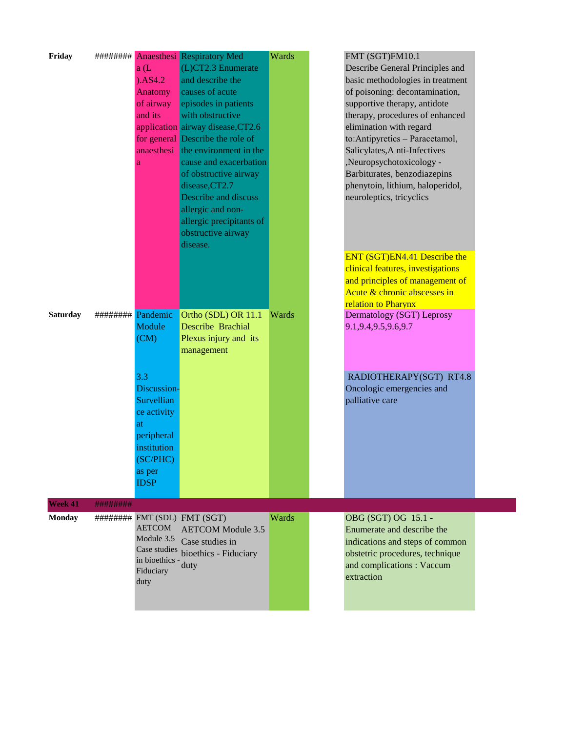| Friday          |                   | a(L)<br>). <sub>AS4.2</sub><br>Anatomy<br>of airway<br>and its<br>a                                                     | ######### Anaesthesi Respiratory Med<br>$(L)CT2.3$ Enumerate<br>and describe the<br>causes of acute<br>episodes in patients<br>with obstructive<br>application airway disease, CT2.6<br>for general Describe the role of<br>anaesthesi the environment in the<br>cause and exacerbation<br>of obstructive airway<br>disease, CT2.7<br>Describe and discuss<br>allergic and non-<br>allergic precipitants of<br>obstructive airway<br>disease. | Wards | FMT (SGT)FM10.1<br>Describe General Principles and<br>basic methodologies in treatment<br>of poisoning: decontamination,<br>supportive therapy, antidote<br>therapy, procedures of enhanced<br>elimination with regard<br>to:Antipyretics - Paracetamol,<br>Salicylates, A nti-Infectives<br>,Neuropsychotoxicology -<br>Barbiturates, benzodiazepins<br>phenytoin, lithium, haloperidol,<br>neuroleptics, tricyclics<br>ENT (SGT)EN4.41 Describe the<br>clinical features, investigations |
|-----------------|-------------------|-------------------------------------------------------------------------------------------------------------------------|-----------------------------------------------------------------------------------------------------------------------------------------------------------------------------------------------------------------------------------------------------------------------------------------------------------------------------------------------------------------------------------------------------------------------------------------------|-------|--------------------------------------------------------------------------------------------------------------------------------------------------------------------------------------------------------------------------------------------------------------------------------------------------------------------------------------------------------------------------------------------------------------------------------------------------------------------------------------------|
| <b>Saturday</b> | ######## Pandemic |                                                                                                                         | Ortho (SDL) OR 11.1                                                                                                                                                                                                                                                                                                                                                                                                                           | Wards | and principles of management of<br>Acute & chronic abscesses in<br>relation to Pharynx<br>Dermatology (SGT) Leprosy                                                                                                                                                                                                                                                                                                                                                                        |
|                 |                   | Module<br>(CM)                                                                                                          | Describe Brachial<br>Plexus injury and its<br>management                                                                                                                                                                                                                                                                                                                                                                                      |       | 9.1, 9.4, 9.5, 9.6, 9.7                                                                                                                                                                                                                                                                                                                                                                                                                                                                    |
|                 |                   | 3.3<br>Discussion-<br>Survellian<br>ce activity<br>at<br>peripheral<br>institution<br>(SC/PHC)<br>as per<br><b>IDSP</b> |                                                                                                                                                                                                                                                                                                                                                                                                                                               |       | RADIOTHERAPY(SGT) RT4.8<br>Oncologic emergencies and<br>palliative care                                                                                                                                                                                                                                                                                                                                                                                                                    |
| Week 41         | ########          |                                                                                                                         |                                                                                                                                                                                                                                                                                                                                                                                                                                               |       |                                                                                                                                                                                                                                                                                                                                                                                                                                                                                            |
| <b>Monday</b>   |                   | <b>AETCOM</b><br>Module 3.5<br>Case studies<br>in bioethics -<br>Fiduciary<br>duty                                      | ######## FMT (SDL) FMT (SGT)<br><b>AETCOM</b> Module 3.5<br>Case studies in<br>bioethics - Fiduciary<br>duty                                                                                                                                                                                                                                                                                                                                  | Wards | OBG (SGT) OG 15.1 -<br>Enumerate and describe the<br>indications and steps of common<br>obstetric procedures, technique<br>and complications : Vaccum<br>extraction                                                                                                                                                                                                                                                                                                                        |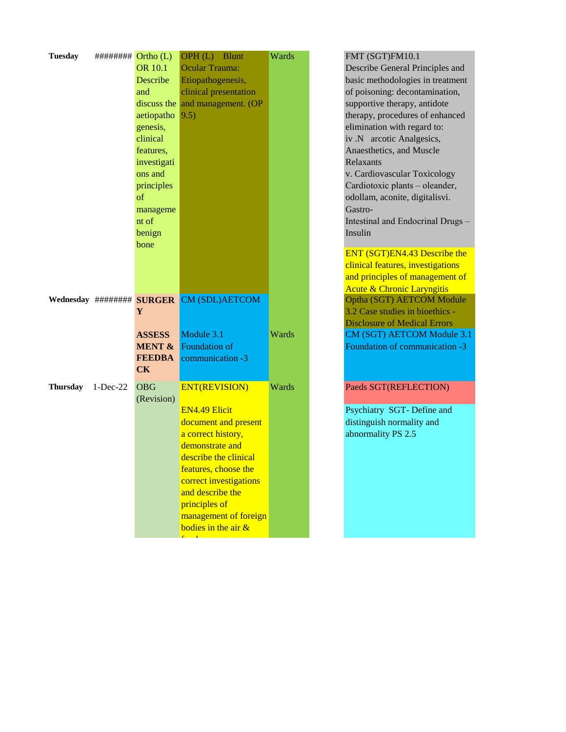| <b>Tuesday</b> |            | ######### <b>Ortho</b> (L)<br><b>OR 10.1</b><br>Describe<br>and<br>discuss the<br>aetiopatho<br>genesis,<br>clinical<br>features,<br>investigati<br>ons and<br>principles<br>of<br>manageme<br>nt of<br>benign | OPH (L) Blunt<br>Ocular Trauma:<br>Etiopathogenesis,<br>clinical presentation<br>and management. (OP<br>9.5)                                                                                                                                                                     | Wards |
|----------------|------------|----------------------------------------------------------------------------------------------------------------------------------------------------------------------------------------------------------------|----------------------------------------------------------------------------------------------------------------------------------------------------------------------------------------------------------------------------------------------------------------------------------|-------|
|                |            | <b>bone</b><br>Y                                                                                                                                                                                               | Wednesday ######## SURGER CM (SDL)AETCOM                                                                                                                                                                                                                                         |       |
|                |            | <b>ASSESS</b><br><b>MENT &amp;</b><br><b>FEEDBA</b><br><b>CK</b>                                                                                                                                               | Module 3.1<br><b>Foundation of</b><br>communication -3                                                                                                                                                                                                                           | Wards |
| Thursday       | $1-Dec-22$ | <b>OBG</b><br>(Revision)                                                                                                                                                                                       | <b>ENT(REVISION)</b><br><b>EN4.49 Elicit</b><br>document and present<br>a correct history,<br>demonstrate and<br>describe the clinical<br>features, choose the<br>correct investigations<br>and describe the<br>principles of<br>management of foreign<br>bodies in the air $\&$ | Wards |

FMT (SGT)FM10.1 Describe General Principles and basic methodologies in treatment of poisoning: decontamination, supportive therapy, antidote therapy, procedures of enhanced elimination with regard to: iv .N arcotic Analgesics, Anaesthetics, and Muscle Relaxants v. Cardiovascular Toxicology Cardiotoxic plants – oleander, odollam, aconite, digitalisvi. Gastro-Intestinal and Endocrinal Drugs – Insulin ENT (SGT)EN4.43 Describe the clinical features, investigations and principles of management of Acute & Chronic Laryngitis Optha (SGT) AETCOM Module 3.2 Case studies in bioethics - Disclosure of Medical Errors CM (SGT) AETCOM Module 3.1 Foundation of communication -3

## Paeds SGT(REFLECTION)

Psychiatry SGT- Define and distinguish normality and abnormality PS 2.5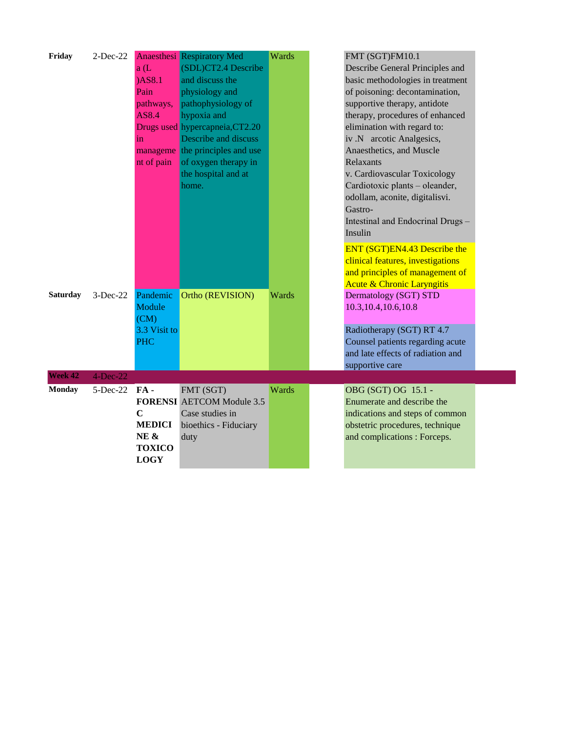| Friday          | $2$ -Dec-22 |               | <b>Anaesthesi</b> Respiratory Med | Wards | FMT (SGT)FM10.1                       |  |
|-----------------|-------------|---------------|-----------------------------------|-------|---------------------------------------|--|
|                 |             | a(L)          | (SDL)CT2.4 Describe               |       | Describe General Principles and       |  |
|                 |             | $)$ AS $8.1$  | and discuss the                   |       | basic methodologies in treatment      |  |
|                 |             | Pain          | physiology and                    |       | of poisoning: decontamination,        |  |
|                 |             | pathways,     | pathophysiology of                |       | supportive therapy, antidote          |  |
|                 |             | AS8.4         | hypoxia and                       |       | therapy, procedures of enhanced       |  |
|                 |             |               | Drugs used hypercapneia, CT2.20   |       | elimination with regard to:           |  |
|                 |             | in            | Describe and discuss              |       | iv .N arcotic Analgesics,             |  |
|                 |             |               | manageme the principles and use   |       | Anaesthetics, and Muscle              |  |
|                 |             | nt of pain    | of oxygen therapy in              |       | Relaxants                             |  |
|                 |             |               | the hospital and at               |       | v. Cardiovascular Toxicology          |  |
|                 |             |               | home.                             |       | Cardiotoxic plants - oleander,        |  |
|                 |             |               |                                   |       | odollam, aconite, digitalisvi.        |  |
|                 |             |               |                                   |       | Gastro-                               |  |
|                 |             |               |                                   |       | Intestinal and Endocrinal Drugs-      |  |
|                 |             |               |                                   |       | Insulin                               |  |
|                 |             |               |                                   |       | ENT (SGT)EN4.43 Describe the          |  |
|                 |             |               |                                   |       | clinical features, investigations     |  |
|                 |             |               |                                   |       | and principles of management of       |  |
|                 |             |               |                                   |       | <b>Acute &amp; Chronic Laryngitis</b> |  |
| <b>Saturday</b> | $3-Dec-22$  | Pandemic      | Ortho (REVISION)                  | Wards | Dermatology (SGT) STD                 |  |
|                 |             | Module        |                                   |       | 10.3, 10.4, 10.6, 10.8                |  |
|                 |             | (CM)          |                                   |       |                                       |  |
|                 |             | 3.3 Visit to  |                                   |       | Radiotherapy (SGT) RT 4.7             |  |
|                 |             | <b>PHC</b>    |                                   |       | Counsel patients regarding acute      |  |
|                 |             |               |                                   |       | and late effects of radiation and     |  |
|                 |             |               |                                   |       | supportive care                       |  |
| Week 42         | $4-Dec-22$  |               |                                   |       |                                       |  |
| <b>Monday</b>   | 5-Dec-22    | $FA -$        | FMT (SGT)                         | Wards | OBG (SGT) OG 15.1 -                   |  |
|                 |             |               | <b>FORENSI AETCOM Module 3.5</b>  |       | Enumerate and describe the            |  |
|                 |             | $\mathbf C$   | Case studies in                   |       | indications and steps of common       |  |
|                 |             | <b>MEDICI</b> | bioethics - Fiduciary             |       | obstetric procedures, technique       |  |
|                 |             | NE &          | duty                              |       | and complications : Forceps.          |  |
|                 |             | <b>TOXICO</b> |                                   |       |                                       |  |
|                 |             | <b>LOGY</b>   |                                   |       |                                       |  |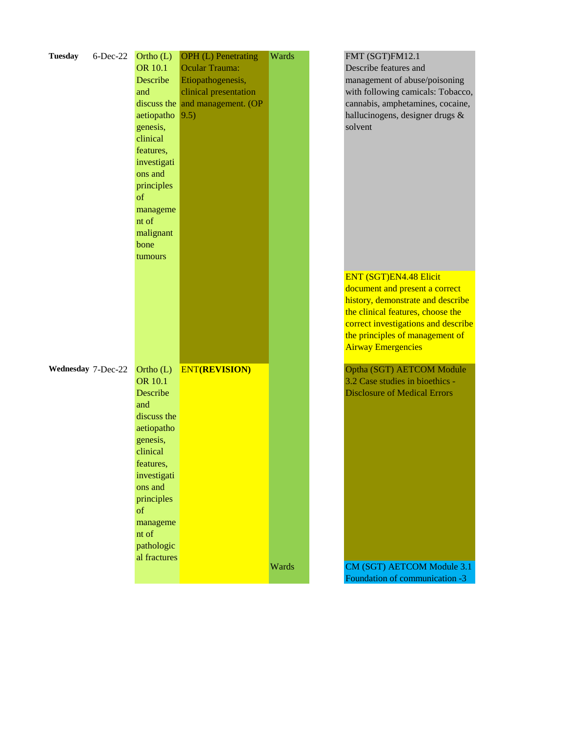| <b>Tuesday</b>     | $6$ -Dec-22 | Ortho $(L)$<br><b>OR 10.1</b><br>Describe<br>and<br>aetiopatho<br>genesis,<br>clinical<br>features,<br>investigati<br>ons and<br>principles<br>of<br>manageme<br>nt of<br>malignant<br>bone<br>tumours              | <b>OPH</b> (L) Penetrating<br>Ocular Trauma:<br>Etiopathogenesis,<br>clinical presentation<br>discuss the and management. (OP<br> 9.5) | Wards | FMT (SGT)FM12.1<br>Describe features and<br>management of abuse/poisoning<br>with following camicals: Tobacco,<br>cannabis, amphetamines, cocaine,<br>hallucinogens, designer drugs &<br>solvent                                                 |
|--------------------|-------------|---------------------------------------------------------------------------------------------------------------------------------------------------------------------------------------------------------------------|----------------------------------------------------------------------------------------------------------------------------------------|-------|--------------------------------------------------------------------------------------------------------------------------------------------------------------------------------------------------------------------------------------------------|
|                    |             |                                                                                                                                                                                                                     |                                                                                                                                        |       | <b>ENT (SGT)EN4.48 Elicit</b><br>document and present a correct<br>history, demonstrate and describe<br>the clinical features, choose the<br>correct investigations and describe<br>the principles of management of<br><b>Airway Emergencies</b> |
| Wednesday 7-Dec-22 |             | Ortho $(L)$<br><b>OR 10.1</b><br>Describe<br>and<br>discuss the<br>aetiopatho<br>genesis,<br>clinical<br>features.<br>investigati<br>ons and<br>principles<br>of<br>manageme<br>nt of<br>pathologic<br>al fractures | <b>ENT(REVISION)</b>                                                                                                                   |       | Optha (SGT) AETCOM Module<br>3.2 Case studies in bioethics -<br><b>Disclosure of Medical Errors</b>                                                                                                                                              |
|                    |             |                                                                                                                                                                                                                     |                                                                                                                                        | Wards | CM (SGT) AETCOM Module 3.1<br>Foundation of communication -3                                                                                                                                                                                     |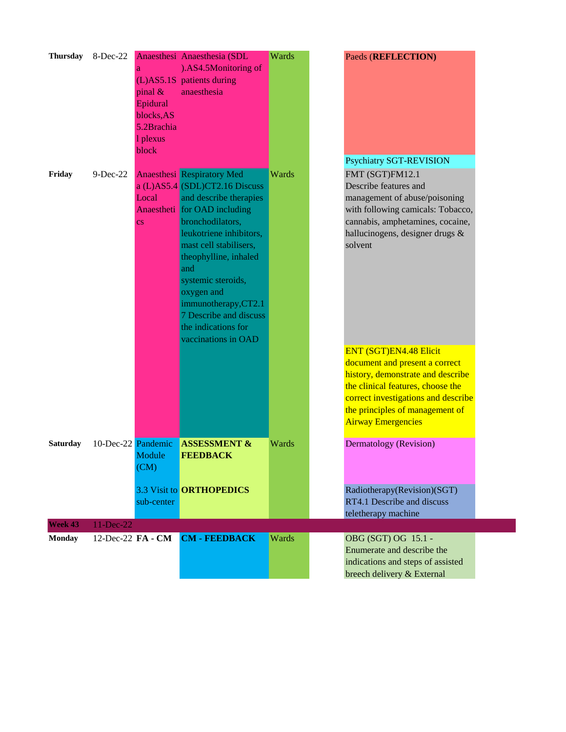| <b>Thursday</b> | 8-Dec-22           | pinal $\&$<br>Epidural<br>blocks, AS<br>5.2Brachia<br>1 plexus<br>block | Anaesthesi Anaesthesia (SDL<br>).AS4.5Monitoring of<br>(L)AS5.1S patients during<br>anaesthesia                                                                                                                                                                                                                                                                           | Wards | Paeds (REFLECTION)                                                                                                                                                                                                                               |
|-----------------|--------------------|-------------------------------------------------------------------------|---------------------------------------------------------------------------------------------------------------------------------------------------------------------------------------------------------------------------------------------------------------------------------------------------------------------------------------------------------------------------|-------|--------------------------------------------------------------------------------------------------------------------------------------------------------------------------------------------------------------------------------------------------|
|                 |                    |                                                                         |                                                                                                                                                                                                                                                                                                                                                                           |       | <b>Psychiatry SGT-REVISION</b>                                                                                                                                                                                                                   |
| Friday          | $9-Dec-22$         | Local<br>$\overline{\text{cs}}$                                         | <b>Anaesthesi</b> Respiratory Med<br>a (L)AS5.4 (SDL)CT2.16 Discuss<br>and describe therapies<br>Anaestheti for OAD including<br>bronchodilators,<br>leukotriene inhibitors,<br>mast cell stabilisers,<br>theophylline, inhaled<br>and<br>systemic steroids,<br>oxygen and<br>immunotherapy,CT2.1<br>7 Describe and discuss<br>the indications for<br>vaccinations in OAD | Wards | FMT (SGT)FM12.1<br>Describe features and<br>management of abuse/poisoning<br>with following camicals: Tobacco,<br>cannabis, amphetamines, cocaine,<br>hallucinogens, designer drugs &<br>solvent                                                 |
|                 |                    |                                                                         |                                                                                                                                                                                                                                                                                                                                                                           |       | <b>ENT (SGT)EN4.48 Elicit</b><br>document and present a correct<br>history, demonstrate and describe<br>the clinical features, choose the<br>correct investigations and describe<br>the principles of management of<br><b>Airway Emergencies</b> |
| <b>Saturday</b> | 10-Dec-22 Pandemic | Module<br>(CM)                                                          | <b>ASSESSMENT &amp;</b><br><b>FEEDBACK</b>                                                                                                                                                                                                                                                                                                                                | Wards | <b>Dermatology</b> (Revision)                                                                                                                                                                                                                    |
|                 |                    | sub-center                                                              | 3.3 Visit to ORTHOPEDICS                                                                                                                                                                                                                                                                                                                                                  |       | Radiotherapy(Revision)(SGT)<br>RT4.1 Describe and discuss<br>teletherapy machine                                                                                                                                                                 |
| Week 43         | 11-Dec-22          |                                                                         |                                                                                                                                                                                                                                                                                                                                                                           |       |                                                                                                                                                                                                                                                  |
| <b>Monday</b>   | 12-Dec-22 FA - CM  |                                                                         | <b>CM - FEEDBACK</b>                                                                                                                                                                                                                                                                                                                                                      | Wards | OBG (SGT) OG 15.1 -<br>Enumerate and describe the<br>indications and steps of assisted<br>breech delivery & External                                                                                                                             |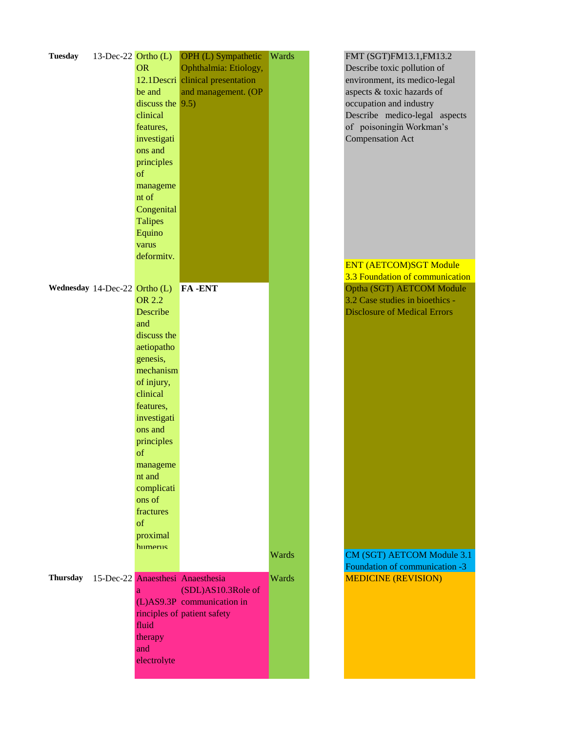| <b>Tuesday</b>                  | 13-Dec-22 $Ortho (L)$ | <b>OR</b><br>be and<br>discuss the $(9.5)$<br>clinical<br>features,<br>investigati<br>ons and<br>principles<br>of<br>manageme<br>nt of<br>Congenital<br><b>Talipes</b><br>Equino                                                                                | OPH (L) Sympathetic<br>Ophthalmia: Etiology,<br>12.1Descri clinical presentation<br>and management. (OP             | Wards | FMT (SGT)FM13.1, FM13.2<br>Describe toxic pollution of<br>environment, its medico-legal<br>aspects & toxic hazards of<br>occupation and industry<br>Describe medico-legal aspects<br>of poisoningin Workman's<br><b>Compensation Act</b> |
|---------------------------------|-----------------------|-----------------------------------------------------------------------------------------------------------------------------------------------------------------------------------------------------------------------------------------------------------------|---------------------------------------------------------------------------------------------------------------------|-------|------------------------------------------------------------------------------------------------------------------------------------------------------------------------------------------------------------------------------------------|
|                                 |                       | varus                                                                                                                                                                                                                                                           |                                                                                                                     |       |                                                                                                                                                                                                                                          |
|                                 |                       | deformity.                                                                                                                                                                                                                                                      |                                                                                                                     |       | <b>ENT (AETCOM)SGT Module</b><br>3.3 Foundation of communication                                                                                                                                                                         |
| Wednesday 14-Dec-22 Ortho $(L)$ |                       | <b>OR 2.2</b><br><b>Describe</b><br>and<br>discuss the<br>aetiopatho<br>genesis,<br>mechanism<br>of injury,<br>clinical<br>features,<br>investigati<br>ons and<br>principles<br>of<br>manageme<br>nt and<br>complicati<br>ons of<br>fractures<br>of<br>proximal | <b>FA-ENT</b>                                                                                                       |       | Optha (SGT) AETCOM Module<br>3.2 Case studies in bioethics -<br><b>Disclosure of Medical Errors</b>                                                                                                                                      |
|                                 |                       | humerus                                                                                                                                                                                                                                                         |                                                                                                                     | Wards | CM (SGT) AETCOM Module 3.1<br>Foundation of communication -3                                                                                                                                                                             |
| <b>Thursday</b>                 |                       | a<br>fluid<br>therapy<br>and<br>electrolyte                                                                                                                                                                                                                     | 15-Dec-22 Anaesthesi Anaesthesia<br>(SDL)AS10.3Role of<br>(L)AS9.3P communication in<br>rinciples of patient safety | Wards | <b>MEDICINE (REVISION)</b>                                                                                                                                                                                                               |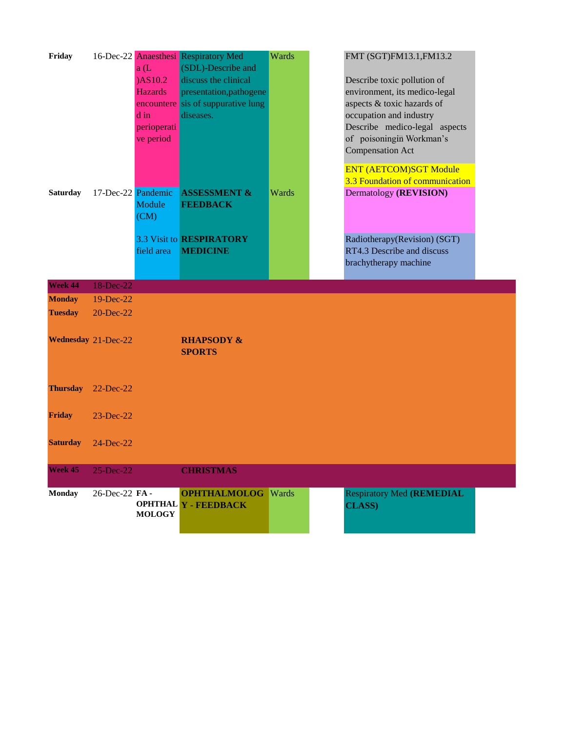| Friday<br><b>Saturday</b> | 17-Dec-22 Pandemic  | a(L)<br>)AS10.2<br><b>Hazards</b><br>encountere<br>d in<br>perioperati<br>ve period | 16-Dec-22 Anaesthesi Respiratory Med<br>(SDL)-Describe and<br>discuss the clinical<br>presentation, pathogene<br>sis of suppurative lung<br>diseases.<br><b>ASSESSMENT &amp;</b> | Wards<br>Wards | FMT (SGT)FM13.1, FM13.2<br>Describe toxic pollution of<br>environment, its medico-legal<br>aspects & toxic hazards of<br>occupation and industry<br>Describe medico-legal aspects<br>of poisoningin Workman's<br><b>Compensation Act</b><br><b>ENT (AETCOM)SGT Module</b><br>3.3 Foundation of communication<br>Dermatology (REVISION) |  |
|---------------------------|---------------------|-------------------------------------------------------------------------------------|----------------------------------------------------------------------------------------------------------------------------------------------------------------------------------|----------------|----------------------------------------------------------------------------------------------------------------------------------------------------------------------------------------------------------------------------------------------------------------------------------------------------------------------------------------|--|
|                           |                     | Module<br>(CM)                                                                      | <b>FEEDBACK</b>                                                                                                                                                                  |                |                                                                                                                                                                                                                                                                                                                                        |  |
|                           |                     |                                                                                     | <b>3.3 Visit to RESPIRATORY</b>                                                                                                                                                  |                | Radiotherapy(Revision) (SGT)                                                                                                                                                                                                                                                                                                           |  |
|                           |                     | field area                                                                          | <b>MEDICINE</b>                                                                                                                                                                  |                | RT4.3 Describe and discuss                                                                                                                                                                                                                                                                                                             |  |
|                           |                     |                                                                                     |                                                                                                                                                                                  |                | brachytherapy machine                                                                                                                                                                                                                                                                                                                  |  |
| Week 44                   | 18-Dec-22           |                                                                                     |                                                                                                                                                                                  |                |                                                                                                                                                                                                                                                                                                                                        |  |
| <b>Monday</b>             | 19-Dec-22           |                                                                                     |                                                                                                                                                                                  |                |                                                                                                                                                                                                                                                                                                                                        |  |
| <b>Tuesday</b>            | 20-Dec-22           |                                                                                     |                                                                                                                                                                                  |                |                                                                                                                                                                                                                                                                                                                                        |  |
|                           | Wednesday 21-Dec-22 |                                                                                     | <b>RHAPSODY &amp;</b><br><b>SPORTS</b>                                                                                                                                           |                |                                                                                                                                                                                                                                                                                                                                        |  |
| <b>Thursday</b>           | $22$ -Dec- $22$     |                                                                                     |                                                                                                                                                                                  |                |                                                                                                                                                                                                                                                                                                                                        |  |
| <b>Friday</b>             | $23$ -Dec- $22$     |                                                                                     |                                                                                                                                                                                  |                |                                                                                                                                                                                                                                                                                                                                        |  |
| <b>Saturday</b>           | $24$ -Dec-22        |                                                                                     |                                                                                                                                                                                  |                |                                                                                                                                                                                                                                                                                                                                        |  |
| Week 45                   | 25-Dec-22           |                                                                                     | <b>CHRISTMAS</b>                                                                                                                                                                 |                |                                                                                                                                                                                                                                                                                                                                        |  |
| <b>Monday</b>             | 26-Dec-22 FA-       | <b>MOLOGY</b>                                                                       | <b>OPHTHALMOLOG</b><br>OPHTHAL Y - FEEDBACK                                                                                                                                      | <b>Wards</b>   | <b>Respiratory Med (REMEDIAL</b><br><b>CLASS)</b>                                                                                                                                                                                                                                                                                      |  |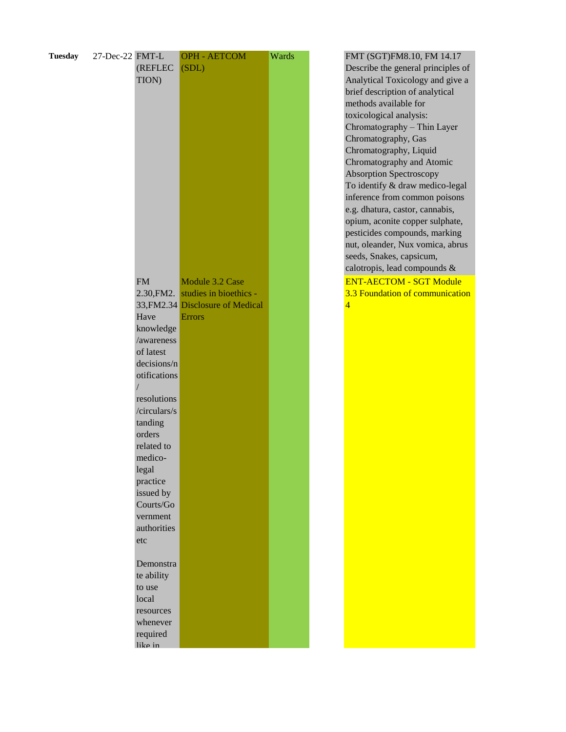| <b>Tuesday</b> | 27-Dec-22 FMT-L | (REFLEC<br>TION)    | <b>OPH - AETCOM</b><br>(SDL)                         | Wards | FMT (SGT)FM8.10, FM 14.17<br>Describe the general principles<br>Analytical Toxicology and give<br>brief description of analytical<br>methods available for<br>toxicological analysis:<br>Chromatography - Thin Layer<br>Chromatography, Gas<br>Chromatography, Liquid<br>Chromatography and Atomic<br><b>Absorption Spectroscopy</b><br>To identify & draw medico-lega<br>inference from common poisons<br>e.g. dhatura, castor, cannabis,<br>opium, aconite copper sulphate,<br>pesticides compounds, marking<br>nut, oleander, Nux vomica, abru<br>seeds, Snakes, capsicum, |
|----------------|-----------------|---------------------|------------------------------------------------------|-------|-------------------------------------------------------------------------------------------------------------------------------------------------------------------------------------------------------------------------------------------------------------------------------------------------------------------------------------------------------------------------------------------------------------------------------------------------------------------------------------------------------------------------------------------------------------------------------|
|                |                 |                     |                                                      |       | calotropis, lead compounds &                                                                                                                                                                                                                                                                                                                                                                                                                                                                                                                                                  |
|                |                 | <b>FM</b>           | Module 3.2 Case<br>2.30, FM2. studies in bioethics - |       | <b>ENT-AECTOM - SGT Module</b><br>3.3 Foundation of communication                                                                                                                                                                                                                                                                                                                                                                                                                                                                                                             |
|                |                 |                     | 33, FM2.34 Disclosure of Medical                     |       | 4                                                                                                                                                                                                                                                                                                                                                                                                                                                                                                                                                                             |
|                |                 | Have                | Errors                                               |       |                                                                                                                                                                                                                                                                                                                                                                                                                                                                                                                                                                               |
|                |                 | knowledge           |                                                      |       |                                                                                                                                                                                                                                                                                                                                                                                                                                                                                                                                                                               |
|                |                 | /awareness          |                                                      |       |                                                                                                                                                                                                                                                                                                                                                                                                                                                                                                                                                                               |
|                |                 | of latest           |                                                      |       |                                                                                                                                                                                                                                                                                                                                                                                                                                                                                                                                                                               |
|                |                 | decisions/n         |                                                      |       |                                                                                                                                                                                                                                                                                                                                                                                                                                                                                                                                                                               |
|                |                 | otifications        |                                                      |       |                                                                                                                                                                                                                                                                                                                                                                                                                                                                                                                                                                               |
|                |                 |                     |                                                      |       |                                                                                                                                                                                                                                                                                                                                                                                                                                                                                                                                                                               |
|                |                 | resolutions         |                                                      |       |                                                                                                                                                                                                                                                                                                                                                                                                                                                                                                                                                                               |
|                |                 | /circulars/s        |                                                      |       |                                                                                                                                                                                                                                                                                                                                                                                                                                                                                                                                                                               |
|                |                 | tanding             |                                                      |       |                                                                                                                                                                                                                                                                                                                                                                                                                                                                                                                                                                               |
|                |                 | orders              |                                                      |       |                                                                                                                                                                                                                                                                                                                                                                                                                                                                                                                                                                               |
|                |                 | related to          |                                                      |       |                                                                                                                                                                                                                                                                                                                                                                                                                                                                                                                                                                               |
|                |                 | medico-             |                                                      |       |                                                                                                                                                                                                                                                                                                                                                                                                                                                                                                                                                                               |
|                |                 | legal               |                                                      |       |                                                                                                                                                                                                                                                                                                                                                                                                                                                                                                                                                                               |
|                |                 | practice            |                                                      |       |                                                                                                                                                                                                                                                                                                                                                                                                                                                                                                                                                                               |
|                |                 | issued by           |                                                      |       |                                                                                                                                                                                                                                                                                                                                                                                                                                                                                                                                                                               |
|                |                 | Courts/Go           |                                                      |       |                                                                                                                                                                                                                                                                                                                                                                                                                                                                                                                                                                               |
|                |                 | vernment            |                                                      |       |                                                                                                                                                                                                                                                                                                                                                                                                                                                                                                                                                                               |
|                |                 | authorities         |                                                      |       |                                                                                                                                                                                                                                                                                                                                                                                                                                                                                                                                                                               |
|                |                 | etc                 |                                                      |       |                                                                                                                                                                                                                                                                                                                                                                                                                                                                                                                                                                               |
|                |                 |                     |                                                      |       |                                                                                                                                                                                                                                                                                                                                                                                                                                                                                                                                                                               |
|                |                 | Demonstra           |                                                      |       |                                                                                                                                                                                                                                                                                                                                                                                                                                                                                                                                                                               |
|                |                 | te ability          |                                                      |       |                                                                                                                                                                                                                                                                                                                                                                                                                                                                                                                                                                               |
|                |                 | to use              |                                                      |       |                                                                                                                                                                                                                                                                                                                                                                                                                                                                                                                                                                               |
|                |                 | local               |                                                      |       |                                                                                                                                                                                                                                                                                                                                                                                                                                                                                                                                                                               |
|                |                 | resources           |                                                      |       |                                                                                                                                                                                                                                                                                                                                                                                                                                                                                                                                                                               |
|                |                 | whenever            |                                                      |       |                                                                                                                                                                                                                                                                                                                                                                                                                                                                                                                                                                               |
|                |                 | required<br>like in |                                                      |       |                                                                                                                                                                                                                                                                                                                                                                                                                                                                                                                                                                               |
|                |                 |                     |                                                      |       |                                                                                                                                                                                                                                                                                                                                                                                                                                                                                                                                                                               |

FMT (SGT)FM8.10, FM 14.17 Describe the general principles of Analytical Toxicology and give a brief description of analytical methods available for toxicological analysis: Chromatography – Thin Layer Chromatography, Gas Chromatography, Liquid Chromatography and Atomic Absorption Spectroscopy To identify & draw medico-legal inference from common poisons e.g. dhatura, castor, cannabis, opium, aconite copper sulphate, pesticides compounds, marking nut, oleander, Nux vomica, abrus seeds, Snakes, capsicum, calotropis, lead compounds & 3.3 Foundation of communication 4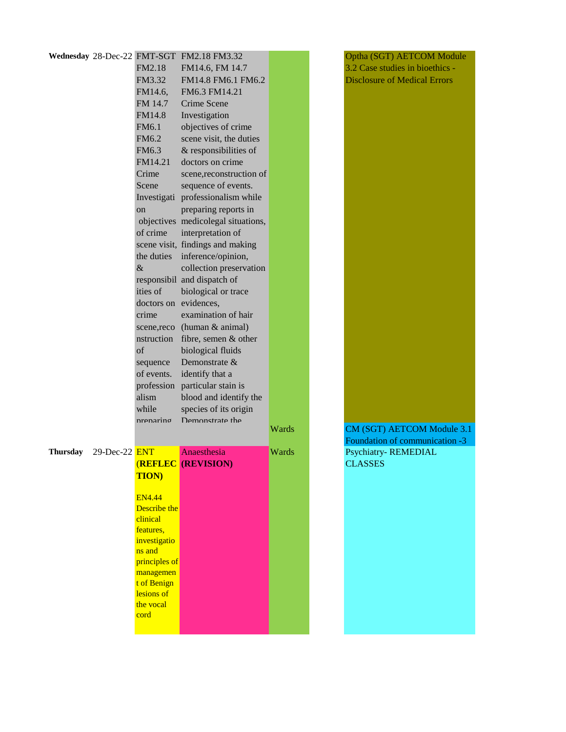|          |                    |                        | Wednesday 28-Dec-22 FMT-SGT FM2.18 FM3.32 |       |
|----------|--------------------|------------------------|-------------------------------------------|-------|
|          |                    | <b>FM2.18</b>          | FM14.6, FM 14.7                           |       |
|          |                    | FM3.32                 | FM14.8 FM6.1 FM6.2                        |       |
|          |                    | FM14.6,                | FM6.3 FM14.21                             |       |
|          |                    | FM 14.7                | Crime Scene                               |       |
|          |                    | <b>FM14.8</b>          | Investigation                             |       |
|          |                    | FM6.1                  | objectives of crime                       |       |
|          |                    | FM6.2                  | scene visit, the duties                   |       |
|          |                    | FM6.3                  | & responsibilities of                     |       |
|          |                    | FM14.21                | doctors on crime                          |       |
|          |                    | Crime                  | scene, reconstruction of                  |       |
|          |                    | Scene                  | sequence of events.                       |       |
|          |                    |                        |                                           |       |
|          |                    |                        | Investigati professionalism while         |       |
|          |                    | on                     | preparing reports in                      |       |
|          |                    |                        | objectives medicolegal situations,        |       |
|          |                    | of crime               | interpretation of                         |       |
|          |                    |                        | scene visit, findings and making          |       |
|          |                    | the duties             | inference/opinion,                        |       |
|          |                    | $\&$                   | collection preservation                   |       |
|          |                    |                        | responsibil and dispatch of               |       |
|          |                    | ities of               | biological or trace                       |       |
|          |                    | doctors on evidences,  |                                           |       |
|          |                    | crime                  | examination of hair                       |       |
|          |                    |                        | scene, reco (human & animal)              |       |
|          |                    | nstruction             | fibre, semen & other                      |       |
|          |                    | of                     | biological fluids                         |       |
|          |                    | sequence               | Demonstrate &                             |       |
|          |                    | of events.             | identify that a                           |       |
|          |                    | profession             | particular stain is                       |       |
|          |                    | alism                  | blood and identify the                    |       |
|          |                    | while                  | species of its origin                     |       |
|          |                    | nrenarino              | Demonstrate the                           | Wards |
|          |                    |                        |                                           |       |
| Thursday | $29$ -Dec-22 $ENT$ |                        | Anaesthesia                               | Wards |
|          |                    |                        | (REFLEC (REVISION)                        |       |
|          |                    | <b>TION</b> )          |                                           |       |
|          |                    |                        |                                           |       |
|          |                    | <b>EN4.44</b>          |                                           |       |
|          |                    | Describe the           |                                           |       |
|          |                    | clinical               |                                           |       |
|          |                    | features.              |                                           |       |
|          |                    | investigatio<br>ns and |                                           |       |
|          |                    | principles of          |                                           |       |
|          |                    | managemen              |                                           |       |
|          |                    | t of Benign            |                                           |       |
|          |                    | lesions of             |                                           |       |
|          |                    | the vocal              |                                           |       |
|          |                    | cord                   |                                           |       |
|          |                    |                        |                                           |       |

Optha (SGT) AETCOM Module 3.2 Case studies in bioethics - Disclosure of Medical Errors

CM (SGT) AETCOM Module 3.1 Foundation of communication -3 Psychiatry-REMEDIAL CLASSES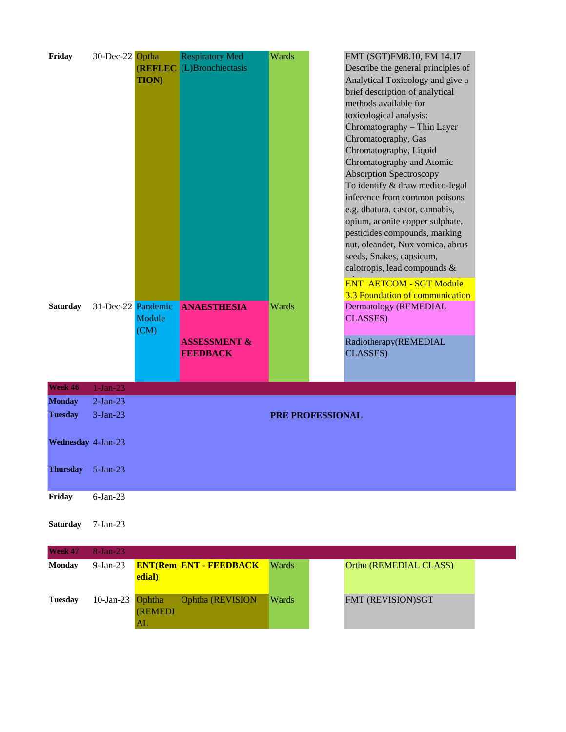| Friday             | 30-Dec-22 Optha |                    | <b>Respiratory Med</b>        | Wards | FMT (SGT)FM8.10, FM 14.17          |  |
|--------------------|-----------------|--------------------|-------------------------------|-------|------------------------------------|--|
|                    |                 | <b>(REFLEC</b>     | (L)Bronchiectasis             |       | Describe the general principles of |  |
|                    |                 | <b>TION)</b>       |                               |       | Analytical Toxicology and give a   |  |
|                    |                 |                    |                               |       | brief description of analytical    |  |
|                    |                 |                    |                               |       | methods available for              |  |
|                    |                 |                    |                               |       | toxicological analysis:            |  |
|                    |                 |                    |                               |       | Chromatography - Thin Layer        |  |
|                    |                 |                    |                               |       | Chromatography, Gas                |  |
|                    |                 |                    |                               |       | Chromatography, Liquid             |  |
|                    |                 |                    |                               |       | Chromatography and Atomic          |  |
|                    |                 |                    |                               |       | <b>Absorption Spectroscopy</b>     |  |
|                    |                 |                    |                               |       | To identify & draw medico-legal    |  |
|                    |                 |                    |                               |       | inference from common poisons      |  |
|                    |                 |                    |                               |       | e.g. dhatura, castor, cannabis,    |  |
|                    |                 |                    |                               |       | opium, aconite copper sulphate,    |  |
|                    |                 |                    |                               |       | pesticides compounds, marking      |  |
|                    |                 |                    |                               |       | nut, oleander, Nux vomica, abrus   |  |
|                    |                 |                    |                               |       | seeds, Snakes, capsicum,           |  |
|                    |                 |                    |                               |       | calotropis, lead compounds &       |  |
|                    |                 |                    |                               |       | <b>ENT AETCOM - SGT Module</b>     |  |
|                    |                 |                    |                               |       | 3.3 Foundation of communication    |  |
| <b>Saturday</b>    |                 | 31-Dec-22 Pandemic | <b>ANAESTHESIA</b>            | Wards | Dermatology (REMEDIAL              |  |
|                    |                 | Module             |                               |       | <b>CLASSES</b> )                   |  |
|                    |                 | (CM)               |                               |       |                                    |  |
|                    |                 |                    | <b>ASSESSMENT &amp;</b>       |       | Radiotherapy(REMEDIAL              |  |
|                    |                 |                    | <b>FEEDBACK</b>               |       | CLASSES)                           |  |
|                    |                 |                    |                               |       |                                    |  |
|                    |                 |                    |                               |       |                                    |  |
| Week 46            | $1-Jan-23$      |                    |                               |       |                                    |  |
| <b>Monday</b>      | $2-Jan-23$      |                    |                               |       |                                    |  |
| <b>Tuesday</b>     | $3-Jan-23$      |                    |                               |       | <b>PRE PROFESSIONAL</b>            |  |
|                    |                 |                    |                               |       |                                    |  |
| Wednesday 4-Jan-23 |                 |                    |                               |       |                                    |  |
|                    |                 |                    |                               |       |                                    |  |
|                    |                 |                    |                               |       |                                    |  |
| <b>Thursday</b>    | $5-Jan-23$      |                    |                               |       |                                    |  |
|                    |                 |                    |                               |       |                                    |  |
| Friday             | $6$ -Jan-23     |                    |                               |       |                                    |  |
|                    |                 |                    |                               |       |                                    |  |
| <b>Saturday</b>    | $7-Jan-23$      |                    |                               |       |                                    |  |
|                    |                 |                    |                               |       |                                    |  |
| Week 47            | 8-Jan-23        |                    |                               |       |                                    |  |
| <b>Monday</b>      | $9-Ian-23$      |                    | <b>ENT(Rem ENT - FEEDBACK</b> | Wards | Ortho (REMEDIAL CLASS)             |  |
|                    |                 | edial)             |                               |       |                                    |  |
|                    |                 |                    |                               |       |                                    |  |
| <b>Tuesday</b>     | $10$ -Jan-23    | Ophtha             | Ophtha (REVISION              | Wards | FMT (REVISION)SGT                  |  |
|                    |                 | <b>(REMEDI</b>     |                               |       |                                    |  |
|                    |                 | AL                 |                               |       |                                    |  |
|                    |                 |                    |                               |       |                                    |  |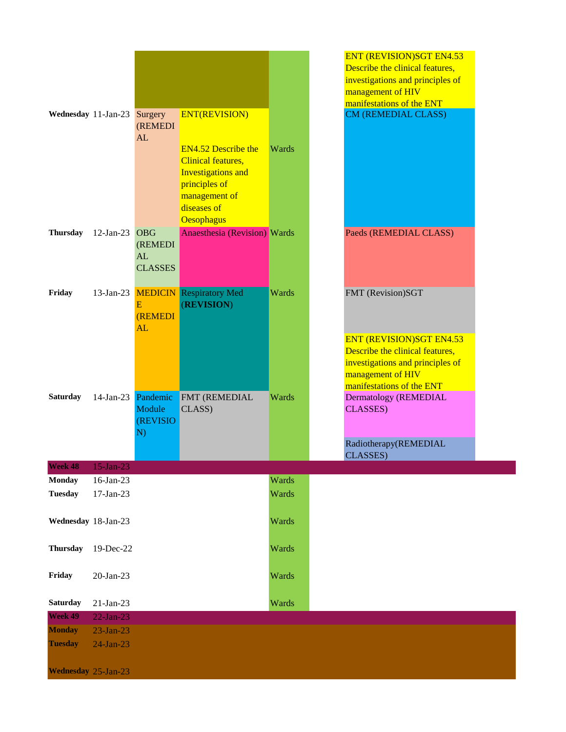|                     |                          |                           |                                                         |       | <b>ENT (REVISION)SGT EN4.53</b><br>Describe the clinical features,<br>investigations and principles of<br>management of HIV<br>manifestations of the ENT |
|---------------------|--------------------------|---------------------------|---------------------------------------------------------|-------|----------------------------------------------------------------------------------------------------------------------------------------------------------|
| Wednesday 11-Jan-23 |                          | Surgery<br><b>(REMEDI</b> | <b>ENT(REVISION)</b>                                    |       | <b>CM (REMEDIAL CLASS)</b>                                                                                                                               |
|                     |                          | AL                        |                                                         |       |                                                                                                                                                          |
|                     |                          |                           | <b>EN4.52 Describe the</b><br><b>Clinical features,</b> | Wards |                                                                                                                                                          |
|                     |                          |                           | <b>Investigations and</b>                               |       |                                                                                                                                                          |
|                     |                          |                           | principles of<br>management of                          |       |                                                                                                                                                          |
|                     |                          |                           | diseases of                                             |       |                                                                                                                                                          |
| <b>Thursday</b>     | $12$ -Jan-23             | <b>OBG</b>                | Oesophagus<br><b>Anaesthesia (Revision)</b> Wards       |       | Paeds (REMEDIAL CLASS)                                                                                                                                   |
|                     |                          | <b>(REMEDI</b>            |                                                         |       |                                                                                                                                                          |
|                     |                          | AL<br><b>CLASSES</b>      |                                                         |       |                                                                                                                                                          |
|                     |                          |                           |                                                         |       |                                                                                                                                                          |
| Friday              | $13$ -Jan-23             | E                         | <b>MEDICIN</b> Respiratory Med<br>(REVISION)            | Wards | FMT (Revision)SGT                                                                                                                                        |
|                     |                          | <b>(REMEDI</b><br>AL      |                                                         |       |                                                                                                                                                          |
|                     |                          |                           |                                                         |       | <b>ENT (REVISION)SGT EN4.53</b>                                                                                                                          |
|                     |                          |                           |                                                         |       | Describe the clinical features,<br>investigations and principles of                                                                                      |
|                     |                          |                           |                                                         |       | management of HIV                                                                                                                                        |
| <b>Saturday</b>     | $14$ -Jan-23             | Pandemic                  | FMT (REMEDIAL                                           | Wards | manifestations of the ENT<br>Dermatology (REMEDIAL                                                                                                       |
|                     |                          | Module<br>(REVISIO        | CLASS)                                                  |       | <b>CLASSES</b> )                                                                                                                                         |
|                     |                          | N)                        |                                                         |       |                                                                                                                                                          |
|                     |                          |                           |                                                         |       | Radiotherapy(REMEDIAL<br><b>CLASSES</b> )                                                                                                                |
| Week 48             | $15$ -Jan-23             |                           |                                                         |       |                                                                                                                                                          |
| <b>Monday</b>       | 16-Jan-23                |                           |                                                         | Wards |                                                                                                                                                          |
| <b>Tuesday</b>      | 17-Jan-23                |                           |                                                         | Wards |                                                                                                                                                          |
| Wednesday 18-Jan-23 |                          |                           |                                                         | Wards |                                                                                                                                                          |
|                     |                          |                           |                                                         |       |                                                                                                                                                          |
| <b>Thursday</b>     | 19-Dec-22                |                           |                                                         | Wards |                                                                                                                                                          |
| Friday              | 20-Jan-23                |                           |                                                         | Wards |                                                                                                                                                          |
|                     |                          |                           |                                                         |       |                                                                                                                                                          |
| Saturday<br>Week 49 | 21-Jan-23<br>$22-Jan-23$ |                           |                                                         | Wards |                                                                                                                                                          |
| <b>Monday</b>       | $23$ -Jan- $23$          |                           |                                                         |       |                                                                                                                                                          |
| <b>Tuesday</b>      | $24$ -Jan-23             |                           |                                                         |       |                                                                                                                                                          |
|                     |                          |                           |                                                         |       |                                                                                                                                                          |
| Wednesday 25-Jan-23 |                          |                           |                                                         |       |                                                                                                                                                          |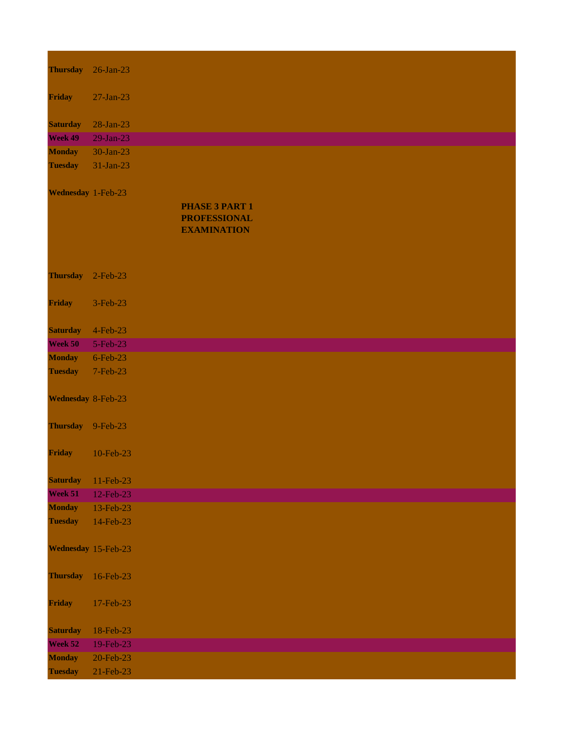| <b>Thursday</b>     | $26$ -Jan-23 |                       |  |  |
|---------------------|--------------|-----------------------|--|--|
|                     |              |                       |  |  |
| Friday              | $27-Jan-23$  |                       |  |  |
|                     |              |                       |  |  |
| <b>Saturday</b>     | 28-Jan-23    |                       |  |  |
| Week 49             | 29-Jan-23    |                       |  |  |
| <b>Monday</b>       | 30-Jan-23    |                       |  |  |
| <b>Tuesday</b>      | 31-Jan-23    |                       |  |  |
| Wednesday 1-Feb-23  |              |                       |  |  |
|                     |              | <b>PHASE 3 PART 1</b> |  |  |
|                     |              | <b>PROFESSIONAL</b>   |  |  |
|                     |              | <b>EXAMINATION</b>    |  |  |
|                     |              |                       |  |  |
|                     |              |                       |  |  |
| <b>Thursday</b>     | $2-Feb-23$   |                       |  |  |
|                     |              |                       |  |  |
| <b>Friday</b>       | 3-Feb-23     |                       |  |  |
|                     |              |                       |  |  |
| <b>Saturday</b>     | 4-Feb-23     |                       |  |  |
| Week 50             | 5-Feb-23     |                       |  |  |
| <b>Monday</b>       | 6-Feb-23     |                       |  |  |
| <b>Tuesday</b>      | 7-Feb-23     |                       |  |  |
|                     |              |                       |  |  |
| Wednesday 8-Feb-23  |              |                       |  |  |
|                     |              |                       |  |  |
| <b>Thursday</b>     | $9-Feb-23$   |                       |  |  |
|                     |              |                       |  |  |
| Friday              | 10-Feb-23    |                       |  |  |
|                     |              |                       |  |  |
| <b>Saturday</b>     | 11-Feb-23    |                       |  |  |
| Week 51             | 12-Feb-23    |                       |  |  |
| <b>Monday</b>       | 13-Feb-23    |                       |  |  |
| <b>Tuesday</b>      | 14-Feb-23    |                       |  |  |
|                     |              |                       |  |  |
| Wednesday 15-Feb-23 |              |                       |  |  |
|                     |              |                       |  |  |
| <b>Thursday</b>     | 16-Feb-23    |                       |  |  |
|                     |              |                       |  |  |
| Friday              | 17-Feb-23    |                       |  |  |
|                     |              |                       |  |  |
| <b>Saturday</b>     | 18-Feb-23    |                       |  |  |
| Week 52             | 19-Feb-23    |                       |  |  |
| <b>Monday</b>       | 20-Feb-23    |                       |  |  |
| <b>Tuesday</b>      | 21-Feb-23    |                       |  |  |